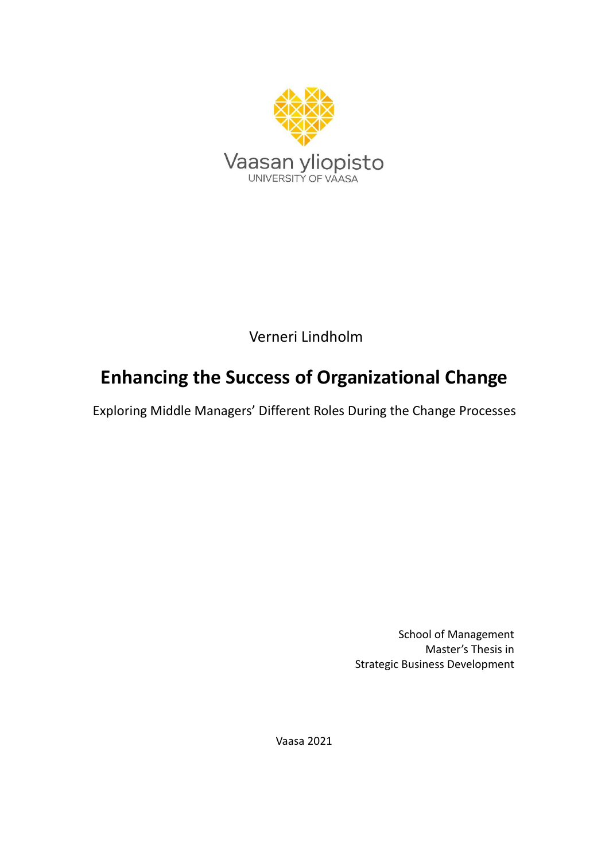

Verneri Lindholm

# **Enhancing the Success of Organizational Change**

Exploring Middle Managers' Different Roles During the Change Processes

School of Management Master's Thesis in Strategic Business Development

Vaasa 2021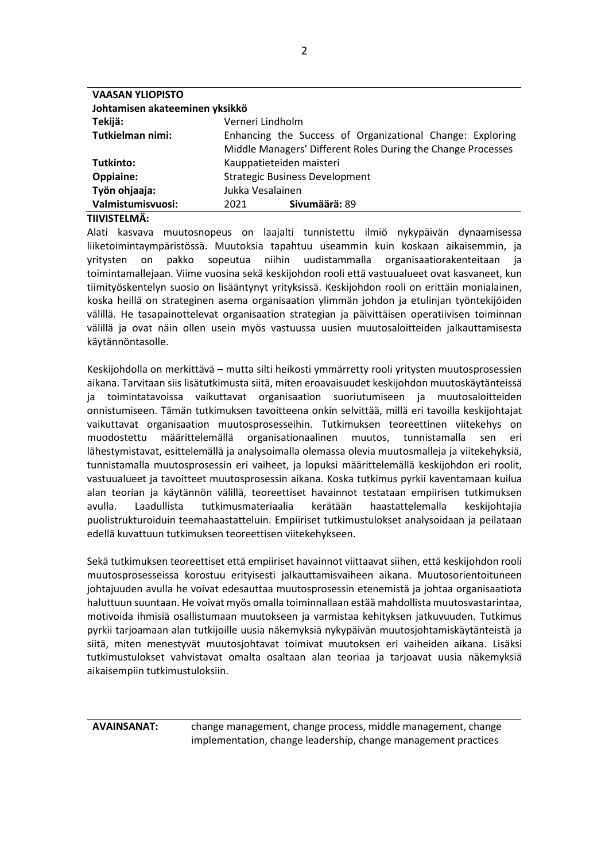| <b>VAASAN YLIOPISTO</b> |                                                                                                                           |               |  |  |  |
|-------------------------|---------------------------------------------------------------------------------------------------------------------------|---------------|--|--|--|
|                         | Johtamisen akateeminen yksikkö                                                                                            |               |  |  |  |
| Tekijä:                 | Verneri Lindholm                                                                                                          |               |  |  |  |
| Tutkielman nimi:        | Enhancing the Success of Organizational Change: Exploring<br>Middle Managers' Different Roles During the Change Processes |               |  |  |  |
| Tutkinto:               | Kauppatieteiden maisteri                                                                                                  |               |  |  |  |
| <b>Oppiaine:</b>        | <b>Strategic Business Development</b>                                                                                     |               |  |  |  |
| Työn ohjaaja:           | Jukka Vesalainen                                                                                                          |               |  |  |  |
| Valmistumisvuosi:       | 2021                                                                                                                      | Sivumäärä: 89 |  |  |  |

#### **TIIVISTELMÄ:**

Alati kasvava muutosnopeus on laajalti tunnistettu ilmiö nykypäivän dynaamisessa liiketoimintaympäristössä. Muutoksia tapahtuu useammin kuin koskaan aikaisemmin, ja yritysten on pakko sopeutua niihin uudistammalla organisaatiorakenteitaan ja toimintamallejaan. Viime vuosina sekä keskijohdon rooli että vastuualueet ovat kasvaneet, kun tiimityöskentelyn suosio on lisääntynyt yrityksissä. Keskijohdon rooli on erittäin monialainen, koska heillä on strateginen asema organisaation ylimmän johdon ja etulinjan työntekijöiden välillä. He tasapainottelevat organisaation strategian ja päivittäisen operatiivisen toiminnan välillä ja ovat näin ollen usein myös vastuussa uusien muutosaloitteiden jalkauttamisesta käytännöntasolle.

Keskijohdolla on merkittävä – mutta silti heikosti ymmärretty rooli yritysten muutosprosessien aikana. Tarvitaan siis lisätutkimusta siitä, miten eroavaisuudet keskijohdon muutoskäytänteissä ja toimintatavoissa vaikuttavat organisaation suoriutumiseen ja muutosaloitteiden onnistumiseen. Tämän tutkimuksen tavoitteena onkin selvittää, millä eri tavoilla keskijohtajat vaikuttavat organisaation muutosprosesseihin. Tutkimuksen teoreettinen viitekehys on muodostettu määrittelemällä organisationaalinen muutos, tunnistamalla sen eri lähestymistavat, esittelemällä ja analysoimalla olemassa olevia muutosmalleja ja viitekehyksiä, tunnistamalla muutosprosessin eri vaiheet, ja lopuksi määrittelemällä keskijohdon eri roolit, vastuualueet ja tavoitteet muutosprosessin aikana. Koska tutkimus pyrkii kaventamaan kuilua alan teorian ja käytännön välillä, teoreettiset havainnot testataan empiirisen tutkimuksen avulla. Laadullista tutkimusmateriaalia kerätään haastattelemalla keskijohtajia puolistrukturoiduin teemahaastatteluin. Empiiriset tutkimustulokset analysoidaan ja peilataan edellä kuvattuun tutkimuksen teoreettisen viitekehykseen.

Sekä tutkimuksen teoreettiset että empiiriset havainnot viittaavat siihen, että keskijohdon rooli muutosprosesseissa korostuu erityisesti jalkauttamisvaiheen aikana. Muutosorientoituneen johtajuuden avulla he voivat edesauttaa muutosprosessin etenemistä ja johtaa organisaatiota haluttuun suuntaan. He voivat myös omalla toiminnallaan estää mahdollista muutosvastarintaa, motivoida ihmisiä osallistumaan muutokseen ja varmistaa kehityksen jatkuvuuden. Tutkimus pyrkii tarjoamaan alan tutkijoille uusia näkemyksiä nykypäivän muutosjohtamiskäytänteistä ja siitä, miten menestyvät muutosjohtavat toimivat muutoksen eri vaiheiden aikana. Lisäksi tutkimustulokset vahvistavat omalta osaltaan alan teoriaa ja tarjoavat uusia näkemyksiä aikaisempiin tutkimustuloksiin.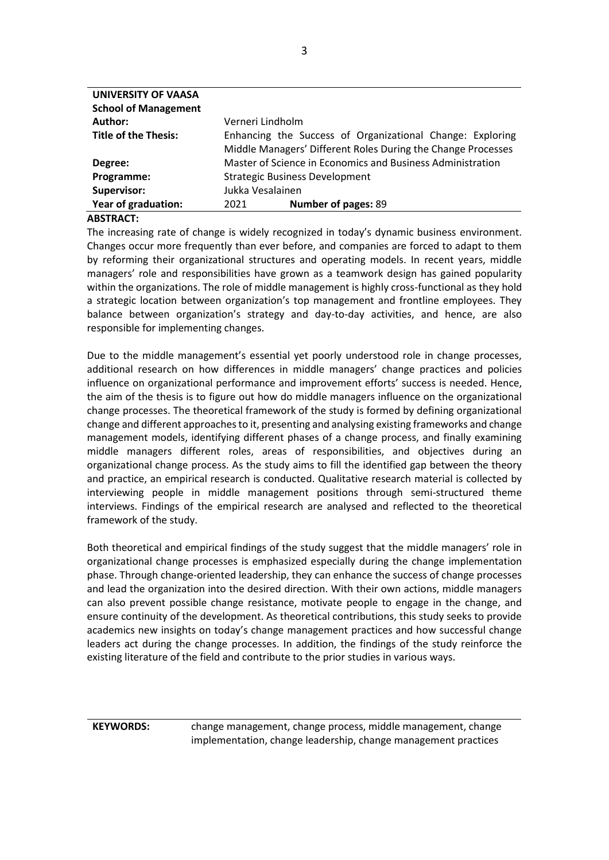| <b>UNIVERSITY OF VAASA</b>  |                                                                                                                           |                     |  |
|-----------------------------|---------------------------------------------------------------------------------------------------------------------------|---------------------|--|
| <b>School of Management</b> |                                                                                                                           |                     |  |
| Author:                     | Verneri Lindholm                                                                                                          |                     |  |
| <b>Title of the Thesis:</b> | Enhancing the Success of Organizational Change: Exploring<br>Middle Managers' Different Roles During the Change Processes |                     |  |
| Degree:                     | Master of Science in Economics and Business Administration                                                                |                     |  |
| Programme:                  | <b>Strategic Business Development</b>                                                                                     |                     |  |
| Supervisor:                 | Jukka Vesalainen                                                                                                          |                     |  |
| Year of graduation:         | 2021                                                                                                                      | Number of pages: 89 |  |
|                             |                                                                                                                           |                     |  |

#### **ABSTRACT:**

The increasing rate of change is widely recognized in today's dynamic business environment. Changes occur more frequently than ever before, and companies are forced to adapt to them by reforming their organizational structures and operating models. In recent years, middle managers' role and responsibilities have grown as a teamwork design has gained popularity within the organizations. The role of middle management is highly cross-functional as they hold a strategic location between organization's top management and frontline employees. They balance between organization's strategy and day-to-day activities, and hence, are also responsible for implementing changes.

Due to the middle management's essential yet poorly understood role in change processes, additional research on how differences in middle managers' change practices and policies influence on organizational performance and improvement efforts' success is needed. Hence, the aim of the thesis is to figure out how do middle managers influence on the organizational change processes. The theoretical framework of the study is formed by defining organizational change and different approaches to it, presenting and analysing existing frameworks and change management models, identifying different phases of a change process, and finally examining middle managers different roles, areas of responsibilities, and objectives during an organizational change process. As the study aims to fill the identified gap between the theory and practice, an empirical research is conducted. Qualitative research material is collected by interviewing people in middle management positions through semi-structured theme interviews. Findings of the empirical research are analysed and reflected to the theoretical framework of the study.

Both theoretical and empirical findings of the study suggest that the middle managers' role in organizational change processes is emphasized especially during the change implementation phase. Through change-oriented leadership, they can enhance the success of change processes and lead the organization into the desired direction. With their own actions, middle managers can also prevent possible change resistance, motivate people to engage in the change, and ensure continuity of the development. As theoretical contributions, this study seeks to provide academics new insights on today's change management practices and how successful change leaders act during the change processes. In addition, the findings of the study reinforce the existing literature of the field and contribute to the prior studies in various ways.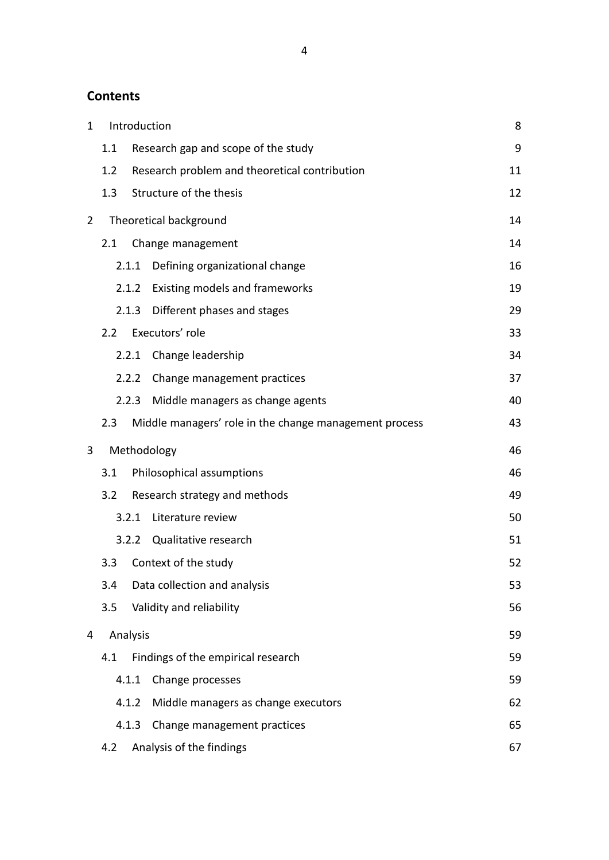## **Contents**

| 1              |     |          | Introduction                                           | 8  |
|----------------|-----|----------|--------------------------------------------------------|----|
|                | 1.1 |          | Research gap and scope of the study                    | 9  |
|                | 1.2 |          | Research problem and theoretical contribution          | 11 |
|                | 1.3 |          | Structure of the thesis                                | 12 |
| $\overline{2}$ |     |          | Theoretical background                                 | 14 |
|                | 2.1 |          | Change management                                      | 14 |
|                |     | 2.1.1    | Defining organizational change                         | 16 |
|                |     | 2.1.2    | Existing models and frameworks                         | 19 |
|                |     | 2.1.3    | Different phases and stages                            | 29 |
|                | 2.2 |          | Executors' role                                        | 33 |
|                |     | 2.2.1    | Change leadership                                      | 34 |
|                |     | 2.2.2    | Change management practices                            | 37 |
|                |     | 2.2.3    | Middle managers as change agents                       | 40 |
|                | 2.3 |          | Middle managers' role in the change management process | 43 |
| 3              |     |          | Methodology                                            | 46 |
|                | 3.1 |          | Philosophical assumptions                              | 46 |
|                | 3.2 |          | Research strategy and methods                          | 49 |
|                |     | 3.2.1    | Literature review                                      | 50 |
|                |     | 3.2.2    | Qualitative research                                   | 51 |
|                | 3.3 |          | Context of the study                                   | 52 |
|                | 3.4 |          | Data collection and analysis                           | 53 |
|                | 3.5 |          | Validity and reliability                               | 56 |
| 4              |     | Analysis |                                                        | 59 |
|                | 4.1 |          | Findings of the empirical research                     | 59 |
|                |     | 4.1.1    | Change processes                                       | 59 |
|                |     | 4.1.2    | Middle managers as change executors                    | 62 |
|                |     | 4.1.3    | Change management practices                            | 65 |
|                | 4.2 |          | Analysis of the findings                               | 67 |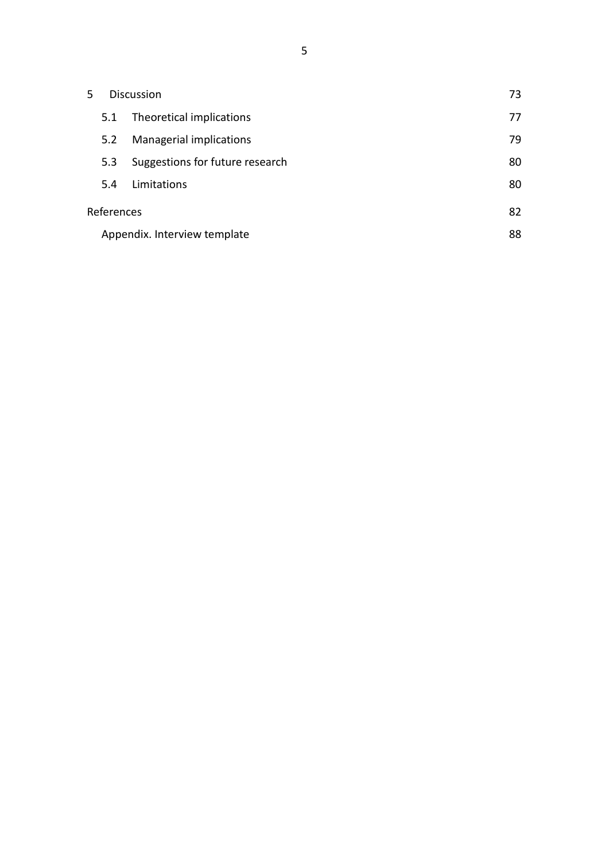| 5                            |            | Discussion                      | 73 |
|------------------------------|------------|---------------------------------|----|
|                              | 5.1        | Theoretical implications        | 77 |
|                              | 5.2        | Managerial implications         | 79 |
|                              | 5.3        | Suggestions for future research | 80 |
|                              | 5.4        | Limitations                     | 80 |
|                              | References |                                 | 82 |
| Appendix. Interview template |            |                                 | 88 |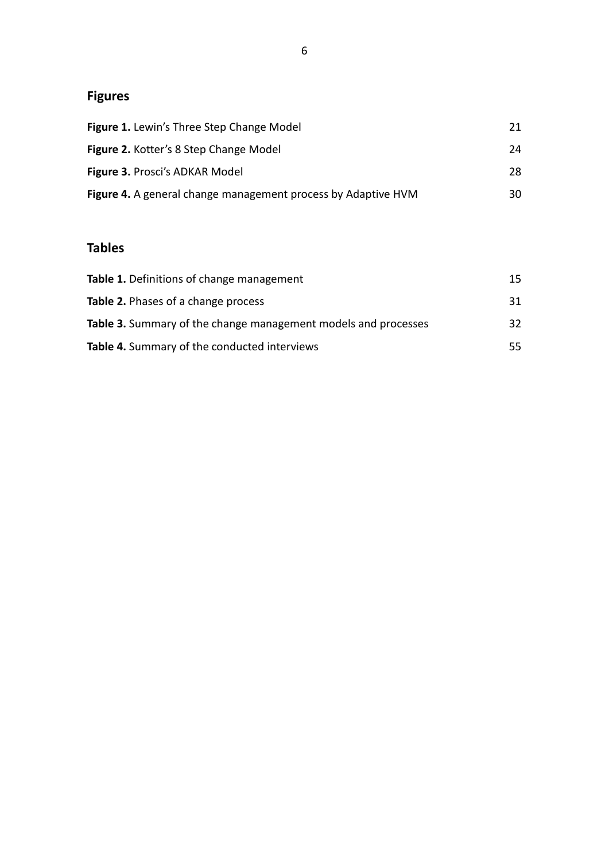## **Figures**

| <b>Figure 1.</b> Lewin's Three Step Change Model                     | 21. |
|----------------------------------------------------------------------|-----|
| Figure 2. Kotter's 8 Step Change Model                               | 24  |
| Figure 3. Prosci's ADKAR Model                                       | 28. |
| <b>Figure 4.</b> A general change management process by Adaptive HVM | 30. |

## **Tables**

| <b>Table 1.</b> Definitions of change management               | 15. |
|----------------------------------------------------------------|-----|
| <b>Table 2.</b> Phases of a change process                     | 31  |
| Table 3. Summary of the change management models and processes | 32. |
| Table 4. Summary of the conducted interviews                   | 55. |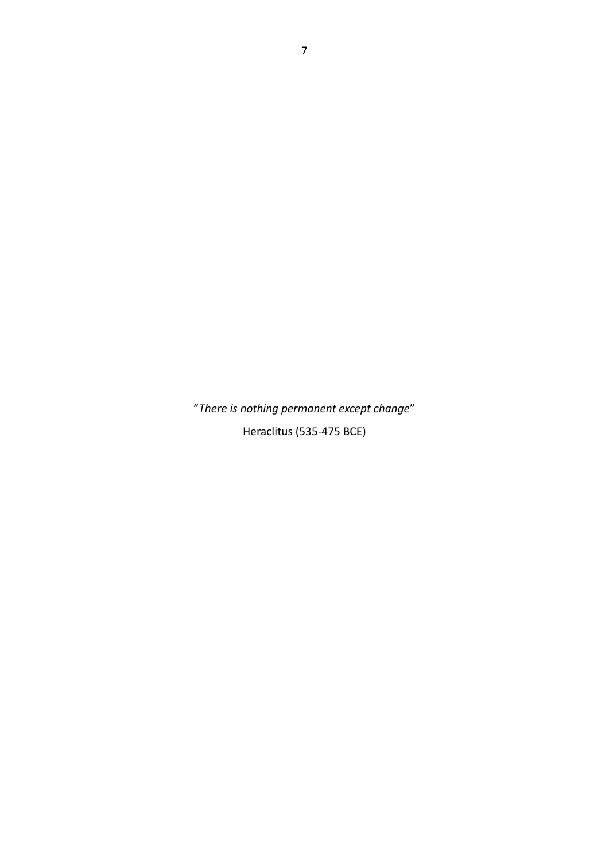"*There is nothing permanent except change*" Heraclitus (535-475 BCE)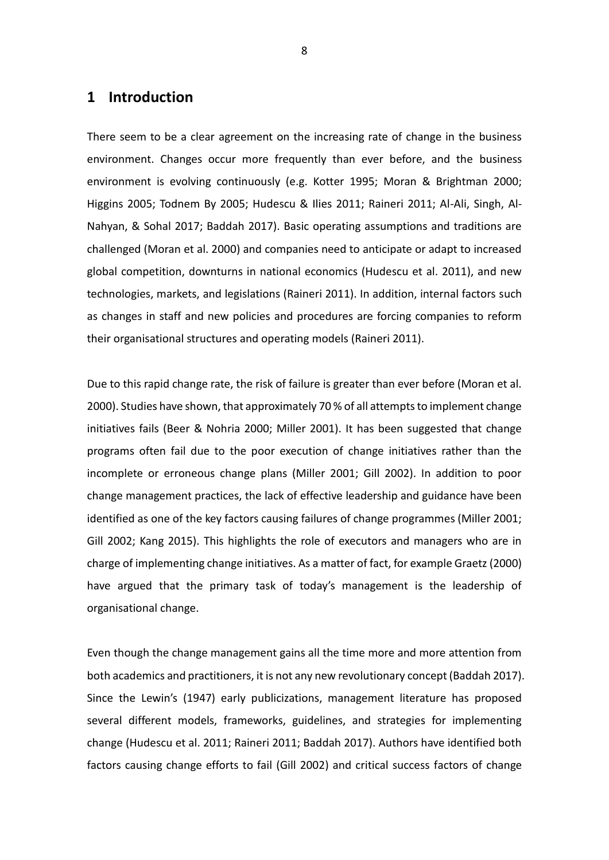### <span id="page-7-0"></span>**1 Introduction**

There seem to be a clear agreement on the increasing rate of change in the business environment. Changes occur more frequently than ever before, and the business environment is evolving continuously (e.g. Kotter 1995; Moran & Brightman 2000; Higgins 2005; Todnem By 2005; Hudescu & Ilies 2011; Raineri 2011; Al-Ali, Singh, Al-Nahyan, & Sohal 2017; Baddah 2017). Basic operating assumptions and traditions are challenged (Moran et al. 2000) and companies need to anticipate or adapt to increased global competition, downturns in national economics (Hudescu et al. 2011), and new technologies, markets, and legislations (Raineri 2011). In addition, internal factors such as changes in staff and new policies and procedures are forcing companies to reform their organisational structures and operating models (Raineri 2011).

Due to this rapid change rate, the risk of failure is greater than ever before (Moran et al. 2000). Studies have shown, that approximately 70 % of all attempts to implement change initiatives fails (Beer & Nohria 2000; Miller 2001). It has been suggested that change programs often fail due to the poor execution of change initiatives rather than the incomplete or erroneous change plans (Miller 2001; Gill 2002). In addition to poor change management practices, the lack of effective leadership and guidance have been identified as one of the key factors causing failures of change programmes (Miller 2001; Gill 2002; Kang 2015). This highlights the role of executors and managers who are in charge of implementing change initiatives. As a matter of fact, for example Graetz (2000) have argued that the primary task of today's management is the leadership of organisational change.

Even though the change management gains all the time more and more attention from both academics and practitioners, it is not any new revolutionary concept (Baddah 2017). Since the Lewin's (1947) early publicizations, management literature has proposed several different models, frameworks, guidelines, and strategies for implementing change (Hudescu et al. 2011; Raineri 2011; Baddah 2017). Authors have identified both factors causing change efforts to fail (Gill 2002) and critical success factors of change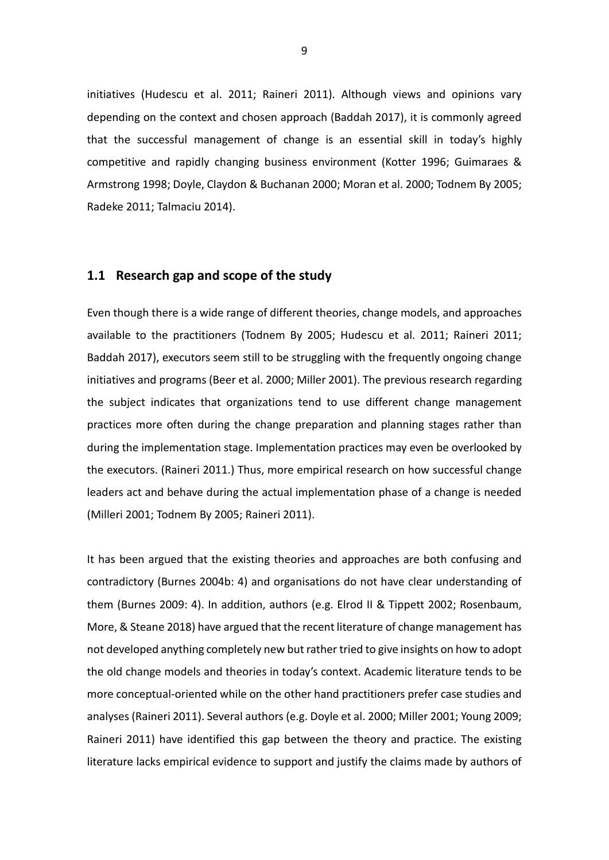initiatives (Hudescu et al. 2011; Raineri 2011). Although views and opinions vary depending on the context and chosen approach (Baddah 2017), it is commonly agreed that the successful management of change is an essential skill in today's highly competitive and rapidly changing business environment (Kotter 1996; Guimaraes & Armstrong 1998; Doyle, Claydon & Buchanan 2000; Moran et al. 2000; Todnem By 2005; Radeke 2011; Talmaciu 2014).

#### <span id="page-8-0"></span>**1.1 Research gap and scope of the study**

Even though there is a wide range of different theories, change models, and approaches available to the practitioners (Todnem By 2005; Hudescu et al. 2011; Raineri 2011; Baddah 2017), executors seem still to be struggling with the frequently ongoing change initiatives and programs (Beer et al. 2000; Miller 2001). The previous research regarding the subject indicates that organizations tend to use different change management practices more often during the change preparation and planning stages rather than during the implementation stage. Implementation practices may even be overlooked by the executors. (Raineri 2011.) Thus, more empirical research on how successful change leaders act and behave during the actual implementation phase of a change is needed (Milleri 2001; Todnem By 2005; Raineri 2011).

It has been argued that the existing theories and approaches are both confusing and contradictory (Burnes 2004b: 4) and organisations do not have clear understanding of them (Burnes 2009: 4). In addition, authors (e.g. Elrod II & Tippett 2002; Rosenbaum, More, & Steane 2018) have argued that the recent literature of change management has not developed anything completely new but rather tried to give insights on how to adopt the old change models and theories in today's context. Academic literature tends to be more conceptual-oriented while on the other hand practitioners prefer case studies and analyses (Raineri 2011). Several authors (e.g. Doyle et al. 2000; Miller 2001; Young 2009; Raineri 2011) have identified this gap between the theory and practice. The existing literature lacks empirical evidence to support and justify the claims made by authors of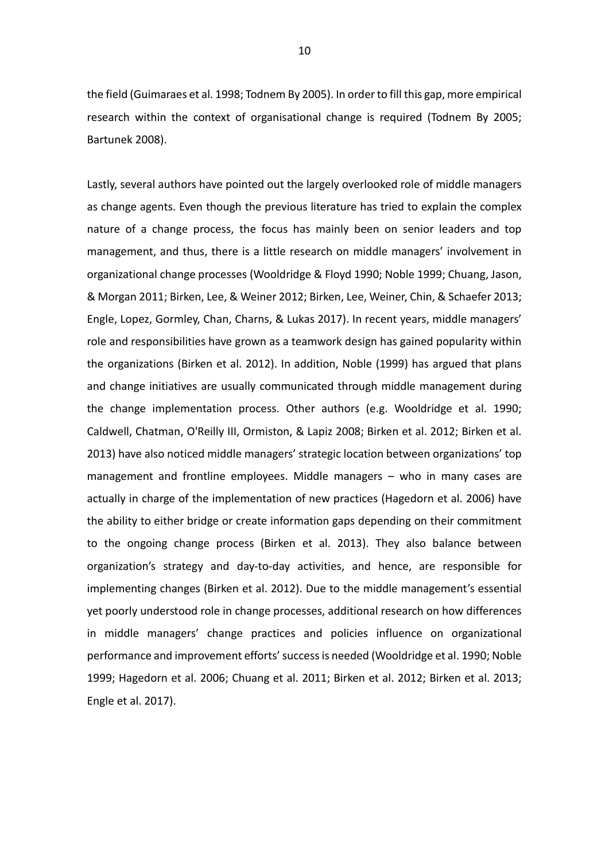the field (Guimaraes et al. 1998; Todnem By 2005). In order to fill this gap, more empirical research within the context of organisational change is required (Todnem By 2005; Bartunek 2008).

Lastly, several authors have pointed out the largely overlooked role of middle managers as change agents. Even though the previous literature has tried to explain the complex nature of a change process, the focus has mainly been on senior leaders and top management, and thus, there is a little research on middle managers' involvement in organizational change processes (Wooldridge & Floyd 1990; Noble 1999; Chuang, Jason, & Morgan 2011; Birken, Lee, & Weiner 2012; Birken, Lee, Weiner, Chin, & Schaefer 2013; Engle, Lopez, Gormley, Chan, Charns, & Lukas 2017). In recent years, middle managers' role and responsibilities have grown as a teamwork design has gained popularity within the organizations (Birken et al. 2012). In addition, Noble (1999) has argued that plans and change initiatives are usually communicated through middle management during the change implementation process. Other authors (e.g. Wooldridge et al. 1990; Caldwell, Chatman, O'Reilly III, Ormiston, & Lapiz 2008; Birken et al. 2012; Birken et al. 2013) have also noticed middle managers' strategic location between organizations' top management and frontline employees. Middle managers – who in many cases are actually in charge of the implementation of new practices (Hagedorn et al. 2006) have the ability to either bridge or create information gaps depending on their commitment to the ongoing change process (Birken et al. 2013). They also balance between organization's strategy and day-to-day activities, and hence, are responsible for implementing changes (Birken et al. 2012). Due to the middle management's essential yet poorly understood role in change processes, additional research on how differences in middle managers' change practices and policies influence on organizational performance and improvement efforts' success is needed (Wooldridge et al. 1990; Noble 1999; Hagedorn et al. 2006; Chuang et al. 2011; Birken et al. 2012; Birken et al. 2013; Engle et al. 2017).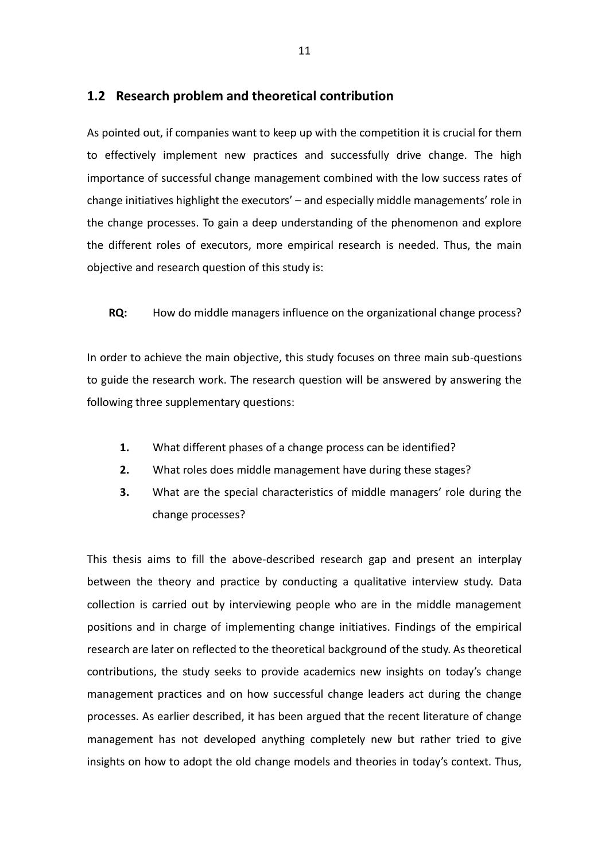#### <span id="page-10-0"></span>**1.2 Research problem and theoretical contribution**

As pointed out, if companies want to keep up with the competition it is crucial for them to effectively implement new practices and successfully drive change. The high importance of successful change management combined with the low success rates of change initiatives highlight the executors' – and especially middle managements' role in the change processes. To gain a deep understanding of the phenomenon and explore the different roles of executors, more empirical research is needed. Thus, the main objective and research question of this study is:

**RQ:** How do middle managers influence on the organizational change process?

In order to achieve the main objective, this study focuses on three main sub-questions to guide the research work. The research question will be answered by answering the following three supplementary questions:

- **1.** What different phases of a change process can be identified?
- **2.** What roles does middle management have during these stages?
- **3.** What are the special characteristics of middle managers' role during the change processes?

This thesis aims to fill the above-described research gap and present an interplay between the theory and practice by conducting a qualitative interview study. Data collection is carried out by interviewing people who are in the middle management positions and in charge of implementing change initiatives. Findings of the empirical research are later on reflected to the theoretical background of the study. As theoretical contributions, the study seeks to provide academics new insights on today's change management practices and on how successful change leaders act during the change processes. As earlier described, it has been argued that the recent literature of change management has not developed anything completely new but rather tried to give insights on how to adopt the old change models and theories in today's context. Thus,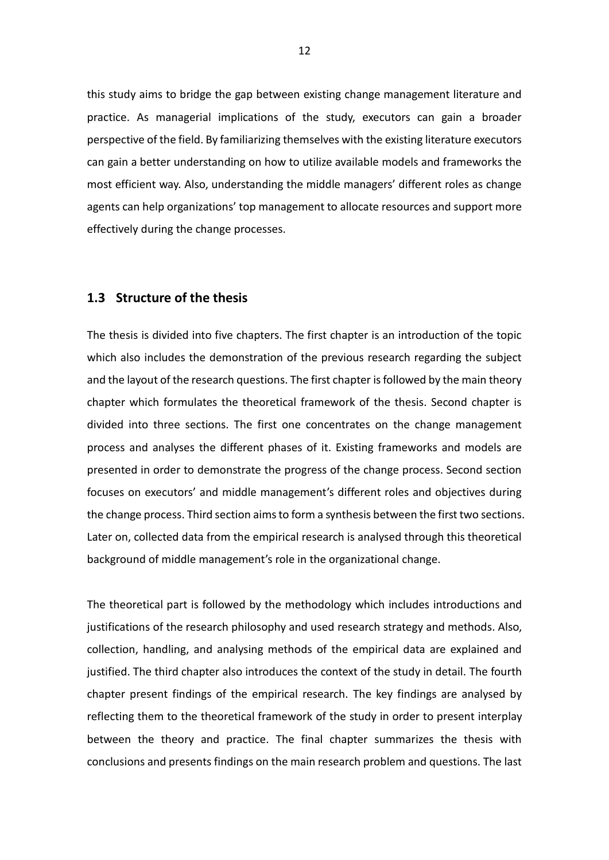this study aims to bridge the gap between existing change management literature and practice. As managerial implications of the study, executors can gain a broader perspective of the field. By familiarizing themselves with the existing literature executors can gain a better understanding on how to utilize available models and frameworks the most efficient way. Also, understanding the middle managers' different roles as change agents can help organizations' top management to allocate resources and support more effectively during the change processes.

#### <span id="page-11-0"></span>**1.3 Structure of the thesis**

The thesis is divided into five chapters. The first chapter is an introduction of the topic which also includes the demonstration of the previous research regarding the subject and the layout of the research questions. The first chapter is followed by the main theory chapter which formulates the theoretical framework of the thesis. Second chapter is divided into three sections. The first one concentrates on the change management process and analyses the different phases of it. Existing frameworks and models are presented in order to demonstrate the progress of the change process. Second section focuses on executors' and middle management's different roles and objectives during the change process. Third section aims to form a synthesis between the first two sections. Later on, collected data from the empirical research is analysed through this theoretical background of middle management's role in the organizational change.

The theoretical part is followed by the methodology which includes introductions and justifications of the research philosophy and used research strategy and methods. Also, collection, handling, and analysing methods of the empirical data are explained and justified. The third chapter also introduces the context of the study in detail. The fourth chapter present findings of the empirical research. The key findings are analysed by reflecting them to the theoretical framework of the study in order to present interplay between the theory and practice. The final chapter summarizes the thesis with conclusions and presents findings on the main research problem and questions. The last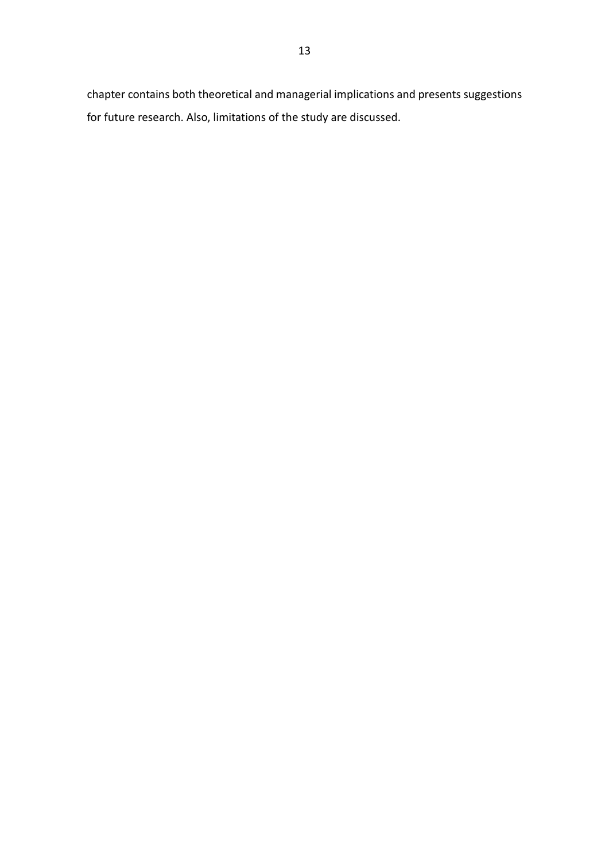chapter contains both theoretical and managerial implications and presents suggestions for future research. Also, limitations of the study are discussed.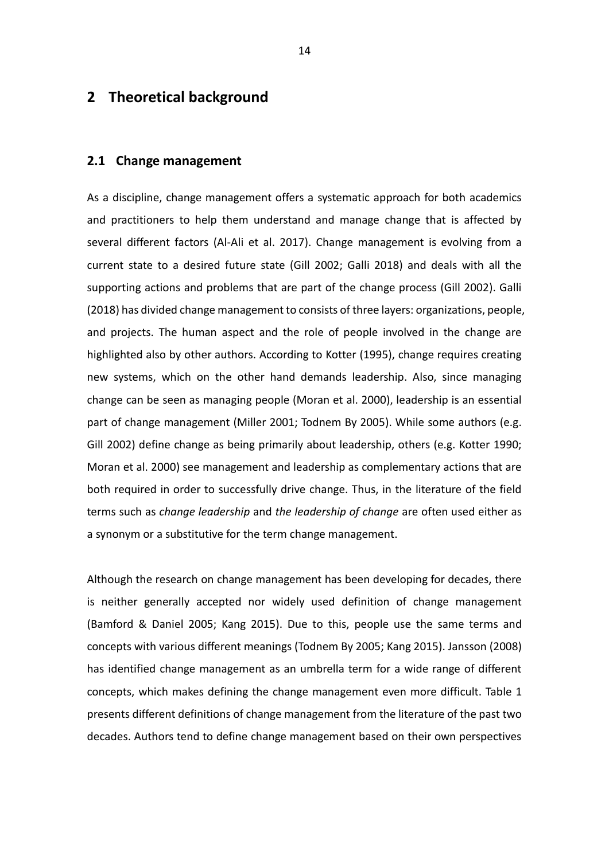## <span id="page-13-0"></span>**2 Theoretical background**

#### <span id="page-13-1"></span>**2.1 Change management**

As a discipline, change management offers a systematic approach for both academics and practitioners to help them understand and manage change that is affected by several different factors (Al-Ali et al. 2017). Change management is evolving from a current state to a desired future state (Gill 2002; Galli 2018) and deals with all the supporting actions and problems that are part of the change process (Gill 2002). Galli (2018) has divided change management to consists of three layers: organizations, people, and projects. The human aspect and the role of people involved in the change are highlighted also by other authors. According to Kotter (1995), change requires creating new systems, which on the other hand demands leadership. Also, since managing change can be seen as managing people (Moran et al. 2000), leadership is an essential part of change management (Miller 2001; Todnem By 2005). While some authors (e.g. Gill 2002) define change as being primarily about leadership, others (e.g. Kotter 1990; Moran et al. 2000) see management and leadership as complementary actions that are both required in order to successfully drive change. Thus, in the literature of the field terms such as *change leadership* and *the leadership of change* are often used either as a synonym or a substitutive for the term change management.

Although the research on change management has been developing for decades, there is neither generally accepted nor widely used definition of change management (Bamford & Daniel 2005; Kang 2015). Due to this, people use the same terms and concepts with various different meanings (Todnem By 2005; Kang 2015). Jansson (2008) has identified change management as an umbrella term for a wide range of different concepts, which makes defining the change management even more difficult. Table 1 presents different definitions of change management from the literature of the past two decades. Authors tend to define change management based on their own perspectives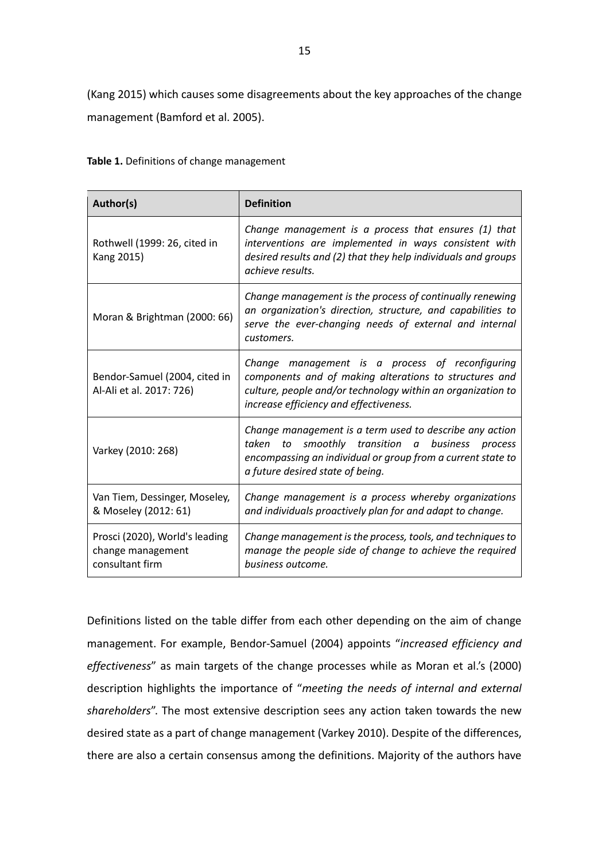(Kang 2015) which causes some disagreements about the key approaches of the change management (Bamford et al. 2005).

<span id="page-14-0"></span>

| Author(s)                                                              | <b>Definition</b>                                                                                                                                                                                                  |  |  |
|------------------------------------------------------------------------|--------------------------------------------------------------------------------------------------------------------------------------------------------------------------------------------------------------------|--|--|
| Rothwell (1999: 26, cited in<br>Kang 2015)                             | Change management is a process that ensures (1) that<br>interventions are implemented in ways consistent with<br>desired results and (2) that they help individuals and groups<br>achieve results.                 |  |  |
| Moran & Brightman (2000: 66)                                           | Change management is the process of continually renewing<br>an organization's direction, structure, and capabilities to<br>serve the ever-changing needs of external and internal<br>customers.                    |  |  |
| Bendor-Samuel (2004, cited in<br>Al-Ali et al. 2017: 726)              | Change management is a process of reconfiguring<br>components and of making alterations to structures and<br>culture, people and/or technology within an organization to<br>increase efficiency and effectiveness. |  |  |
| Varkey (2010: 268)                                                     | Change management is a term used to describe any action<br>taken<br>to smoothly transition a business process<br>encompassing an individual or group from a current state to<br>a future desired state of being.   |  |  |
| Van Tiem, Dessinger, Moseley,<br>& Moseley (2012: 61)                  | Change management is a process whereby organizations<br>and individuals proactively plan for and adapt to change.                                                                                                  |  |  |
| Prosci (2020), World's leading<br>change management<br>consultant firm | Change management is the process, tools, and techniques to<br>manage the people side of change to achieve the required<br>business outcome.                                                                        |  |  |

Definitions listed on the table differ from each other depending on the aim of change management. For example, Bendor-Samuel (2004) appoints "*increased efficiency and effectiveness*" as main targets of the change processes while as Moran et al.'s (2000) description highlights the importance of "*meeting the needs of internal and external shareholders*". The most extensive description sees any action taken towards the new desired state as a part of change management (Varkey 2010). Despite of the differences, there are also a certain consensus among the definitions. Majority of the authors have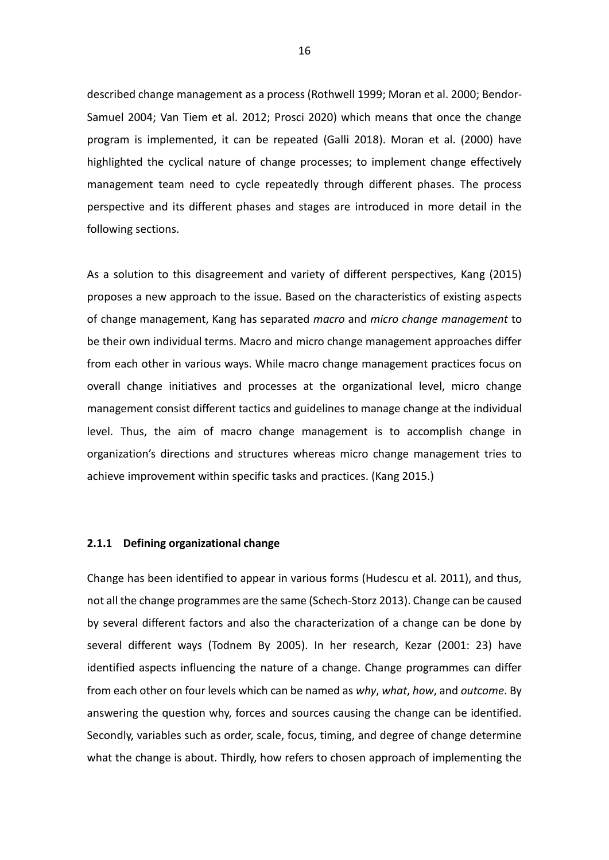described change management as a process (Rothwell 1999; Moran et al. 2000; Bendor-Samuel 2004; Van Tiem et al. 2012; Prosci 2020) which means that once the change program is implemented, it can be repeated (Galli 2018). Moran et al. (2000) have highlighted the cyclical nature of change processes; to implement change effectively management team need to cycle repeatedly through different phases. The process perspective and its different phases and stages are introduced in more detail in the following sections.

As a solution to this disagreement and variety of different perspectives, Kang (2015) proposes a new approach to the issue. Based on the characteristics of existing aspects of change management, Kang has separated *macro* and *micro change management* to be their own individual terms. Macro and micro change management approaches differ from each other in various ways. While macro change management practices focus on overall change initiatives and processes at the organizational level, micro change management consist different tactics and guidelines to manage change at the individual level. Thus, the aim of macro change management is to accomplish change in organization's directions and structures whereas micro change management tries to achieve improvement within specific tasks and practices. (Kang 2015.)

#### <span id="page-15-0"></span>**2.1.1 Defining organizational change**

Change has been identified to appear in various forms (Hudescu et al. 2011), and thus, not all the change programmes are the same (Schech-Storz 2013). Change can be caused by several different factors and also the characterization of a change can be done by several different ways (Todnem By 2005). In her research, Kezar (2001: 23) have identified aspects influencing the nature of a change. Change programmes can differ from each other on four levels which can be named as *why*, *what*, *how*, and *outcome*. By answering the question why, forces and sources causing the change can be identified. Secondly, variables such as order, scale, focus, timing, and degree of change determine what the change is about. Thirdly, how refers to chosen approach of implementing the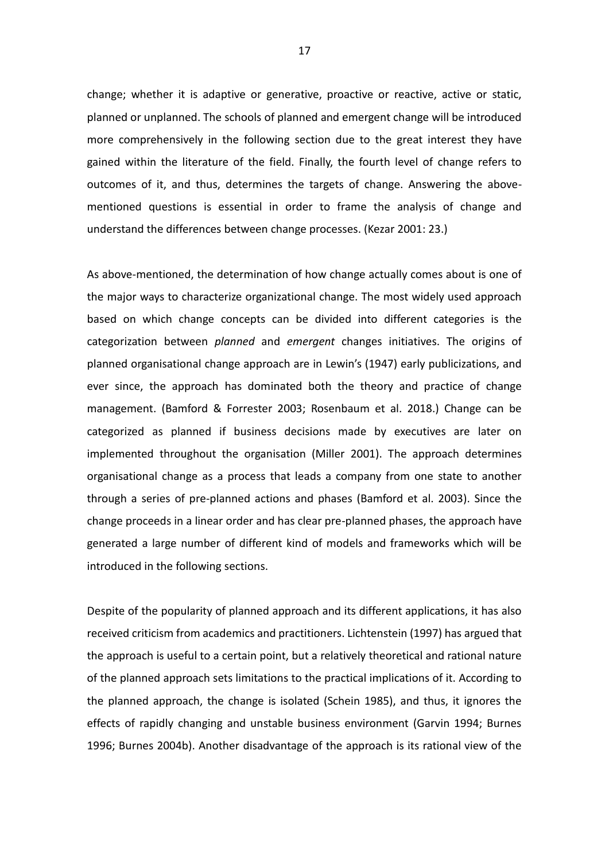change; whether it is adaptive or generative, proactive or reactive, active or static, planned or unplanned. The schools of planned and emergent change will be introduced more comprehensively in the following section due to the great interest they have gained within the literature of the field. Finally, the fourth level of change refers to outcomes of it, and thus, determines the targets of change. Answering the abovementioned questions is essential in order to frame the analysis of change and understand the differences between change processes. (Kezar 2001: 23.)

As above-mentioned, the determination of how change actually comes about is one of the major ways to characterize organizational change. The most widely used approach based on which change concepts can be divided into different categories is the categorization between *planned* and *emergent* changes initiatives. The origins of planned organisational change approach are in Lewin's (1947) early publicizations, and ever since, the approach has dominated both the theory and practice of change management. (Bamford & Forrester 2003; Rosenbaum et al. 2018.) Change can be categorized as planned if business decisions made by executives are later on implemented throughout the organisation (Miller 2001). The approach determines organisational change as a process that leads a company from one state to another through a series of pre-planned actions and phases (Bamford et al. 2003). Since the change proceeds in a linear order and has clear pre-planned phases, the approach have generated a large number of different kind of models and frameworks which will be introduced in the following sections.

Despite of the popularity of planned approach and its different applications, it has also received criticism from academics and practitioners. Lichtenstein (1997) has argued that the approach is useful to a certain point, but a relatively theoretical and rational nature of the planned approach sets limitations to the practical implications of it. According to the planned approach, the change is isolated (Schein 1985), and thus, it ignores the effects of rapidly changing and unstable business environment (Garvin 1994; Burnes 1996; Burnes 2004b). Another disadvantage of the approach is its rational view of the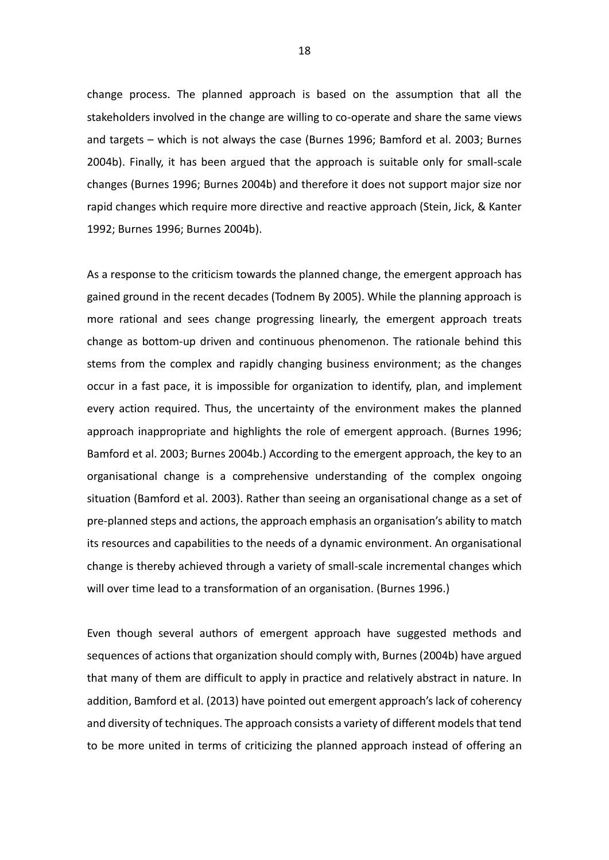change process. The planned approach is based on the assumption that all the stakeholders involved in the change are willing to co-operate and share the same views and targets – which is not always the case (Burnes 1996; Bamford et al. 2003; Burnes 2004b). Finally, it has been argued that the approach is suitable only for small-scale changes (Burnes 1996; Burnes 2004b) and therefore it does not support major size nor rapid changes which require more directive and reactive approach (Stein, Jick, & Kanter 1992; Burnes 1996; Burnes 2004b).

As a response to the criticism towards the planned change, the emergent approach has gained ground in the recent decades (Todnem By 2005). While the planning approach is more rational and sees change progressing linearly, the emergent approach treats change as bottom-up driven and continuous phenomenon. The rationale behind this stems from the complex and rapidly changing business environment; as the changes occur in a fast pace, it is impossible for organization to identify, plan, and implement every action required. Thus, the uncertainty of the environment makes the planned approach inappropriate and highlights the role of emergent approach. (Burnes 1996; Bamford et al. 2003; Burnes 2004b.) According to the emergent approach, the key to an organisational change is a comprehensive understanding of the complex ongoing situation (Bamford et al. 2003). Rather than seeing an organisational change as a set of pre-planned steps and actions, the approach emphasis an organisation's ability to match its resources and capabilities to the needs of a dynamic environment. An organisational change is thereby achieved through a variety of small-scale incremental changes which will over time lead to a transformation of an organisation. (Burnes 1996.)

Even though several authors of emergent approach have suggested methods and sequences of actions that organization should comply with, Burnes (2004b) have argued that many of them are difficult to apply in practice and relatively abstract in nature. In addition, Bamford et al. (2013) have pointed out emergent approach's lack of coherency and diversity of techniques. The approach consists a variety of different models that tend to be more united in terms of criticizing the planned approach instead of offering an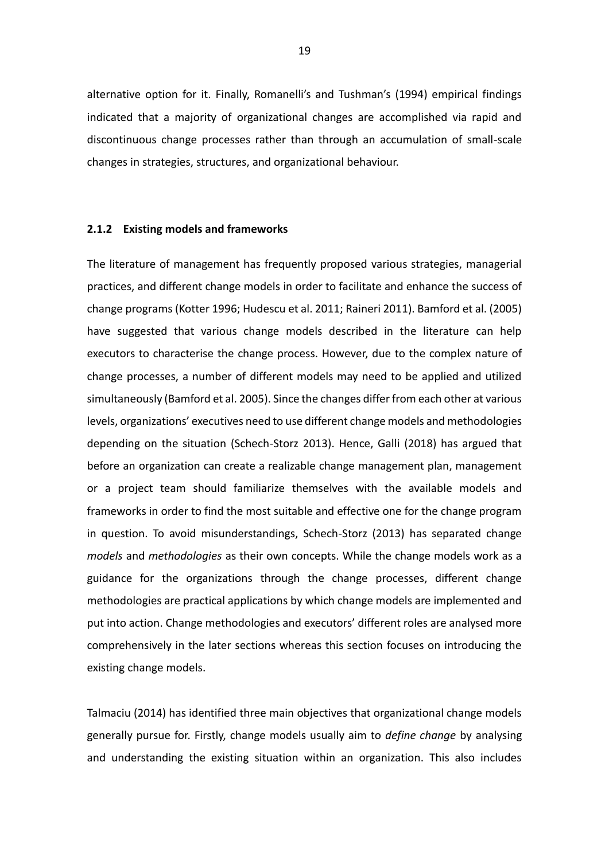alternative option for it. Finally, Romanelli's and Tushman's (1994) empirical findings indicated that a majority of organizational changes are accomplished via rapid and discontinuous change processes rather than through an accumulation of small-scale changes in strategies, structures, and organizational behaviour.

#### <span id="page-18-0"></span>**2.1.2 Existing models and frameworks**

The literature of management has frequently proposed various strategies, managerial practices, and different change models in order to facilitate and enhance the success of change programs (Kotter 1996; Hudescu et al. 2011; Raineri 2011). Bamford et al. (2005) have suggested that various change models described in the literature can help executors to characterise the change process. However, due to the complex nature of change processes, a number of different models may need to be applied and utilized simultaneously (Bamford et al. 2005). Since the changes differ from each other at various levels, organizations' executives need to use different change models and methodologies depending on the situation (Schech-Storz 2013). Hence, Galli (2018) has argued that before an organization can create a realizable change management plan, management or a project team should familiarize themselves with the available models and frameworks in order to find the most suitable and effective one for the change program in question. To avoid misunderstandings, Schech-Storz (2013) has separated change *models* and *methodologies* as their own concepts. While the change models work as a guidance for the organizations through the change processes, different change methodologies are practical applications by which change models are implemented and put into action. Change methodologies and executors' different roles are analysed more comprehensively in the later sections whereas this section focuses on introducing the existing change models.

Talmaciu (2014) has identified three main objectives that organizational change models generally pursue for. Firstly, change models usually aim to *define change* by analysing and understanding the existing situation within an organization. This also includes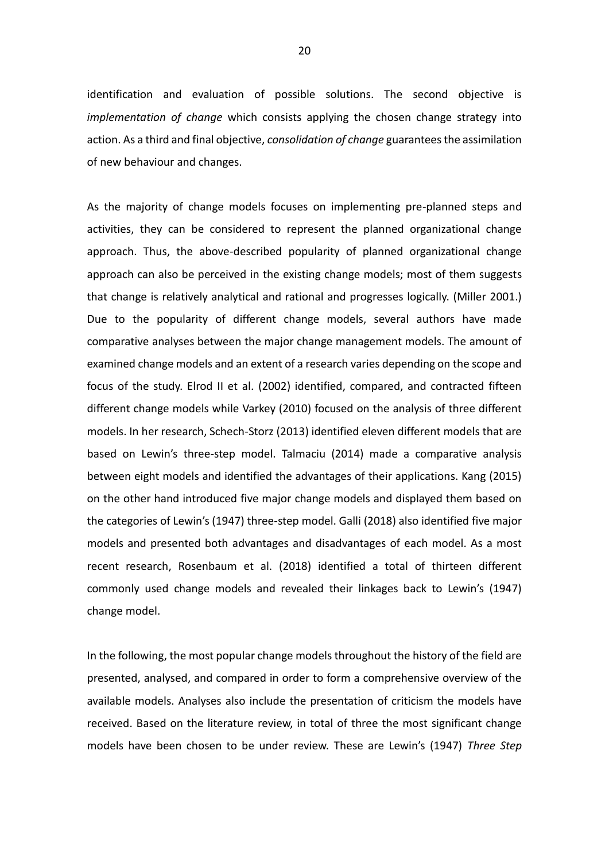identification and evaluation of possible solutions. The second objective is *implementation of change* which consists applying the chosen change strategy into action. As a third and final objective, *consolidation of change* guarantees the assimilation of new behaviour and changes.

As the majority of change models focuses on implementing pre-planned steps and activities, they can be considered to represent the planned organizational change approach. Thus, the above-described popularity of planned organizational change approach can also be perceived in the existing change models; most of them suggests that change is relatively analytical and rational and progresses logically. (Miller 2001.) Due to the popularity of different change models, several authors have made comparative analyses between the major change management models. The amount of examined change models and an extent of a research varies depending on the scope and focus of the study. Elrod II et al. (2002) identified, compared, and contracted fifteen different change models while Varkey (2010) focused on the analysis of three different models. In her research, Schech-Storz (2013) identified eleven different models that are based on Lewin's three-step model. Talmaciu (2014) made a comparative analysis between eight models and identified the advantages of their applications. Kang (2015) on the other hand introduced five major change models and displayed them based on the categories of Lewin's (1947) three-step model. Galli (2018) also identified five major models and presented both advantages and disadvantages of each model. As a most recent research, Rosenbaum et al. (2018) identified a total of thirteen different commonly used change models and revealed their linkages back to Lewin's (1947) change model.

In the following, the most popular change models throughout the history of the field are presented, analysed, and compared in order to form a comprehensive overview of the available models. Analyses also include the presentation of criticism the models have received. Based on the literature review, in total of three the most significant change models have been chosen to be under review. These are Lewin's (1947) *Three Step*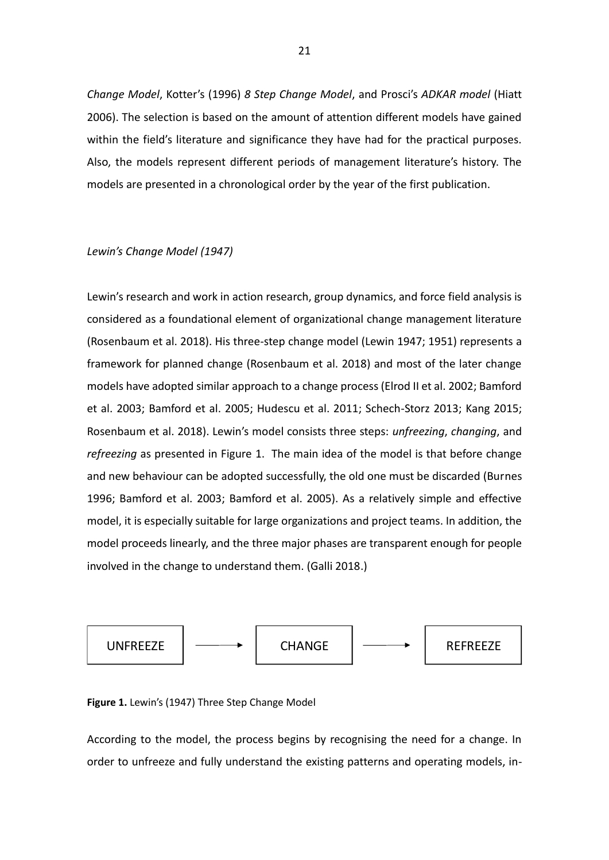*Change Model*, Kotter's (1996) *8 Step Change Model*, and Prosci's *ADKAR model* (Hiatt 2006). The selection is based on the amount of attention different models have gained within the field's literature and significance they have had for the practical purposes. Also, the models represent different periods of management literature's history. The models are presented in a chronological order by the year of the first publication.

#### *Lewin's Change Model (1947)*

Lewin's research and work in action research, group dynamics, and force field analysis is considered as a foundational element of organizational change management literature (Rosenbaum et al. 2018). His three-step change model (Lewin 1947; 1951) represents a framework for planned change (Rosenbaum et al. 2018) and most of the later change models have adopted similar approach to a change process (Elrod II et al. 2002; Bamford et al. 2003; Bamford et al. 2005; Hudescu et al. 2011; Schech-Storz 2013; Kang 2015; Rosenbaum et al. 2018). Lewin's model consists three steps: *unfreezing*, *changing*, and *refreezing* as presented in Figure 1. The main idea of the model is that before change and new behaviour can be adopted successfully, the old one must be discarded (Burnes 1996; Bamford et al. 2003; Bamford et al. 2005). As a relatively simple and effective model, it is especially suitable for large organizations and project teams. In addition, the model proceeds linearly, and the three major phases are transparent enough for people involved in the change to understand them. (Galli 2018.)



#### <span id="page-20-0"></span>**Figure 1.** Lewin's (1947) Three Step Change Model

According to the model, the process begins by recognising the need for a change. In order to unfreeze and fully understand the existing patterns and operating models, in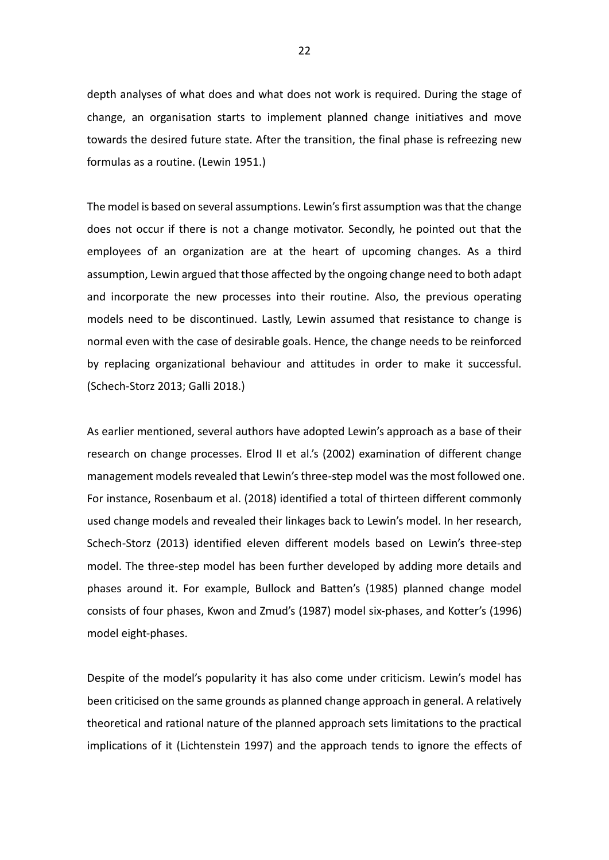depth analyses of what does and what does not work is required. During the stage of change, an organisation starts to implement planned change initiatives and move towards the desired future state. After the transition, the final phase is refreezing new formulas as a routine. (Lewin 1951.)

The model is based on several assumptions. Lewin's first assumption was that the change does not occur if there is not a change motivator. Secondly, he pointed out that the employees of an organization are at the heart of upcoming changes. As a third assumption, Lewin argued that those affected by the ongoing change need to both adapt and incorporate the new processes into their routine. Also, the previous operating models need to be discontinued. Lastly, Lewin assumed that resistance to change is normal even with the case of desirable goals. Hence, the change needs to be reinforced by replacing organizational behaviour and attitudes in order to make it successful. (Schech-Storz 2013; Galli 2018.)

As earlier mentioned, several authors have adopted Lewin's approach as a base of their research on change processes. Elrod II et al.'s (2002) examination of different change management models revealed that Lewin's three-step model was the most followed one. For instance, Rosenbaum et al. (2018) identified a total of thirteen different commonly used change models and revealed their linkages back to Lewin's model. In her research, Schech-Storz (2013) identified eleven different models based on Lewin's three-step model. The three-step model has been further developed by adding more details and phases around it. For example, Bullock and Batten's (1985) planned change model consists of four phases, Kwon and Zmud's (1987) model six-phases, and Kotter's (1996) model eight-phases.

Despite of the model's popularity it has also come under criticism. Lewin's model has been criticised on the same grounds as planned change approach in general. A relatively theoretical and rational nature of the planned approach sets limitations to the practical implications of it (Lichtenstein 1997) and the approach tends to ignore the effects of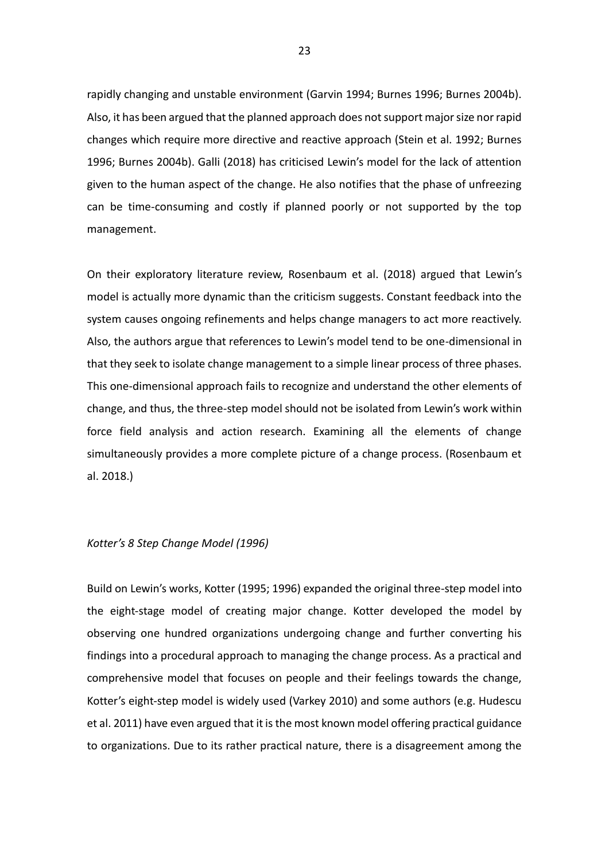rapidly changing and unstable environment (Garvin 1994; Burnes 1996; Burnes 2004b). Also, it has been argued that the planned approach does not support major size nor rapid changes which require more directive and reactive approach (Stein et al. 1992; Burnes 1996; Burnes 2004b). Galli (2018) has criticised Lewin's model for the lack of attention given to the human aspect of the change. He also notifies that the phase of unfreezing can be time-consuming and costly if planned poorly or not supported by the top management.

On their exploratory literature review, Rosenbaum et al. (2018) argued that Lewin's model is actually more dynamic than the criticism suggests. Constant feedback into the system causes ongoing refinements and helps change managers to act more reactively. Also, the authors argue that references to Lewin's model tend to be one-dimensional in that they seek to isolate change management to a simple linear process of three phases. This one-dimensional approach fails to recognize and understand the other elements of change, and thus, the three-step model should not be isolated from Lewin's work within force field analysis and action research. Examining all the elements of change simultaneously provides a more complete picture of a change process. (Rosenbaum et al. 2018.)

#### *Kotter's 8 Step Change Model (1996)*

Build on Lewin's works, Kotter (1995; 1996) expanded the original three-step model into the eight-stage model of creating major change. Kotter developed the model by observing one hundred organizations undergoing change and further converting his findings into a procedural approach to managing the change process. As a practical and comprehensive model that focuses on people and their feelings towards the change, Kotter's eight-step model is widely used (Varkey 2010) and some authors (e.g. Hudescu et al. 2011) have even argued that it is the most known model offering practical guidance to organizations. Due to its rather practical nature, there is a disagreement among the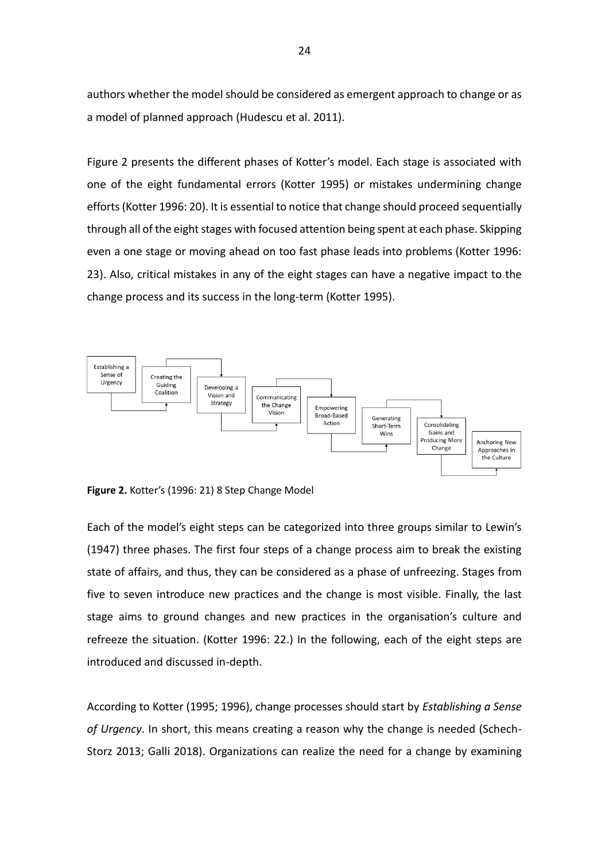authors whether the model should be considered as emergent approach to change or as a model of planned approach (Hudescu et al. 2011).

Figure 2 presents the different phases of Kotter's model. Each stage is associated with one of the eight fundamental errors (Kotter 1995) or mistakes undermining change efforts (Kotter 1996: 20). It is essential to notice that change should proceed sequentially through all of the eight stages with focused attention being spent at each phase. Skipping even a one stage or moving ahead on too fast phase leads into problems (Kotter 1996: 23). Also, critical mistakes in any of the eight stages can have a negative impact to the change process and its success in the long-term (Kotter 1995).



<span id="page-23-0"></span>**Figure 2.** Kotter's (1996: 21) 8 Step Change Model

Each of the model's eight steps can be categorized into three groups similar to Lewin's (1947) three phases. The first four steps of a change process aim to break the existing state of affairs, and thus, they can be considered as a phase of unfreezing. Stages from five to seven introduce new practices and the change is most visible. Finally, the last stage aims to ground changes and new practices in the organisation's culture and refreeze the situation. (Kotter 1996: 22.) In the following, each of the eight steps are introduced and discussed in-depth.

According to Kotter (1995; 1996), change processes should start by *Establishing a Sense of Urgency*. In short, this means creating a reason why the change is needed (Schech-Storz 2013; Galli 2018). Organizations can realize the need for a change by examining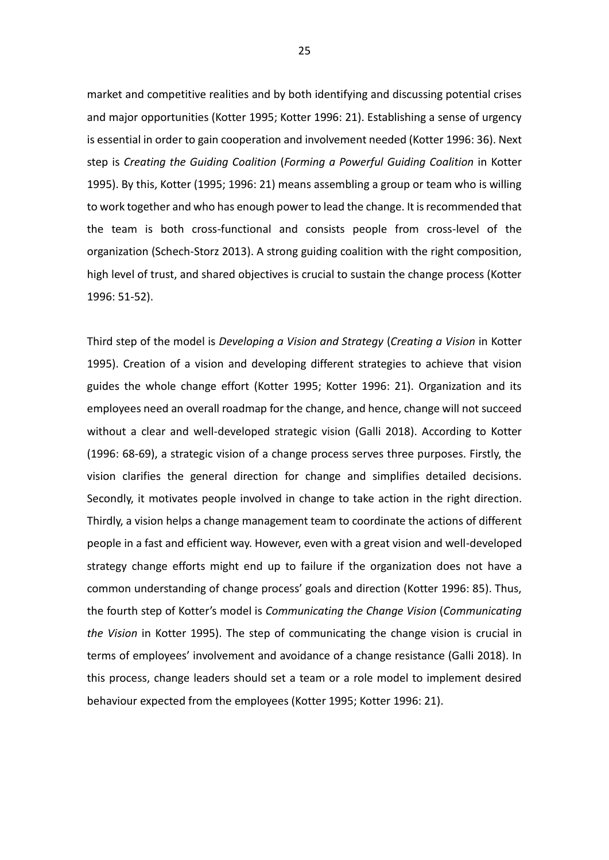market and competitive realities and by both identifying and discussing potential crises and major opportunities (Kotter 1995; Kotter 1996: 21). Establishing a sense of urgency is essential in order to gain cooperation and involvement needed (Kotter 1996: 36). Next step is *Creating the Guiding Coalition* (*Forming a Powerful Guiding Coalition* in Kotter 1995). By this, Kotter (1995; 1996: 21) means assembling a group or team who is willing to work together and who has enough power to lead the change. It is recommended that the team is both cross-functional and consists people from cross-level of the organization (Schech-Storz 2013). A strong guiding coalition with the right composition, high level of trust, and shared objectives is crucial to sustain the change process (Kotter 1996: 51-52).

Third step of the model is *Developing a Vision and Strategy* (*Creating a Vision* in Kotter 1995). Creation of a vision and developing different strategies to achieve that vision guides the whole change effort (Kotter 1995; Kotter 1996: 21). Organization and its employees need an overall roadmap for the change, and hence, change will not succeed without a clear and well-developed strategic vision (Galli 2018). According to Kotter (1996: 68-69), a strategic vision of a change process serves three purposes. Firstly, the vision clarifies the general direction for change and simplifies detailed decisions. Secondly, it motivates people involved in change to take action in the right direction. Thirdly, a vision helps a change management team to coordinate the actions of different people in a fast and efficient way. However, even with a great vision and well-developed strategy change efforts might end up to failure if the organization does not have a common understanding of change process' goals and direction (Kotter 1996: 85). Thus, the fourth step of Kotter's model is *Communicating the Change Vision* (*Communicating the Vision* in Kotter 1995). The step of communicating the change vision is crucial in terms of employees' involvement and avoidance of a change resistance (Galli 2018). In this process, change leaders should set a team or a role model to implement desired behaviour expected from the employees (Kotter 1995; Kotter 1996: 21).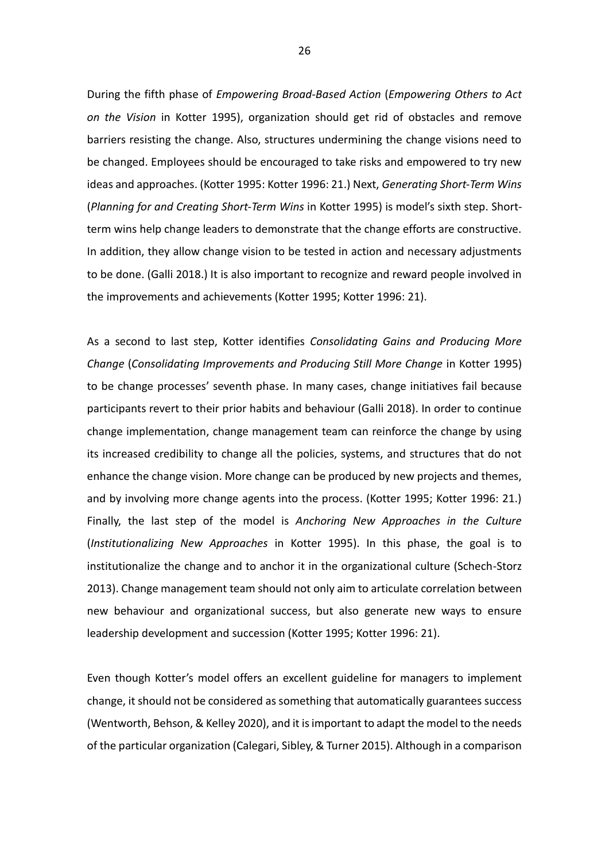During the fifth phase of *Empowering Broad-Based Action* (*Empowering Others to Act on the Vision* in Kotter 1995), organization should get rid of obstacles and remove barriers resisting the change. Also, structures undermining the change visions need to be changed. Employees should be encouraged to take risks and empowered to try new ideas and approaches. (Kotter 1995: Kotter 1996: 21.) Next, *Generating Short-Term Wins* (*Planning for and Creating Short-Term Wins* in Kotter 1995) is model's sixth step. Shortterm wins help change leaders to demonstrate that the change efforts are constructive. In addition, they allow change vision to be tested in action and necessary adjustments to be done. (Galli 2018.) It is also important to recognize and reward people involved in the improvements and achievements (Kotter 1995; Kotter 1996: 21).

As a second to last step, Kotter identifies *Consolidating Gains and Producing More Change* (*Consolidating Improvements and Producing Still More Change* in Kotter 1995) to be change processes' seventh phase. In many cases, change initiatives fail because participants revert to their prior habits and behaviour (Galli 2018). In order to continue change implementation, change management team can reinforce the change by using its increased credibility to change all the policies, systems, and structures that do not enhance the change vision. More change can be produced by new projects and themes, and by involving more change agents into the process. (Kotter 1995; Kotter 1996: 21.) Finally, the last step of the model is *Anchoring New Approaches in the Culture* (*Institutionalizing New Approaches* in Kotter 1995). In this phase, the goal is to institutionalize the change and to anchor it in the organizational culture (Schech-Storz 2013). Change management team should not only aim to articulate correlation between new behaviour and organizational success, but also generate new ways to ensure leadership development and succession (Kotter 1995; Kotter 1996: 21).

Even though Kotter's model offers an excellent guideline for managers to implement change, it should not be considered as something that automatically guarantees success (Wentworth, Behson, & Kelley 2020), and it is important to adapt the model to the needs of the particular organization (Calegari, Sibley, & Turner 2015). Although in a comparison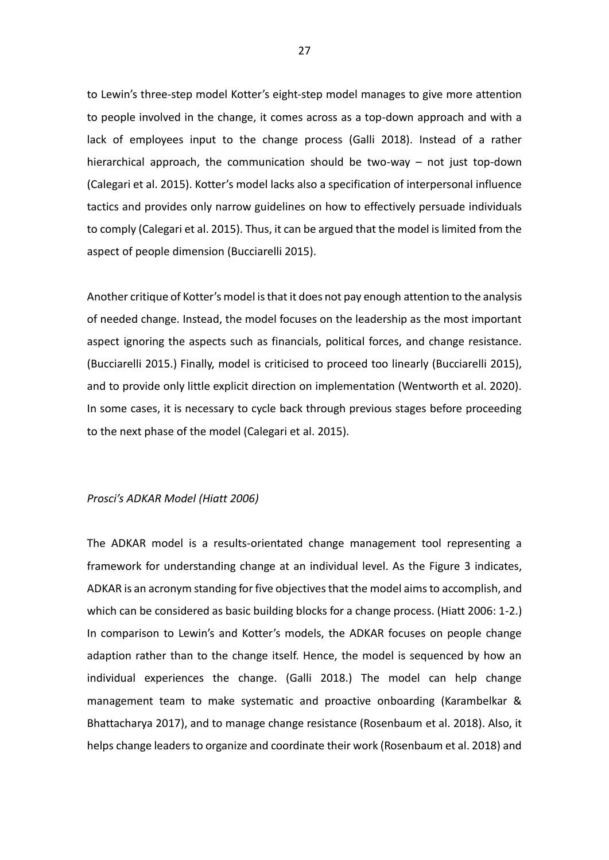to Lewin's three-step model Kotter's eight-step model manages to give more attention to people involved in the change, it comes across as a top-down approach and with a lack of employees input to the change process (Galli 2018). Instead of a rather hierarchical approach, the communication should be two-way – not just top-down (Calegari et al. 2015). Kotter's model lacks also a specification of interpersonal influence tactics and provides only narrow guidelines on how to effectively persuade individuals to comply (Calegari et al. 2015). Thus, it can be argued that the model is limited from the aspect of people dimension (Bucciarelli 2015).

Another critique of Kotter's model is that it does not pay enough attention to the analysis of needed change. Instead, the model focuses on the leadership as the most important aspect ignoring the aspects such as financials, political forces, and change resistance. (Bucciarelli 2015.) Finally, model is criticised to proceed too linearly (Bucciarelli 2015), and to provide only little explicit direction on implementation (Wentworth et al. 2020). In some cases, it is necessary to cycle back through previous stages before proceeding to the next phase of the model (Calegari et al. 2015).

#### *Prosci's ADKAR Model (Hiatt 2006)*

The ADKAR model is a results-orientated change management tool representing a framework for understanding change at an individual level. As the Figure 3 indicates, ADKAR is an acronym standing for five objectives that the model aims to accomplish, and which can be considered as basic building blocks for a change process. (Hiatt 2006: 1-2.) In comparison to Lewin's and Kotter's models, the ADKAR focuses on people change adaption rather than to the change itself. Hence, the model is sequenced by how an individual experiences the change. (Galli 2018.) The model can help change management team to make systematic and proactive onboarding (Karambelkar & Bhattacharya 2017), and to manage change resistance (Rosenbaum et al. 2018). Also, it helps change leaders to organize and coordinate their work (Rosenbaum et al. 2018) and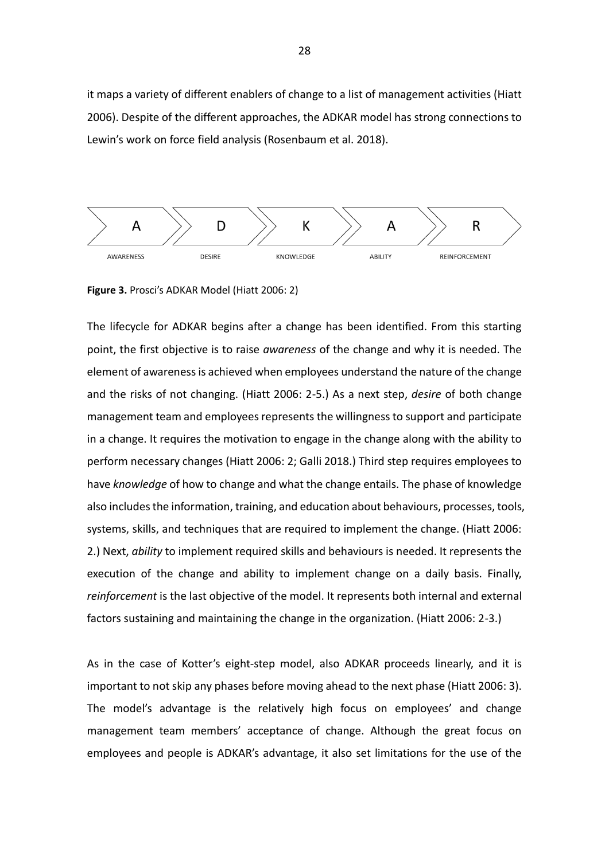it maps a variety of different enablers of change to a list of management activities (Hiatt 2006). Despite of the different approaches, the ADKAR model has strong connections to Lewin's work on force field analysis (Rosenbaum et al. 2018).



<span id="page-27-0"></span>**Figure 3.** Prosci's ADKAR Model (Hiatt 2006: 2)

The lifecycle for ADKAR begins after a change has been identified. From this starting point, the first objective is to raise *awareness* of the change and why it is needed. The element of awareness is achieved when employees understand the nature of the change and the risks of not changing. (Hiatt 2006: 2-5.) As a next step, *desire* of both change management team and employees represents the willingness to support and participate in a change. It requires the motivation to engage in the change along with the ability to perform necessary changes (Hiatt 2006: 2; Galli 2018.) Third step requires employees to have *knowledge* of how to change and what the change entails. The phase of knowledge also includes the information, training, and education about behaviours, processes, tools, systems, skills, and techniques that are required to implement the change. (Hiatt 2006: 2.) Next, *ability* to implement required skills and behaviours is needed. It represents the execution of the change and ability to implement change on a daily basis. Finally, *reinforcement* is the last objective of the model. It represents both internal and external factors sustaining and maintaining the change in the organization. (Hiatt 2006: 2-3.)

As in the case of Kotter's eight-step model, also ADKAR proceeds linearly, and it is important to not skip any phases before moving ahead to the next phase (Hiatt 2006: 3). The model's advantage is the relatively high focus on employees' and change management team members' acceptance of change. Although the great focus on employees and people is ADKAR's advantage, it also set limitations for the use of the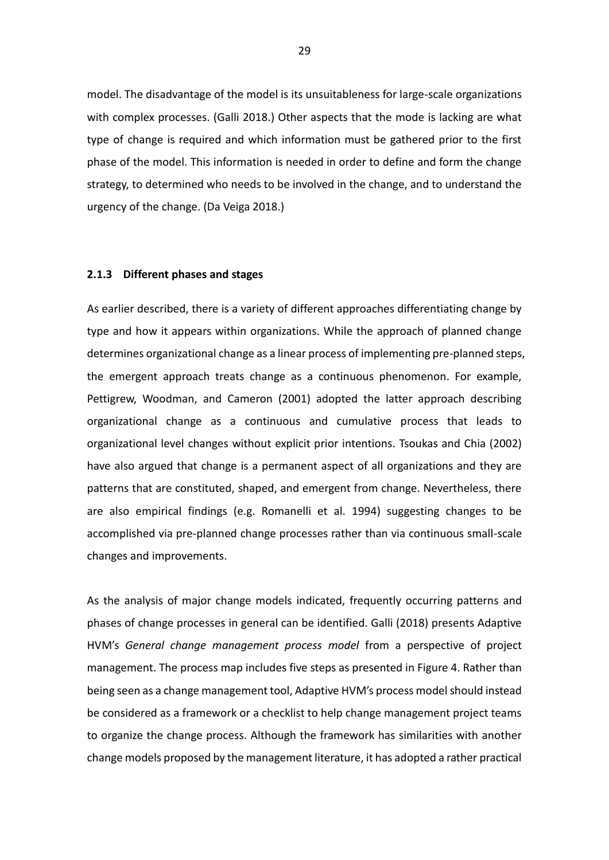model. The disadvantage of the model is its unsuitableness for large-scale organizations with complex processes. (Galli 2018.) Other aspects that the mode is lacking are what type of change is required and which information must be gathered prior to the first phase of the model. This information is needed in order to define and form the change strategy, to determined who needs to be involved in the change, and to understand the urgency of the change. (Da Veiga 2018.)

#### <span id="page-28-0"></span>**2.1.3 Different phases and stages**

As earlier described, there is a variety of different approaches differentiating change by type and how it appears within organizations. While the approach of planned change determines organizational change as a linear process of implementing pre-planned steps, the emergent approach treats change as a continuous phenomenon. For example, Pettigrew, Woodman, and Cameron (2001) adopted the latter approach describing organizational change as a continuous and cumulative process that leads to organizational level changes without explicit prior intentions. Tsoukas and Chia (2002) have also argued that change is a permanent aspect of all organizations and they are patterns that are constituted, shaped, and emergent from change. Nevertheless, there are also empirical findings (e.g. Romanelli et al. 1994) suggesting changes to be accomplished via pre-planned change processes rather than via continuous small-scale changes and improvements.

As the analysis of major change models indicated, frequently occurring patterns and phases of change processes in general can be identified. Galli (2018) presents Adaptive HVM's *General change management process model* from a perspective of project management. The process map includes five steps as presented in Figure 4. Rather than being seen as a change management tool, Adaptive HVM's process model should instead be considered as a framework or a checklist to help change management project teams to organize the change process. Although the framework has similarities with another change models proposed by the management literature, it has adopted a rather practical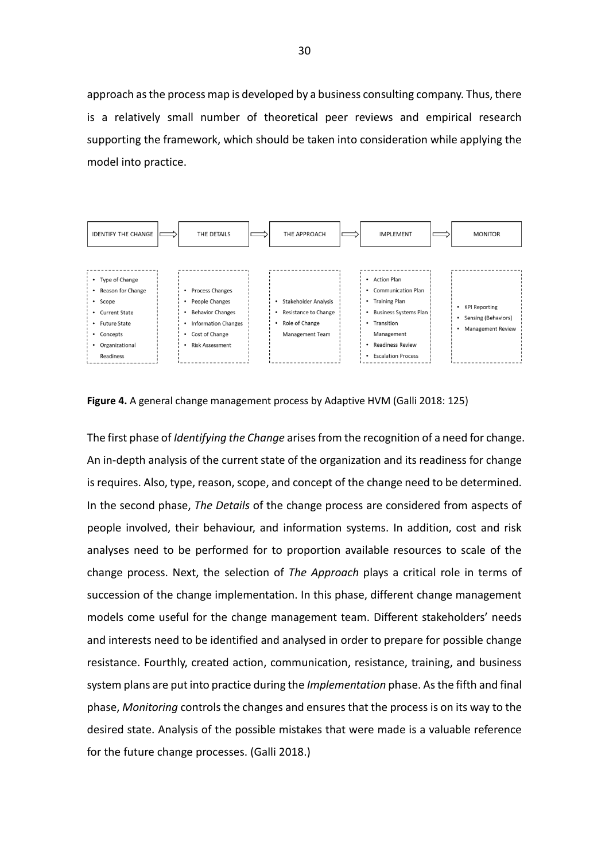approach as the process map is developed by a business consulting company. Thus, there is a relatively small number of theoretical peer reviews and empirical research supporting the framework, which should be taken into consideration while applying the model into practice.



<span id="page-29-0"></span>

The first phase of *Identifying the Change* arises from the recognition of a need for change. An in-depth analysis of the current state of the organization and its readiness for change is requires. Also, type, reason, scope, and concept of the change need to be determined. In the second phase, *The Details* of the change process are considered from aspects of people involved, their behaviour, and information systems. In addition, cost and risk analyses need to be performed for to proportion available resources to scale of the change process. Next, the selection of *The Approach* plays a critical role in terms of succession of the change implementation. In this phase, different change management models come useful for the change management team. Different stakeholders' needs and interests need to be identified and analysed in order to prepare for possible change resistance. Fourthly, created action, communication, resistance, training, and business system plans are put into practice during the *Implementation* phase. As the fifth and final phase, *Monitoring* controls the changes and ensures that the process is on its way to the desired state. Analysis of the possible mistakes that were made is a valuable reference for the future change processes. (Galli 2018.)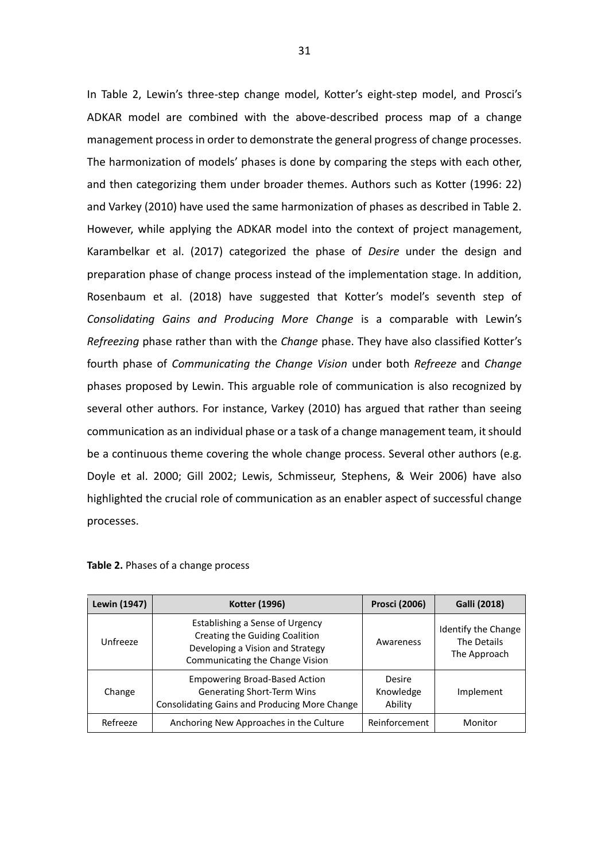In Table 2, Lewin's three-step change model, Kotter's eight-step model, and Prosci's ADKAR model are combined with the above-described process map of a change management process in order to demonstrate the general progress of change processes. The harmonization of models' phases is done by comparing the steps with each other, and then categorizing them under broader themes. Authors such as Kotter (1996: 22) and Varkey (2010) have used the same harmonization of phases as described in Table 2. However, while applying the ADKAR model into the context of project management, Karambelkar et al. (2017) categorized the phase of *Desire* under the design and preparation phase of change process instead of the implementation stage. In addition, Rosenbaum et al. (2018) have suggested that Kotter's model's seventh step of *Consolidating Gains and Producing More Change* is a comparable with Lewin's *Refreezing* phase rather than with the *Change* phase. They have also classified Kotter's fourth phase of *Communicating the Change Vision* under both *Refreeze* and *Change* phases proposed by Lewin. This arguable role of communication is also recognized by several other authors. For instance, Varkey (2010) has argued that rather than seeing communication as an individual phase or a task of a change management team, it should be a continuous theme covering the whole change process. Several other authors (e.g. Doyle et al. 2000; Gill 2002; Lewis, Schmisseur, Stephens, & Weir 2006) have also highlighted the crucial role of communication as an enabler aspect of successful change processes.

| Lewin (1947) | Kotter (1996)                                                                                                                            | <b>Prosci (2006)</b>           | Galli (2018)                                       |
|--------------|------------------------------------------------------------------------------------------------------------------------------------------|--------------------------------|----------------------------------------------------|
| Unfreeze     | Establishing a Sense of Urgency<br>Creating the Guiding Coalition<br>Developing a Vision and Strategy<br>Communicating the Change Vision | Awareness                      | Identify the Change<br>The Details<br>The Approach |
| Change       | <b>Empowering Broad-Based Action</b><br>Generating Short-Term Wins<br><b>Consolidating Gains and Producing More Change</b>               | Desire<br>Knowledge<br>Ability | Implement                                          |
| Refreeze     | Anchoring New Approaches in the Culture                                                                                                  | Reinforcement                  | Monitor                                            |

<span id="page-30-0"></span>

|  |  |  |  | Table 2. Phases of a change process |
|--|--|--|--|-------------------------------------|
|--|--|--|--|-------------------------------------|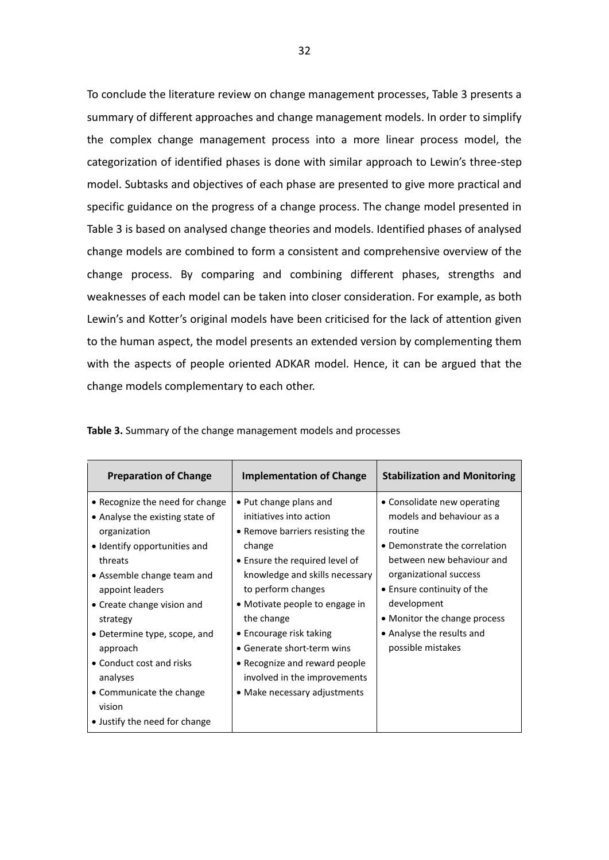To conclude the literature review on change management processes, Table 3 presents a summary of different approaches and change management models. In order to simplify the complex change management process into a more linear process model, the categorization of identified phases is done with similar approach to Lewin's three-step model. Subtasks and objectives of each phase are presented to give more practical and specific guidance on the progress of a change process. The change model presented in Table 3 is based on analysed change theories and models. Identified phases of analysed change models are combined to form a consistent and comprehensive overview of the change process. By comparing and combining different phases, strengths and weaknesses of each model can be taken into closer consideration. For example, as both Lewin's and Kotter's original models have been criticised for the lack of attention given to the human aspect, the model presents an extended version by complementing them with the aspects of people oriented ADKAR model. Hence, it can be argued that the change models complementary to each other.

| <b>Preparation of Change</b>                                                                                                                                                                                                                                                                                                                                                        | <b>Implementation of Change</b>                                                                                                                                                                                                                                                                                                                                                                            | <b>Stabilization and Monitoring</b>                                                                                                                                                                                                                                                        |
|-------------------------------------------------------------------------------------------------------------------------------------------------------------------------------------------------------------------------------------------------------------------------------------------------------------------------------------------------------------------------------------|------------------------------------------------------------------------------------------------------------------------------------------------------------------------------------------------------------------------------------------------------------------------------------------------------------------------------------------------------------------------------------------------------------|--------------------------------------------------------------------------------------------------------------------------------------------------------------------------------------------------------------------------------------------------------------------------------------------|
| • Recognize the need for change<br>• Analyse the existing state of<br>organization<br>• Identify opportunities and<br>threats<br>• Assemble change team and<br>appoint leaders<br>• Create change vision and<br>strategy<br>• Determine type, scope, and<br>approach<br>• Conduct cost and risks<br>analyses<br>• Communicate the change<br>vision<br>• Justify the need for change | • Put change plans and<br>initiatives into action<br>• Remove barriers resisting the<br>change<br>• Ensure the required level of<br>knowledge and skills necessary<br>to perform changes<br>• Motivate people to engage in<br>the change<br>$\bullet$ Encourage risk taking<br>• Generate short-term wins<br>• Recognize and reward people<br>involved in the improvements<br>• Make necessary adjustments | • Consolidate new operating<br>models and behaviour as a<br>routine<br>• Demonstrate the correlation<br>between new behaviour and<br>organizational success<br>• Ensure continuity of the<br>development<br>• Monitor the change process<br>• Analyse the results and<br>possible mistakes |

<span id="page-31-0"></span>**Table 3.** Summary of the change management models and processes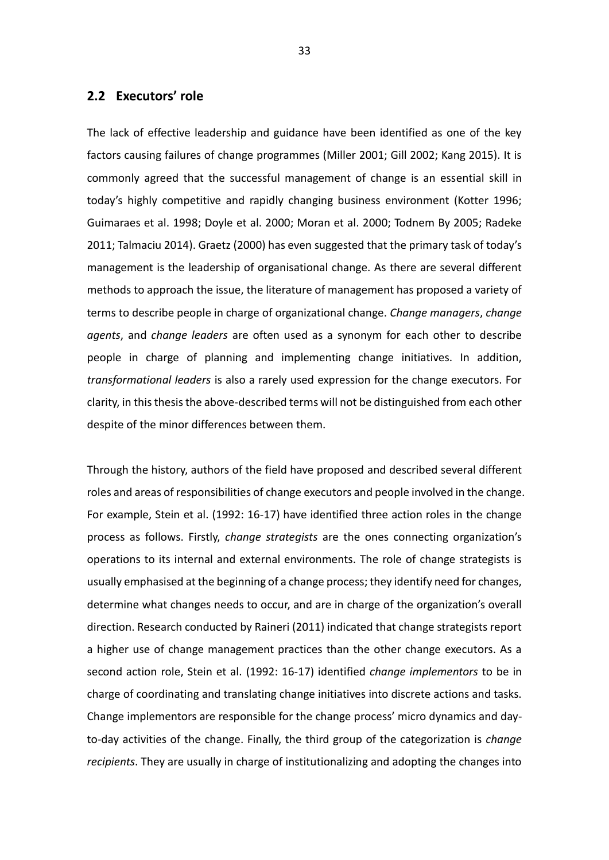### <span id="page-32-0"></span>**2.2 Executors' role**

The lack of effective leadership and guidance have been identified as one of the key factors causing failures of change programmes (Miller 2001; Gill 2002; Kang 2015). It is commonly agreed that the successful management of change is an essential skill in today's highly competitive and rapidly changing business environment (Kotter 1996; Guimaraes et al. 1998; Doyle et al. 2000; Moran et al. 2000; Todnem By 2005; Radeke 2011; Talmaciu 2014). Graetz (2000) has even suggested that the primary task of today's management is the leadership of organisational change. As there are several different methods to approach the issue, the literature of management has proposed a variety of terms to describe people in charge of organizational change. *Change managers*, *change agents*, and *change leaders* are often used as a synonym for each other to describe people in charge of planning and implementing change initiatives. In addition, *transformational leaders* is also a rarely used expression for the change executors. For clarity, in this thesis the above-described terms will not be distinguished from each other despite of the minor differences between them.

Through the history, authors of the field have proposed and described several different roles and areas of responsibilities of change executors and people involved in the change. For example, Stein et al. (1992: 16-17) have identified three action roles in the change process as follows. Firstly, *change strategists* are the ones connecting organization's operations to its internal and external environments. The role of change strategists is usually emphasised at the beginning of a change process; they identify need for changes, determine what changes needs to occur, and are in charge of the organization's overall direction. Research conducted by Raineri (2011) indicated that change strategists report a higher use of change management practices than the other change executors. As a second action role, Stein et al. (1992: 16-17) identified *change implementors* to be in charge of coordinating and translating change initiatives into discrete actions and tasks. Change implementors are responsible for the change process' micro dynamics and dayto-day activities of the change. Finally, the third group of the categorization is *change recipients*. They are usually in charge of institutionalizing and adopting the changes into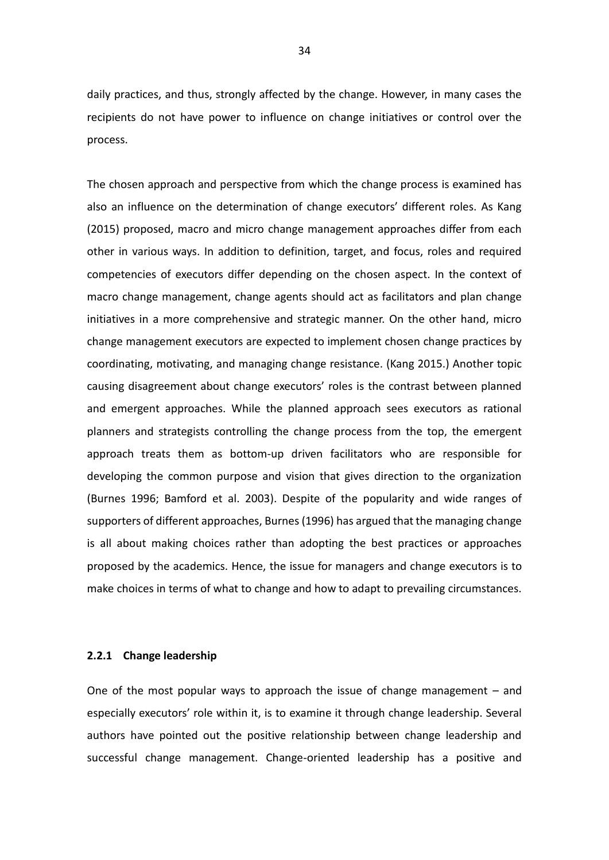daily practices, and thus, strongly affected by the change. However, in many cases the recipients do not have power to influence on change initiatives or control over the process.

The chosen approach and perspective from which the change process is examined has also an influence on the determination of change executors' different roles. As Kang (2015) proposed, macro and micro change management approaches differ from each other in various ways. In addition to definition, target, and focus, roles and required competencies of executors differ depending on the chosen aspect. In the context of macro change management, change agents should act as facilitators and plan change initiatives in a more comprehensive and strategic manner. On the other hand, micro change management executors are expected to implement chosen change practices by coordinating, motivating, and managing change resistance. (Kang 2015.) Another topic causing disagreement about change executors' roles is the contrast between planned and emergent approaches. While the planned approach sees executors as rational planners and strategists controlling the change process from the top, the emergent approach treats them as bottom-up driven facilitators who are responsible for developing the common purpose and vision that gives direction to the organization (Burnes 1996; Bamford et al. 2003). Despite of the popularity and wide ranges of supporters of different approaches, Burnes (1996) has argued that the managing change is all about making choices rather than adopting the best practices or approaches proposed by the academics. Hence, the issue for managers and change executors is to make choices in terms of what to change and how to adapt to prevailing circumstances.

#### <span id="page-33-0"></span>**2.2.1 Change leadership**

One of the most popular ways to approach the issue of change management  $-$  and especially executors' role within it, is to examine it through change leadership. Several authors have pointed out the positive relationship between change leadership and successful change management. Change-oriented leadership has a positive and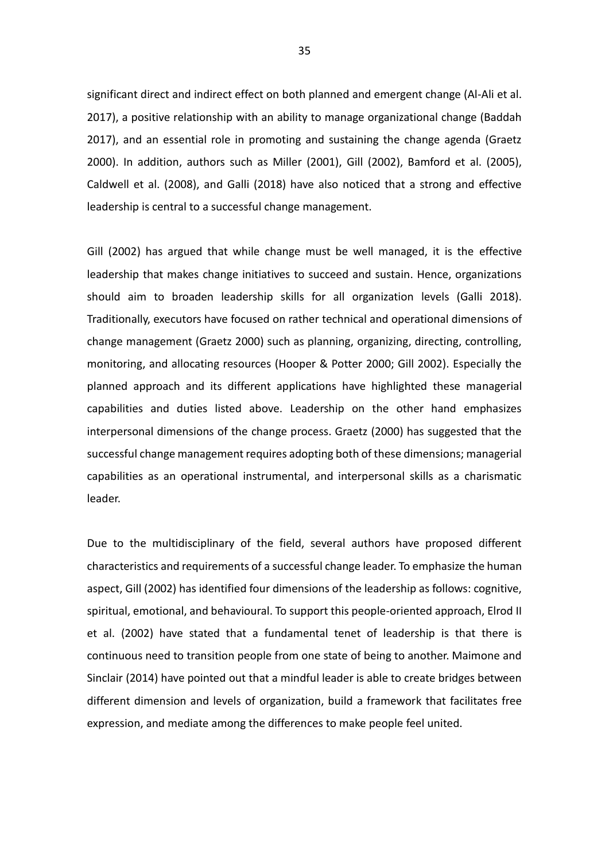significant direct and indirect effect on both planned and emergent change (Al-Ali et al. 2017), a positive relationship with an ability to manage organizational change (Baddah 2017), and an essential role in promoting and sustaining the change agenda (Graetz 2000). In addition, authors such as Miller (2001), Gill (2002), Bamford et al. (2005), Caldwell et al. (2008), and Galli (2018) have also noticed that a strong and effective leadership is central to a successful change management.

Gill (2002) has argued that while change must be well managed, it is the effective leadership that makes change initiatives to succeed and sustain. Hence, organizations should aim to broaden leadership skills for all organization levels (Galli 2018). Traditionally, executors have focused on rather technical and operational dimensions of change management (Graetz 2000) such as planning, organizing, directing, controlling, monitoring, and allocating resources (Hooper & Potter 2000; Gill 2002). Especially the planned approach and its different applications have highlighted these managerial capabilities and duties listed above. Leadership on the other hand emphasizes interpersonal dimensions of the change process. Graetz (2000) has suggested that the successful change management requires adopting both of these dimensions; managerial capabilities as an operational instrumental, and interpersonal skills as a charismatic leader.

Due to the multidisciplinary of the field, several authors have proposed different characteristics and requirements of a successful change leader. To emphasize the human aspect, Gill (2002) has identified four dimensions of the leadership as follows: cognitive, spiritual, emotional, and behavioural. To support this people-oriented approach, Elrod II et al. (2002) have stated that a fundamental tenet of leadership is that there is continuous need to transition people from one state of being to another. Maimone and Sinclair (2014) have pointed out that a mindful leader is able to create bridges between different dimension and levels of organization, build a framework that facilitates free expression, and mediate among the differences to make people feel united.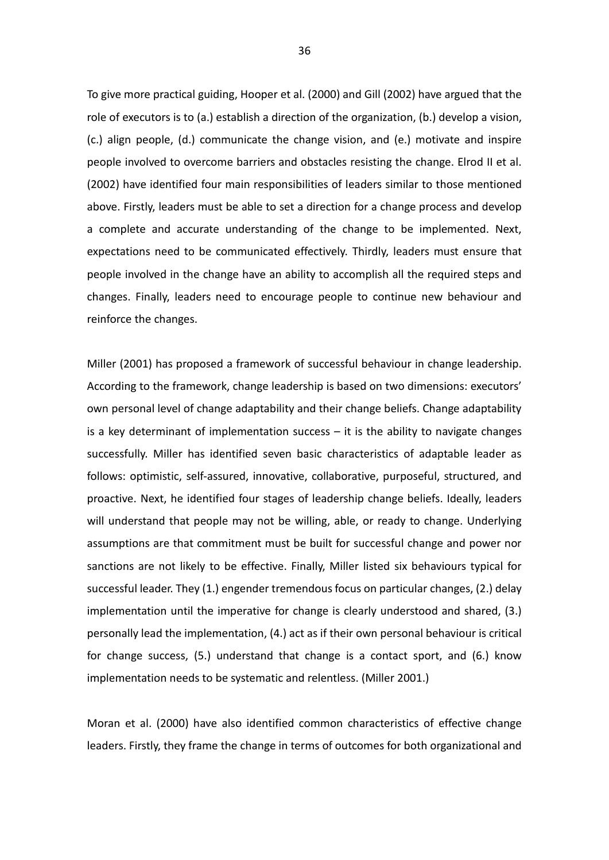To give more practical guiding, Hooper et al. (2000) and Gill (2002) have argued that the role of executors is to (a.) establish a direction of the organization, (b.) develop a vision, (c.) align people, (d.) communicate the change vision, and (e.) motivate and inspire people involved to overcome barriers and obstacles resisting the change. Elrod II et al. (2002) have identified four main responsibilities of leaders similar to those mentioned above. Firstly, leaders must be able to set a direction for a change process and develop a complete and accurate understanding of the change to be implemented. Next, expectations need to be communicated effectively. Thirdly, leaders must ensure that people involved in the change have an ability to accomplish all the required steps and changes. Finally, leaders need to encourage people to continue new behaviour and reinforce the changes.

Miller (2001) has proposed a framework of successful behaviour in change leadership. According to the framework, change leadership is based on two dimensions: executors' own personal level of change adaptability and their change beliefs. Change adaptability is a key determinant of implementation success  $-$  it is the ability to navigate changes successfully. Miller has identified seven basic characteristics of adaptable leader as follows: optimistic, self-assured, innovative, collaborative, purposeful, structured, and proactive. Next, he identified four stages of leadership change beliefs. Ideally, leaders will understand that people may not be willing, able, or ready to change. Underlying assumptions are that commitment must be built for successful change and power nor sanctions are not likely to be effective. Finally, Miller listed six behaviours typical for successful leader. They (1.) engender tremendous focus on particular changes, (2.) delay implementation until the imperative for change is clearly understood and shared, (3.) personally lead the implementation, (4.) act as if their own personal behaviour is critical for change success, (5.) understand that change is a contact sport, and (6.) know implementation needs to be systematic and relentless. (Miller 2001.)

Moran et al. (2000) have also identified common characteristics of effective change leaders. Firstly, they frame the change in terms of outcomes for both organizational and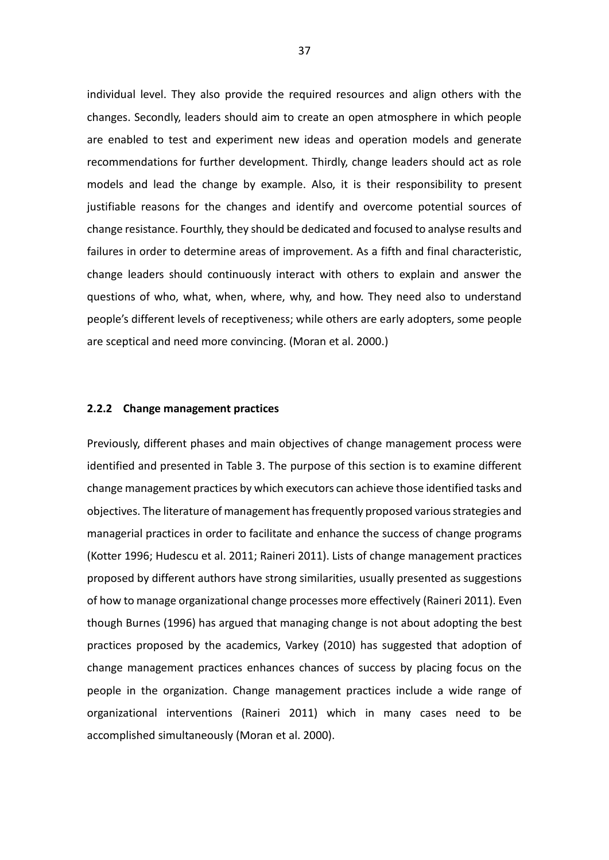individual level. They also provide the required resources and align others with the changes. Secondly, leaders should aim to create an open atmosphere in which people are enabled to test and experiment new ideas and operation models and generate recommendations for further development. Thirdly, change leaders should act as role models and lead the change by example. Also, it is their responsibility to present justifiable reasons for the changes and identify and overcome potential sources of change resistance. Fourthly, they should be dedicated and focused to analyse results and failures in order to determine areas of improvement. As a fifth and final characteristic, change leaders should continuously interact with others to explain and answer the questions of who, what, when, where, why, and how. They need also to understand people's different levels of receptiveness; while others are early adopters, some people are sceptical and need more convincing. (Moran et al. 2000.)

#### **2.2.2 Change management practices**

Previously, different phases and main objectives of change management process were identified and presented in Table 3. The purpose of this section is to examine different change management practices by which executors can achieve those identified tasks and objectives. The literature of management has frequently proposed various strategies and managerial practices in order to facilitate and enhance the success of change programs (Kotter 1996; Hudescu et al. 2011; Raineri 2011). Lists of change management practices proposed by different authors have strong similarities, usually presented as suggestions of how to manage organizational change processes more effectively (Raineri 2011). Even though Burnes (1996) has argued that managing change is not about adopting the best practices proposed by the academics, Varkey (2010) has suggested that adoption of change management practices enhances chances of success by placing focus on the people in the organization. Change management practices include a wide range of organizational interventions (Raineri 2011) which in many cases need to be accomplished simultaneously (Moran et al. 2000).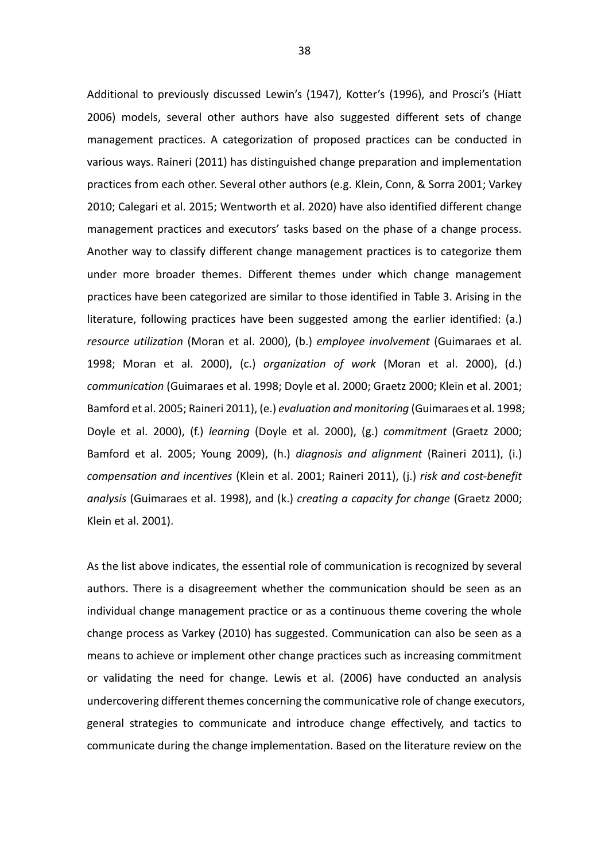Additional to previously discussed Lewin's (1947), Kotter's (1996), and Prosci's (Hiatt 2006) models, several other authors have also suggested different sets of change management practices. A categorization of proposed practices can be conducted in various ways. Raineri (2011) has distinguished change preparation and implementation practices from each other. Several other authors (e.g. Klein, Conn, & Sorra 2001; Varkey 2010; Calegari et al. 2015; Wentworth et al. 2020) have also identified different change management practices and executors' tasks based on the phase of a change process. Another way to classify different change management practices is to categorize them under more broader themes. Different themes under which change management practices have been categorized are similar to those identified in Table 3. Arising in the literature, following practices have been suggested among the earlier identified: (a.) *resource utilization* (Moran et al. 2000), (b.) *employee involvement* (Guimaraes et al. 1998; Moran et al. 2000), (c.) *organization of work* (Moran et al. 2000), (d.) *communication* (Guimaraes et al. 1998; Doyle et al. 2000; Graetz 2000; Klein et al. 2001; Bamford et al. 2005; Raineri 2011), (e.) *evaluation and monitoring* (Guimaraes et al. 1998; Doyle et al. 2000), (f.) *learning* (Doyle et al. 2000), (g.) *commitment* (Graetz 2000; Bamford et al. 2005; Young 2009), (h.) *diagnosis and alignment* (Raineri 2011), (i.) *compensation and incentives* (Klein et al. 2001; Raineri 2011), (j.) *risk and cost-benefit analysis* (Guimaraes et al. 1998), and (k.) *creating a capacity for change* (Graetz 2000; Klein et al. 2001).

As the list above indicates, the essential role of communication is recognized by several authors. There is a disagreement whether the communication should be seen as an individual change management practice or as a continuous theme covering the whole change process as Varkey (2010) has suggested. Communication can also be seen as a means to achieve or implement other change practices such as increasing commitment or validating the need for change. Lewis et al. (2006) have conducted an analysis undercovering different themes concerning the communicative role of change executors, general strategies to communicate and introduce change effectively, and tactics to communicate during the change implementation. Based on the literature review on the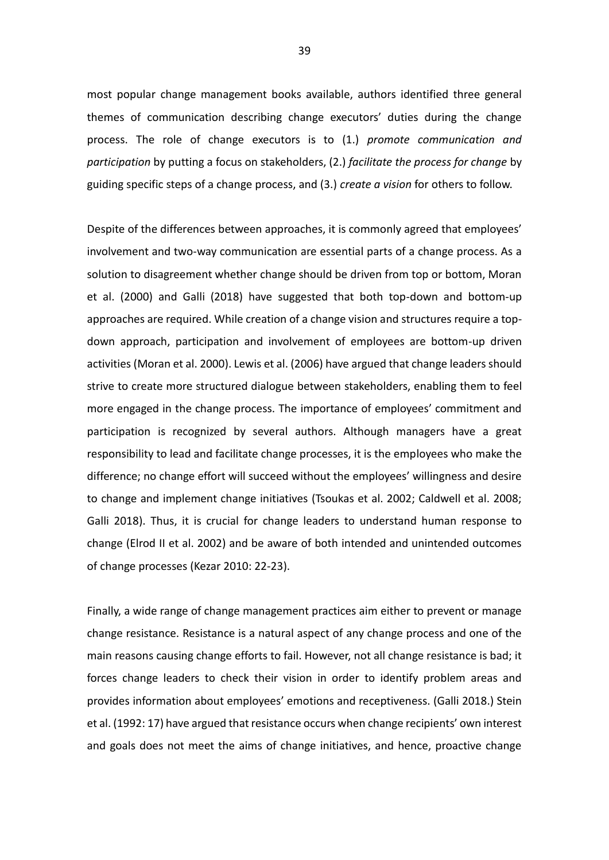most popular change management books available, authors identified three general themes of communication describing change executors' duties during the change process. The role of change executors is to (1.) *promote communication and participation* by putting a focus on stakeholders, (2.) *facilitate the process for change* by guiding specific steps of a change process, and (3.) *create a vision* for others to follow.

Despite of the differences between approaches, it is commonly agreed that employees' involvement and two-way communication are essential parts of a change process. As a solution to disagreement whether change should be driven from top or bottom, Moran et al. (2000) and Galli (2018) have suggested that both top-down and bottom-up approaches are required. While creation of a change vision and structures require a topdown approach, participation and involvement of employees are bottom-up driven activities (Moran et al. 2000). Lewis et al. (2006) have argued that change leaders should strive to create more structured dialogue between stakeholders, enabling them to feel more engaged in the change process. The importance of employees' commitment and participation is recognized by several authors. Although managers have a great responsibility to lead and facilitate change processes, it is the employees who make the difference; no change effort will succeed without the employees' willingness and desire to change and implement change initiatives (Tsoukas et al. 2002; Caldwell et al. 2008; Galli 2018). Thus, it is crucial for change leaders to understand human response to change (Elrod II et al. 2002) and be aware of both intended and unintended outcomes of change processes (Kezar 2010: 22-23).

Finally, a wide range of change management practices aim either to prevent or manage change resistance. Resistance is a natural aspect of any change process and one of the main reasons causing change efforts to fail. However, not all change resistance is bad; it forces change leaders to check their vision in order to identify problem areas and provides information about employees' emotions and receptiveness. (Galli 2018.) Stein et al. (1992: 17) have argued that resistance occurs when change recipients' own interest and goals does not meet the aims of change initiatives, and hence, proactive change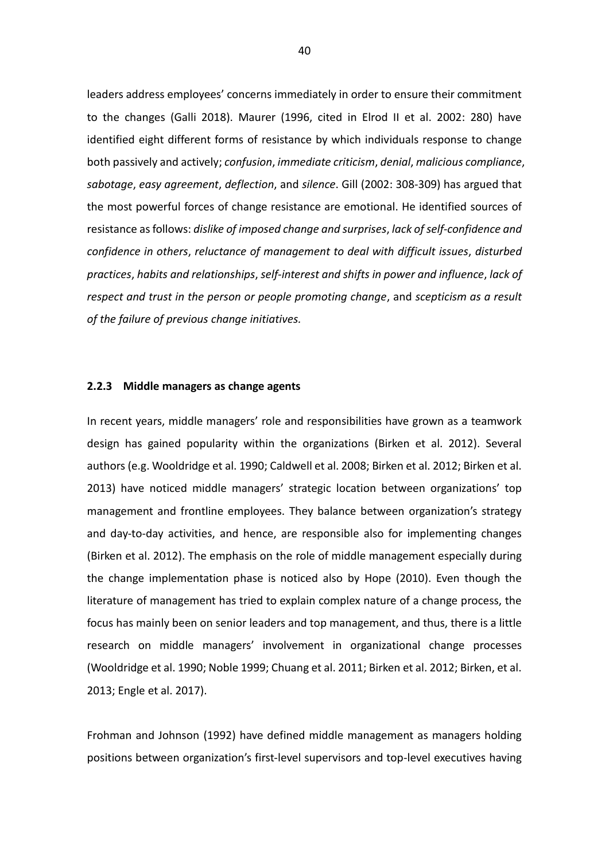leaders address employees' concerns immediately in order to ensure their commitment to the changes (Galli 2018). Maurer (1996, cited in Elrod II et al. 2002: 280) have identified eight different forms of resistance by which individuals response to change both passively and actively; *confusion*, *immediate criticism*, *denial*, *malicious compliance*, *sabotage*, *easy agreement*, *deflection*, and *silence*. Gill (2002: 308-309) has argued that the most powerful forces of change resistance are emotional. He identified sources of resistance as follows: *dislike of imposed change and surprises*, *lack of self-confidence and confidence in others*, *reluctance of management to deal with difficult issues*, *disturbed practices*, *habits and relationships*, *self-interest and shifts in power and influence*, *lack of respect and trust in the person or people promoting change*, and *scepticism as a result of the failure of previous change initiatives.*

#### **2.2.3 Middle managers as change agents**

In recent years, middle managers' role and responsibilities have grown as a teamwork design has gained popularity within the organizations (Birken et al. 2012). Several authors (e.g. Wooldridge et al. 1990; Caldwell et al. 2008; Birken et al. 2012; Birken et al. 2013) have noticed middle managers' strategic location between organizations' top management and frontline employees. They balance between organization's strategy and day-to-day activities, and hence, are responsible also for implementing changes (Birken et al. 2012). The emphasis on the role of middle management especially during the change implementation phase is noticed also by Hope (2010). Even though the literature of management has tried to explain complex nature of a change process, the focus has mainly been on senior leaders and top management, and thus, there is a little research on middle managers' involvement in organizational change processes (Wooldridge et al. 1990; Noble 1999; Chuang et al. 2011; Birken et al. 2012; Birken, et al. 2013; Engle et al. 2017).

Frohman and Johnson (1992) have defined middle management as managers holding positions between organization's first-level supervisors and top-level executives having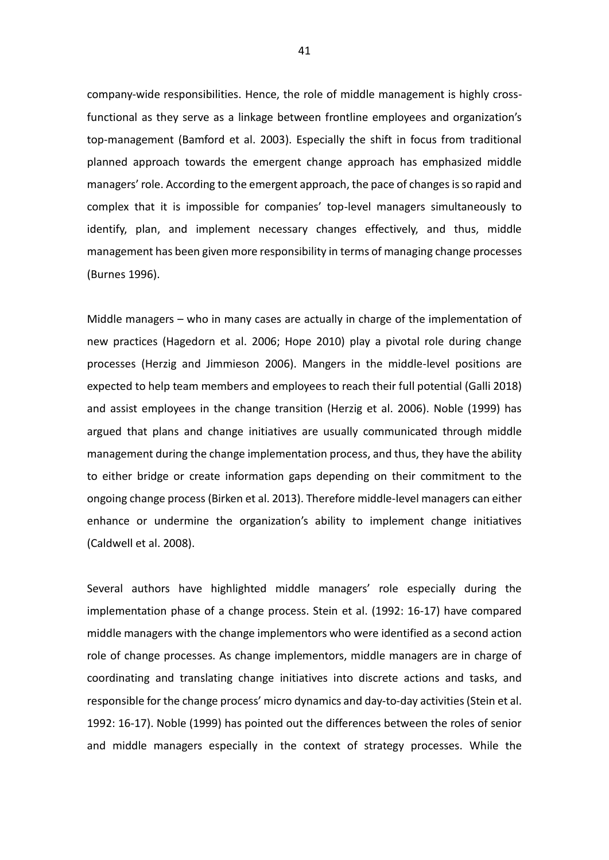company-wide responsibilities. Hence, the role of middle management is highly crossfunctional as they serve as a linkage between frontline employees and organization's top-management (Bamford et al. 2003). Especially the shift in focus from traditional planned approach towards the emergent change approach has emphasized middle managers' role. According to the emergent approach, the pace of changes is so rapid and complex that it is impossible for companies' top-level managers simultaneously to identify, plan, and implement necessary changes effectively, and thus, middle management has been given more responsibility in terms of managing change processes (Burnes 1996).

Middle managers – who in many cases are actually in charge of the implementation of new practices (Hagedorn et al. 2006; Hope 2010) play a pivotal role during change processes (Herzig and Jimmieson 2006). Mangers in the middle-level positions are expected to help team members and employees to reach their full potential (Galli 2018) and assist employees in the change transition (Herzig et al. 2006). Noble (1999) has argued that plans and change initiatives are usually communicated through middle management during the change implementation process, and thus, they have the ability to either bridge or create information gaps depending on their commitment to the ongoing change process (Birken et al. 2013). Therefore middle-level managers can either enhance or undermine the organization's ability to implement change initiatives (Caldwell et al. 2008).

Several authors have highlighted middle managers' role especially during the implementation phase of a change process. Stein et al. (1992: 16-17) have compared middle managers with the change implementors who were identified as a second action role of change processes. As change implementors, middle managers are in charge of coordinating and translating change initiatives into discrete actions and tasks, and responsible for the change process' micro dynamics and day-to-day activities (Stein et al. 1992: 16-17). Noble (1999) has pointed out the differences between the roles of senior and middle managers especially in the context of strategy processes. While the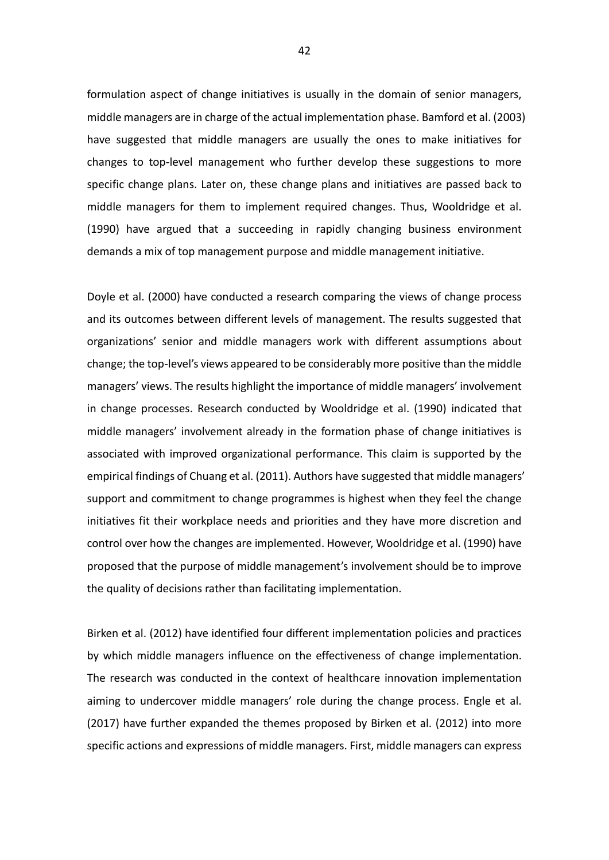formulation aspect of change initiatives is usually in the domain of senior managers, middle managers are in charge of the actual implementation phase. Bamford et al. (2003) have suggested that middle managers are usually the ones to make initiatives for changes to top-level management who further develop these suggestions to more specific change plans. Later on, these change plans and initiatives are passed back to middle managers for them to implement required changes. Thus, Wooldridge et al. (1990) have argued that a succeeding in rapidly changing business environment demands a mix of top management purpose and middle management initiative.

Doyle et al. (2000) have conducted a research comparing the views of change process and its outcomes between different levels of management. The results suggested that organizations' senior and middle managers work with different assumptions about change; the top-level's views appeared to be considerably more positive than the middle managers' views. The results highlight the importance of middle managers' involvement in change processes. Research conducted by Wooldridge et al. (1990) indicated that middle managers' involvement already in the formation phase of change initiatives is associated with improved organizational performance. This claim is supported by the empirical findings of Chuang et al. (2011). Authors have suggested that middle managers' support and commitment to change programmes is highest when they feel the change initiatives fit their workplace needs and priorities and they have more discretion and control over how the changes are implemented. However, Wooldridge et al. (1990) have proposed that the purpose of middle management's involvement should be to improve the quality of decisions rather than facilitating implementation.

Birken et al. (2012) have identified four different implementation policies and practices by which middle managers influence on the effectiveness of change implementation. The research was conducted in the context of healthcare innovation implementation aiming to undercover middle managers' role during the change process. Engle et al. (2017) have further expanded the themes proposed by Birken et al. (2012) into more specific actions and expressions of middle managers. First, middle managers can express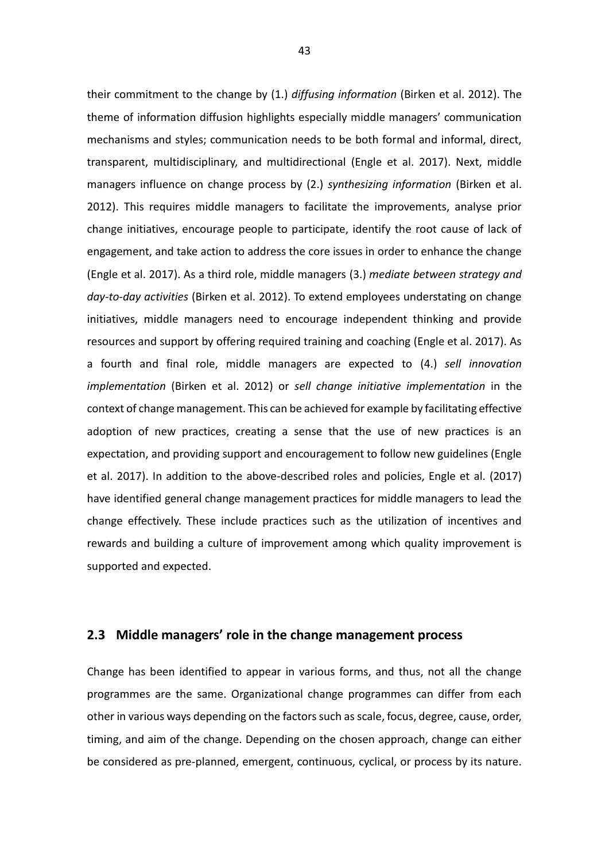their commitment to the change by (1.) *diffusing information* (Birken et al. 2012). The theme of information diffusion highlights especially middle managers' communication mechanisms and styles; communication needs to be both formal and informal, direct, transparent, multidisciplinary, and multidirectional (Engle et al. 2017). Next, middle managers influence on change process by (2.) *synthesizing information* (Birken et al. 2012). This requires middle managers to facilitate the improvements, analyse prior change initiatives, encourage people to participate, identify the root cause of lack of engagement, and take action to address the core issues in order to enhance the change (Engle et al. 2017). As a third role, middle managers (3.) *mediate between strategy and day-to-day activities* (Birken et al. 2012). To extend employees understating on change initiatives, middle managers need to encourage independent thinking and provide resources and support by offering required training and coaching (Engle et al. 2017). As a fourth and final role, middle managers are expected to (4.) *sell innovation implementation* (Birken et al. 2012) or *sell change initiative implementation* in the context of change management. This can be achieved for example by facilitating effective adoption of new practices, creating a sense that the use of new practices is an expectation, and providing support and encouragement to follow new guidelines (Engle et al. 2017). In addition to the above-described roles and policies, Engle et al. (2017) have identified general change management practices for middle managers to lead the change effectively. These include practices such as the utilization of incentives and rewards and building a culture of improvement among which quality improvement is supported and expected.

# **2.3 Middle managers' role in the change management process**

Change has been identified to appear in various forms, and thus, not all the change programmes are the same. Organizational change programmes can differ from each other in various ways depending on the factors such as scale, focus, degree, cause, order, timing, and aim of the change. Depending on the chosen approach, change can either be considered as pre-planned, emergent, continuous, cyclical, or process by its nature.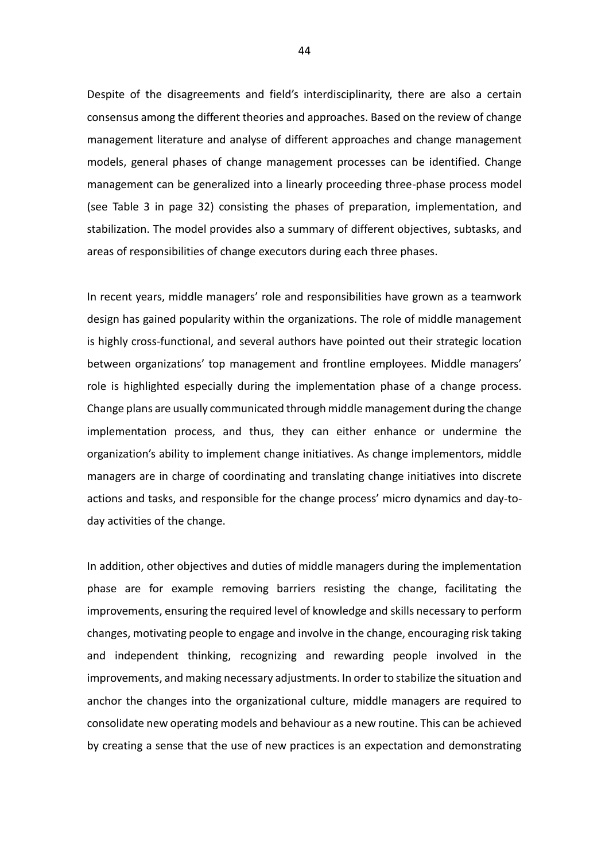Despite of the disagreements and field's interdisciplinarity, there are also a certain consensus among the different theories and approaches. Based on the review of change management literature and analyse of different approaches and change management models, general phases of change management processes can be identified. Change management can be generalized into a linearly proceeding three-phase process model (see Table 3 in page 32) consisting the phases of preparation, implementation, and stabilization. The model provides also a summary of different objectives, subtasks, and areas of responsibilities of change executors during each three phases.

In recent years, middle managers' role and responsibilities have grown as a teamwork design has gained popularity within the organizations. The role of middle management is highly cross-functional, and several authors have pointed out their strategic location between organizations' top management and frontline employees. Middle managers' role is highlighted especially during the implementation phase of a change process. Change plans are usually communicated through middle management during the change implementation process, and thus, they can either enhance or undermine the organization's ability to implement change initiatives. As change implementors, middle managers are in charge of coordinating and translating change initiatives into discrete actions and tasks, and responsible for the change process' micro dynamics and day-today activities of the change.

In addition, other objectives and duties of middle managers during the implementation phase are for example removing barriers resisting the change, facilitating the improvements, ensuring the required level of knowledge and skills necessary to perform changes, motivating people to engage and involve in the change, encouraging risk taking and independent thinking, recognizing and rewarding people involved in the improvements, and making necessary adjustments. In order to stabilize the situation and anchor the changes into the organizational culture, middle managers are required to consolidate new operating models and behaviour as a new routine. This can be achieved by creating a sense that the use of new practices is an expectation and demonstrating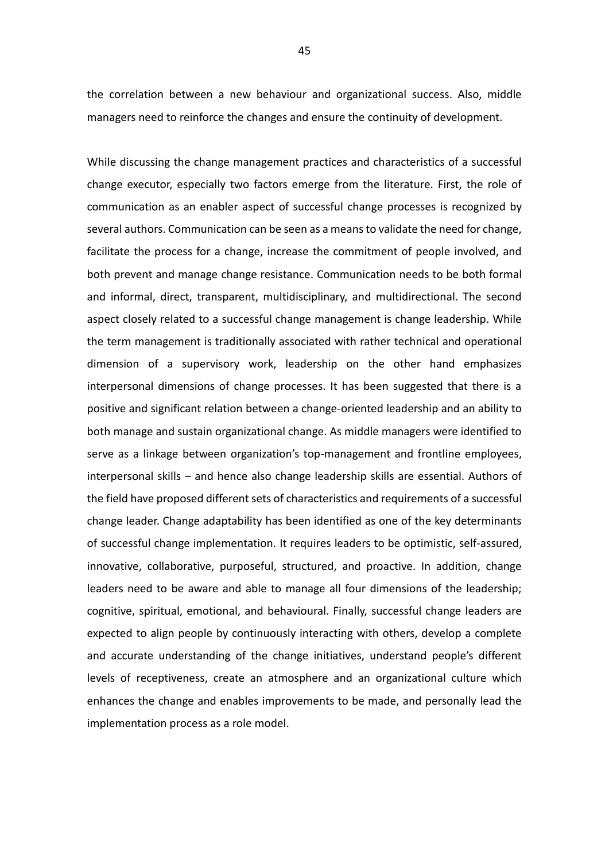the correlation between a new behaviour and organizational success. Also, middle managers need to reinforce the changes and ensure the continuity of development.

While discussing the change management practices and characteristics of a successful change executor, especially two factors emerge from the literature. First, the role of communication as an enabler aspect of successful change processes is recognized by several authors. Communication can be seen as a means to validate the need for change, facilitate the process for a change, increase the commitment of people involved, and both prevent and manage change resistance. Communication needs to be both formal and informal, direct, transparent, multidisciplinary, and multidirectional. The second aspect closely related to a successful change management is change leadership. While the term management is traditionally associated with rather technical and operational dimension of a supervisory work, leadership on the other hand emphasizes interpersonal dimensions of change processes. It has been suggested that there is a positive and significant relation between a change-oriented leadership and an ability to both manage and sustain organizational change. As middle managers were identified to serve as a linkage between organization's top-management and frontline employees, interpersonal skills – and hence also change leadership skills are essential. Authors of the field have proposed different sets of characteristics and requirements of a successful change leader. Change adaptability has been identified as one of the key determinants of successful change implementation. It requires leaders to be optimistic, self-assured, innovative, collaborative, purposeful, structured, and proactive. In addition, change leaders need to be aware and able to manage all four dimensions of the leadership; cognitive, spiritual, emotional, and behavioural. Finally, successful change leaders are expected to align people by continuously interacting with others, develop a complete and accurate understanding of the change initiatives, understand people's different levels of receptiveness, create an atmosphere and an organizational culture which enhances the change and enables improvements to be made, and personally lead the implementation process as a role model.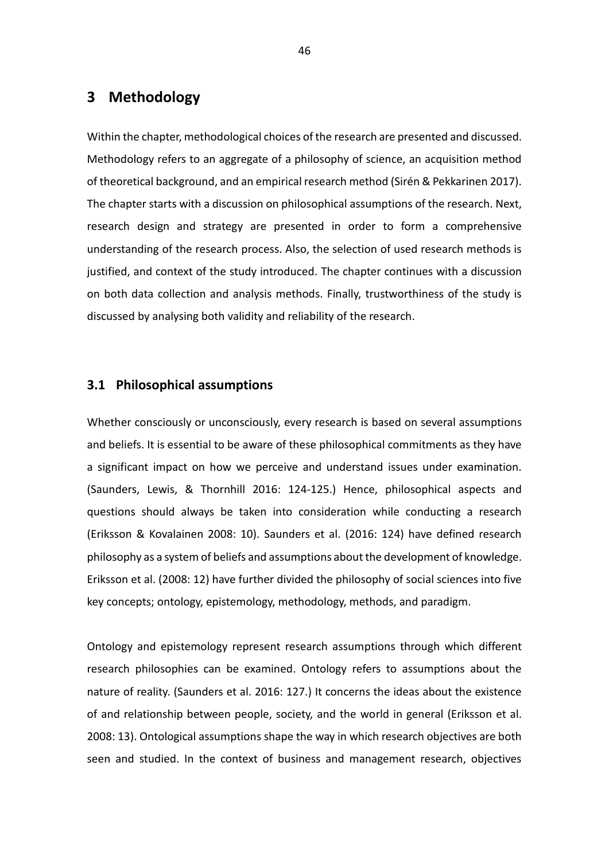# **3 Methodology**

Within the chapter, methodological choices of the research are presented and discussed. Methodology refers to an aggregate of a philosophy of science, an acquisition method of theoretical background, and an empirical research method (Sirén & Pekkarinen 2017). The chapter starts with a discussion on philosophical assumptions of the research. Next, research design and strategy are presented in order to form a comprehensive understanding of the research process. Also, the selection of used research methods is justified, and context of the study introduced. The chapter continues with a discussion on both data collection and analysis methods. Finally, trustworthiness of the study is discussed by analysing both validity and reliability of the research.

# **3.1 Philosophical assumptions**

Whether consciously or unconsciously, every research is based on several assumptions and beliefs. It is essential to be aware of these philosophical commitments as they have a significant impact on how we perceive and understand issues under examination. (Saunders, Lewis, & Thornhill 2016: 124-125.) Hence, philosophical aspects and questions should always be taken into consideration while conducting a research (Eriksson & Kovalainen 2008: 10). Saunders et al. (2016: 124) have defined research philosophy as a system of beliefs and assumptions about the development of knowledge. Eriksson et al. (2008: 12) have further divided the philosophy of social sciences into five key concepts; ontology, epistemology, methodology, methods, and paradigm.

Ontology and epistemology represent research assumptions through which different research philosophies can be examined. Ontology refers to assumptions about the nature of reality. (Saunders et al. 2016: 127.) It concerns the ideas about the existence of and relationship between people, society, and the world in general (Eriksson et al. 2008: 13). Ontological assumptions shape the way in which research objectives are both seen and studied. In the context of business and management research, objectives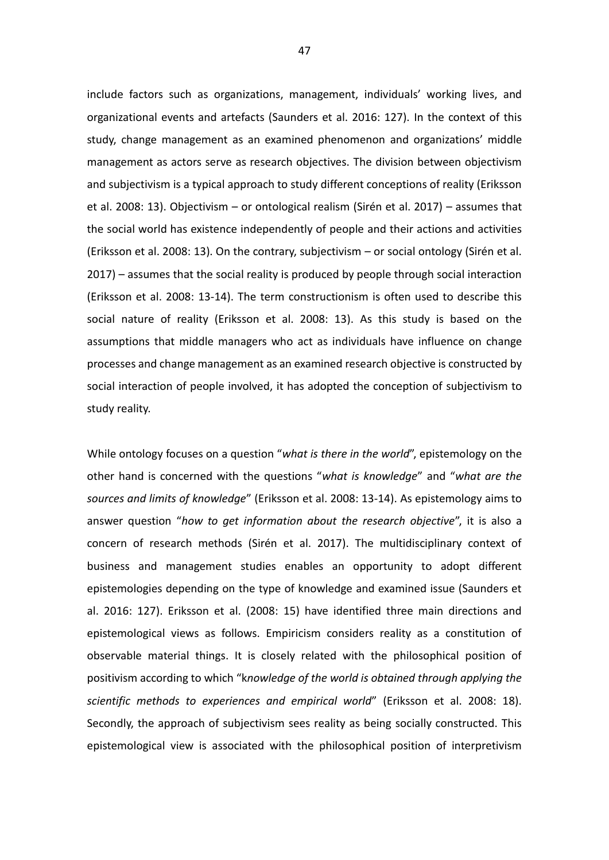include factors such as organizations, management, individuals' working lives, and organizational events and artefacts (Saunders et al. 2016: 127). In the context of this study, change management as an examined phenomenon and organizations' middle management as actors serve as research objectives. The division between objectivism and subjectivism is a typical approach to study different conceptions of reality (Eriksson et al. 2008: 13). Objectivism – or ontological realism (Sirén et al. 2017) – assumes that the social world has existence independently of people and their actions and activities (Eriksson et al. 2008: 13). On the contrary, subjectivism – or social ontology (Sirén et al. 2017) – assumes that the social reality is produced by people through social interaction (Eriksson et al. 2008: 13-14). The term constructionism is often used to describe this social nature of reality (Eriksson et al. 2008: 13). As this study is based on the assumptions that middle managers who act as individuals have influence on change processes and change management as an examined research objective is constructed by social interaction of people involved, it has adopted the conception of subjectivism to study reality.

While ontology focuses on a question "*what is there in the world*", epistemology on the other hand is concerned with the questions "*what is knowledge*" and "*what are the sources and limits of knowledge*" (Eriksson et al. 2008: 13-14). As epistemology aims to answer question "*how to get information about the research objective*", it is also a concern of research methods (Sirén et al. 2017). The multidisciplinary context of business and management studies enables an opportunity to adopt different epistemologies depending on the type of knowledge and examined issue (Saunders et al. 2016: 127). Eriksson et al. (2008: 15) have identified three main directions and epistemological views as follows. Empiricism considers reality as a constitution of observable material things. It is closely related with the philosophical position of positivism according to which "k*nowledge of the world is obtained through applying the scientific methods to experiences and empirical world*" (Eriksson et al. 2008: 18). Secondly, the approach of subjectivism sees reality as being socially constructed. This epistemological view is associated with the philosophical position of interpretivism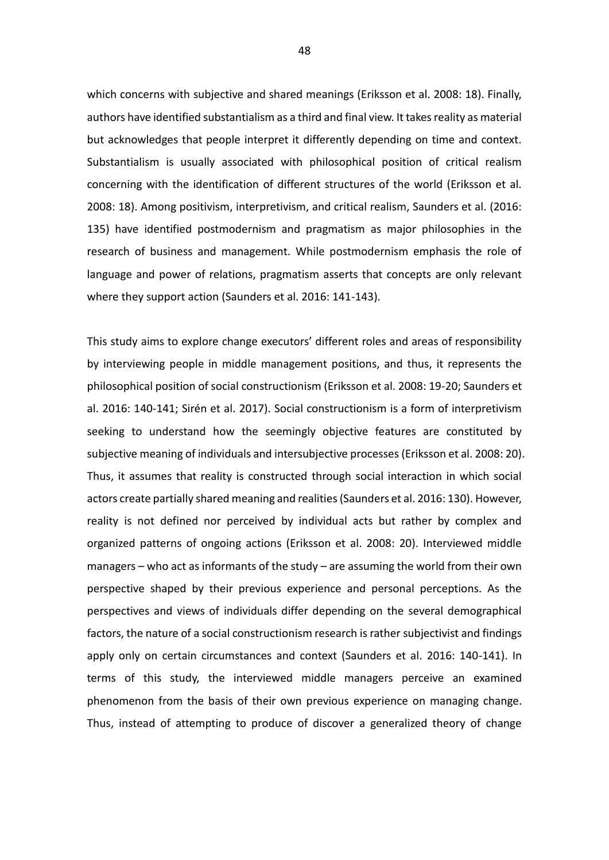which concerns with subjective and shared meanings (Eriksson et al. 2008: 18). Finally, authors have identified substantialism as a third and final view. It takes reality as material but acknowledges that people interpret it differently depending on time and context. Substantialism is usually associated with philosophical position of critical realism concerning with the identification of different structures of the world (Eriksson et al. 2008: 18). Among positivism, interpretivism, and critical realism, Saunders et al. (2016: 135) have identified postmodernism and pragmatism as major philosophies in the research of business and management. While postmodernism emphasis the role of language and power of relations, pragmatism asserts that concepts are only relevant where they support action (Saunders et al. 2016: 141-143).

This study aims to explore change executors' different roles and areas of responsibility by interviewing people in middle management positions, and thus, it represents the philosophical position of social constructionism (Eriksson et al. 2008: 19-20; Saunders et al. 2016: 140-141; Sirén et al. 2017). Social constructionism is a form of interpretivism seeking to understand how the seemingly objective features are constituted by subjective meaning of individuals and intersubjective processes (Eriksson et al. 2008: 20). Thus, it assumes that reality is constructed through social interaction in which social actors create partially shared meaning and realities (Saunders et al. 2016: 130). However, reality is not defined nor perceived by individual acts but rather by complex and organized patterns of ongoing actions (Eriksson et al. 2008: 20). Interviewed middle managers – who act as informants of the study – are assuming the world from their own perspective shaped by their previous experience and personal perceptions. As the perspectives and views of individuals differ depending on the several demographical factors, the nature of a social constructionism research is rather subjectivist and findings apply only on certain circumstances and context (Saunders et al. 2016: 140-141). In terms of this study, the interviewed middle managers perceive an examined phenomenon from the basis of their own previous experience on managing change. Thus, instead of attempting to produce of discover a generalized theory of change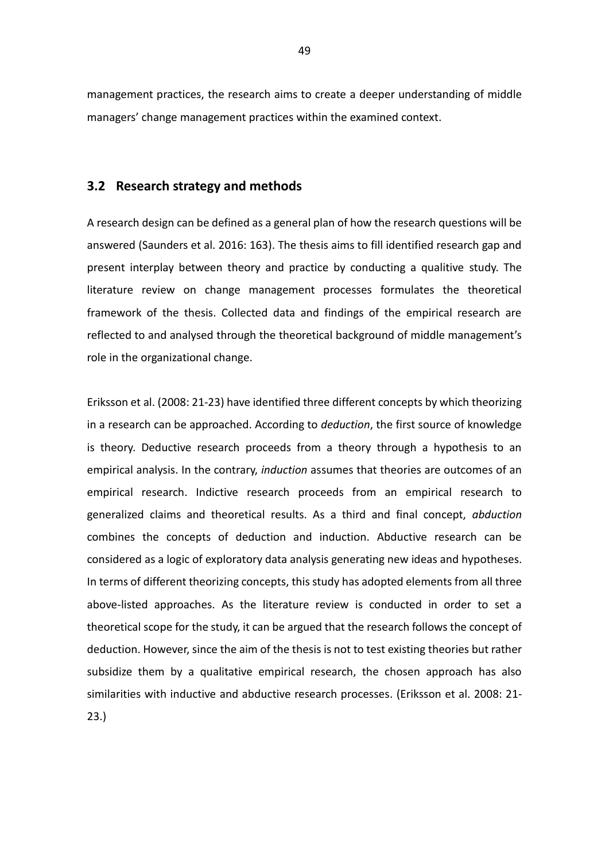management practices, the research aims to create a deeper understanding of middle managers' change management practices within the examined context.

# **3.2 Research strategy and methods**

A research design can be defined as a general plan of how the research questions will be answered (Saunders et al. 2016: 163). The thesis aims to fill identified research gap and present interplay between theory and practice by conducting a qualitive study. The literature review on change management processes formulates the theoretical framework of the thesis. Collected data and findings of the empirical research are reflected to and analysed through the theoretical background of middle management's role in the organizational change.

Eriksson et al. (2008: 21-23) have identified three different concepts by which theorizing in a research can be approached. According to *deduction*, the first source of knowledge is theory. Deductive research proceeds from a theory through a hypothesis to an empirical analysis. In the contrary, *induction* assumes that theories are outcomes of an empirical research. Indictive research proceeds from an empirical research to generalized claims and theoretical results. As a third and final concept, *abduction* combines the concepts of deduction and induction. Abductive research can be considered as a logic of exploratory data analysis generating new ideas and hypotheses. In terms of different theorizing concepts, this study has adopted elements from all three above-listed approaches. As the literature review is conducted in order to set a theoretical scope for the study, it can be argued that the research follows the concept of deduction. However, since the aim of the thesis is not to test existing theories but rather subsidize them by a qualitative empirical research, the chosen approach has also similarities with inductive and abductive research processes. (Eriksson et al. 2008: 21- 23.)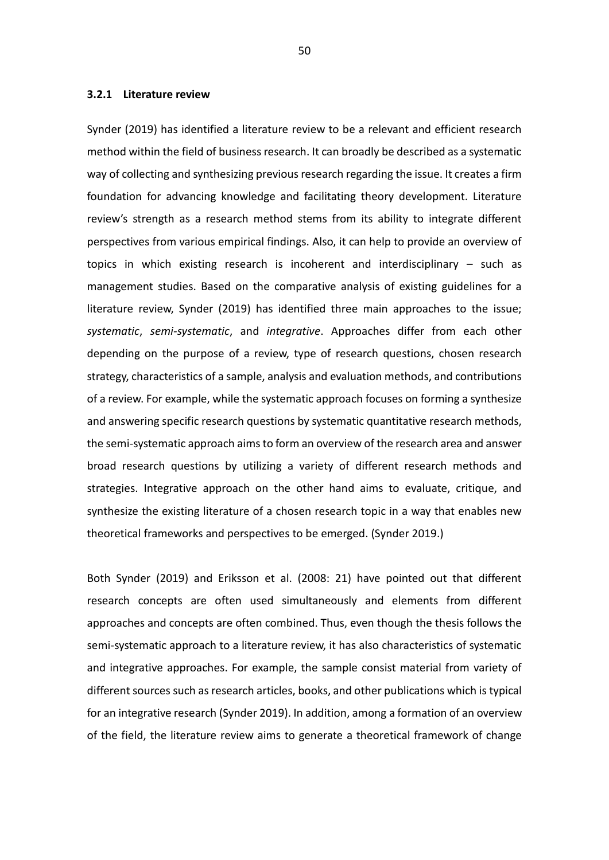#### **3.2.1 Literature review**

Synder (2019) has identified a literature review to be a relevant and efficient research method within the field of business research. It can broadly be described as a systematic way of collecting and synthesizing previous research regarding the issue. It creates a firm foundation for advancing knowledge and facilitating theory development. Literature review's strength as a research method stems from its ability to integrate different perspectives from various empirical findings. Also, it can help to provide an overview of topics in which existing research is incoherent and interdisciplinary – such as management studies. Based on the comparative analysis of existing guidelines for a literature review, Synder (2019) has identified three main approaches to the issue; *systematic*, *semi-systematic*, and *integrative*. Approaches differ from each other depending on the purpose of a review, type of research questions, chosen research strategy, characteristics of a sample, analysis and evaluation methods, and contributions of a review. For example, while the systematic approach focuses on forming a synthesize and answering specific research questions by systematic quantitative research methods, the semi-systematic approach aims to form an overview of the research area and answer broad research questions by utilizing a variety of different research methods and strategies. Integrative approach on the other hand aims to evaluate, critique, and synthesize the existing literature of a chosen research topic in a way that enables new theoretical frameworks and perspectives to be emerged. (Synder 2019.)

Both Synder (2019) and Eriksson et al. (2008: 21) have pointed out that different research concepts are often used simultaneously and elements from different approaches and concepts are often combined. Thus, even though the thesis follows the semi-systematic approach to a literature review, it has also characteristics of systematic and integrative approaches. For example, the sample consist material from variety of different sources such as research articles, books, and other publications which is typical for an integrative research (Synder 2019). In addition, among a formation of an overview of the field, the literature review aims to generate a theoretical framework of change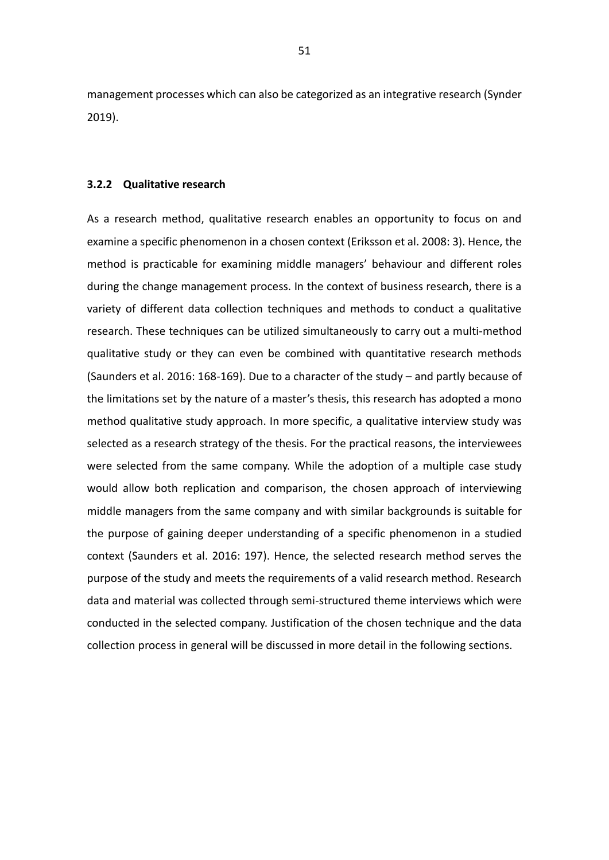management processes which can also be categorized as an integrative research (Synder 2019).

#### **3.2.2 Qualitative research**

As a research method, qualitative research enables an opportunity to focus on and examine a specific phenomenon in a chosen context (Eriksson et al. 2008: 3). Hence, the method is practicable for examining middle managers' behaviour and different roles during the change management process. In the context of business research, there is a variety of different data collection techniques and methods to conduct a qualitative research. These techniques can be utilized simultaneously to carry out a multi-method qualitative study or they can even be combined with quantitative research methods (Saunders et al. 2016: 168-169). Due to a character of the study – and partly because of the limitations set by the nature of a master's thesis, this research has adopted a mono method qualitative study approach. In more specific, a qualitative interview study was selected as a research strategy of the thesis. For the practical reasons, the interviewees were selected from the same company. While the adoption of a multiple case study would allow both replication and comparison, the chosen approach of interviewing middle managers from the same company and with similar backgrounds is suitable for the purpose of gaining deeper understanding of a specific phenomenon in a studied context (Saunders et al. 2016: 197). Hence, the selected research method serves the purpose of the study and meets the requirements of a valid research method. Research data and material was collected through semi-structured theme interviews which were conducted in the selected company. Justification of the chosen technique and the data collection process in general will be discussed in more detail in the following sections.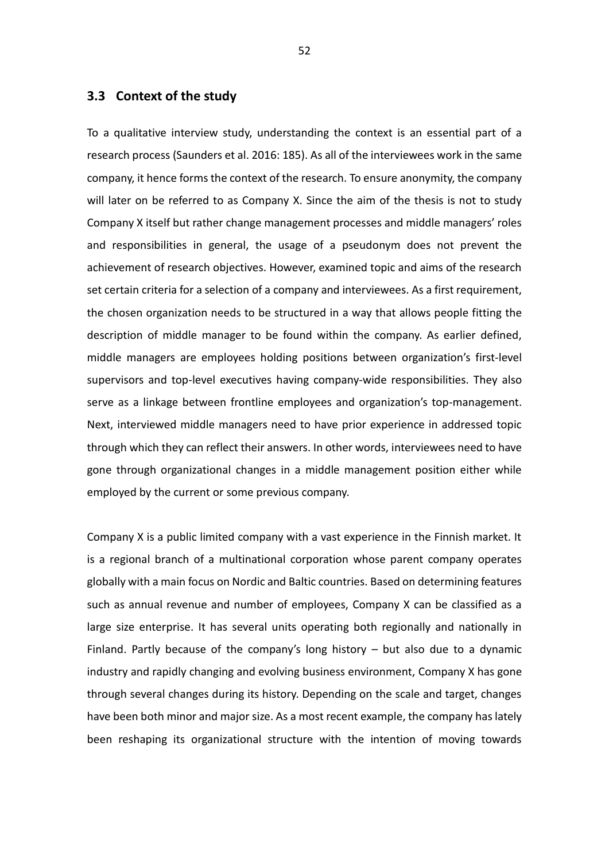# **3.3 Context of the study**

To a qualitative interview study, understanding the context is an essential part of a research process (Saunders et al. 2016: 185). As all of the interviewees work in the same company, it hence forms the context of the research. To ensure anonymity, the company will later on be referred to as Company X. Since the aim of the thesis is not to study Company X itself but rather change management processes and middle managers' roles and responsibilities in general, the usage of a pseudonym does not prevent the achievement of research objectives. However, examined topic and aims of the research set certain criteria for a selection of a company and interviewees. As a first requirement, the chosen organization needs to be structured in a way that allows people fitting the description of middle manager to be found within the company. As earlier defined, middle managers are employees holding positions between organization's first-level supervisors and top-level executives having company-wide responsibilities. They also serve as a linkage between frontline employees and organization's top-management. Next, interviewed middle managers need to have prior experience in addressed topic through which they can reflect their answers. In other words, interviewees need to have gone through organizational changes in a middle management position either while employed by the current or some previous company.

Company X is a public limited company with a vast experience in the Finnish market. It is a regional branch of a multinational corporation whose parent company operates globally with a main focus on Nordic and Baltic countries. Based on determining features such as annual revenue and number of employees, Company X can be classified as a large size enterprise. It has several units operating both regionally and nationally in Finland. Partly because of the company's long history – but also due to a dynamic industry and rapidly changing and evolving business environment, Company X has gone through several changes during its history. Depending on the scale and target, changes have been both minor and major size. As a most recent example, the company has lately been reshaping its organizational structure with the intention of moving towards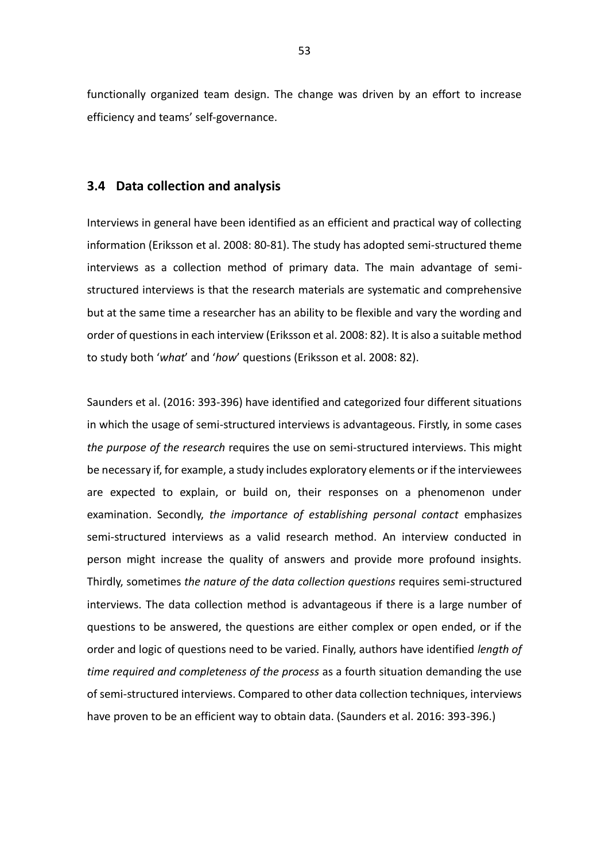functionally organized team design. The change was driven by an effort to increase efficiency and teams' self-governance.

# **3.4 Data collection and analysis**

Interviews in general have been identified as an efficient and practical way of collecting information (Eriksson et al. 2008: 80-81). The study has adopted semi-structured theme interviews as a collection method of primary data. The main advantage of semistructured interviews is that the research materials are systematic and comprehensive but at the same time a researcher has an ability to be flexible and vary the wording and order of questions in each interview (Eriksson et al. 2008: 82). It is also a suitable method to study both '*what*' and '*how*' questions (Eriksson et al. 2008: 82).

Saunders et al. (2016: 393-396) have identified and categorized four different situations in which the usage of semi-structured interviews is advantageous. Firstly, in some cases *the purpose of the research* requires the use on semi-structured interviews. This might be necessary if, for example, a study includes exploratory elements or if the interviewees are expected to explain, or build on, their responses on a phenomenon under examination. Secondly, *the importance of establishing personal contact* emphasizes semi-structured interviews as a valid research method. An interview conducted in person might increase the quality of answers and provide more profound insights. Thirdly, sometimes *the nature of the data collection questions* requires semi-structured interviews. The data collection method is advantageous if there is a large number of questions to be answered, the questions are either complex or open ended, or if the order and logic of questions need to be varied. Finally, authors have identified *length of time required and completeness of the process* as a fourth situation demanding the use of semi-structured interviews. Compared to other data collection techniques, interviews have proven to be an efficient way to obtain data. (Saunders et al. 2016: 393-396.)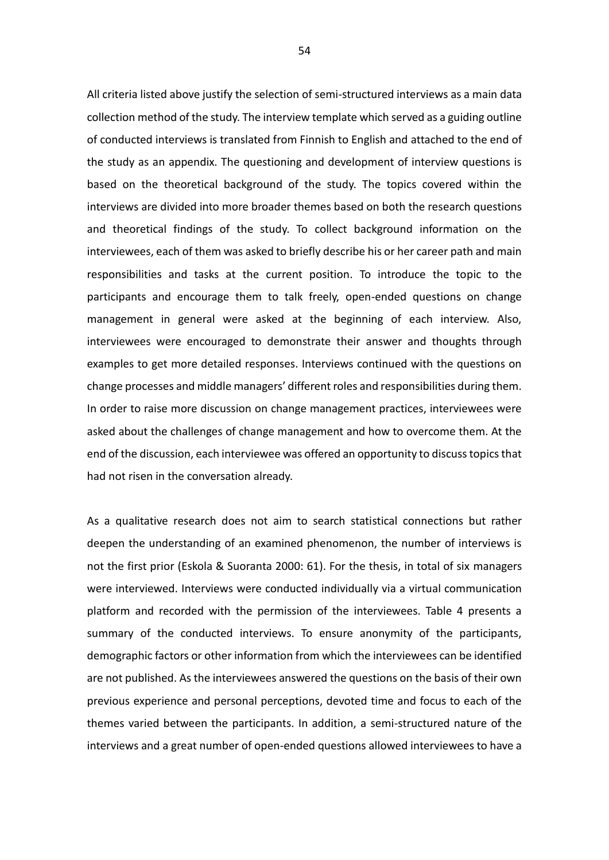All criteria listed above justify the selection of semi-structured interviews as a main data collection method of the study. The interview template which served as a guiding outline of conducted interviews is translated from Finnish to English and attached to the end of the study as an appendix. The questioning and development of interview questions is based on the theoretical background of the study. The topics covered within the interviews are divided into more broader themes based on both the research questions and theoretical findings of the study. To collect background information on the interviewees, each of them was asked to briefly describe his or her career path and main responsibilities and tasks at the current position. To introduce the topic to the participants and encourage them to talk freely, open-ended questions on change management in general were asked at the beginning of each interview. Also, interviewees were encouraged to demonstrate their answer and thoughts through examples to get more detailed responses. Interviews continued with the questions on change processes and middle managers' different roles and responsibilities during them. In order to raise more discussion on change management practices, interviewees were asked about the challenges of change management and how to overcome them. At the end of the discussion, each interviewee was offered an opportunity to discuss topics that had not risen in the conversation already.

As a qualitative research does not aim to search statistical connections but rather deepen the understanding of an examined phenomenon, the number of interviews is not the first prior (Eskola & Suoranta 2000: 61). For the thesis, in total of six managers were interviewed. Interviews were conducted individually via a virtual communication platform and recorded with the permission of the interviewees. Table 4 presents a summary of the conducted interviews. To ensure anonymity of the participants, demographic factors or other information from which the interviewees can be identified are not published. As the interviewees answered the questions on the basis of their own previous experience and personal perceptions, devoted time and focus to each of the themes varied between the participants. In addition, a semi-structured nature of the interviews and a great number of open-ended questions allowed interviewees to have a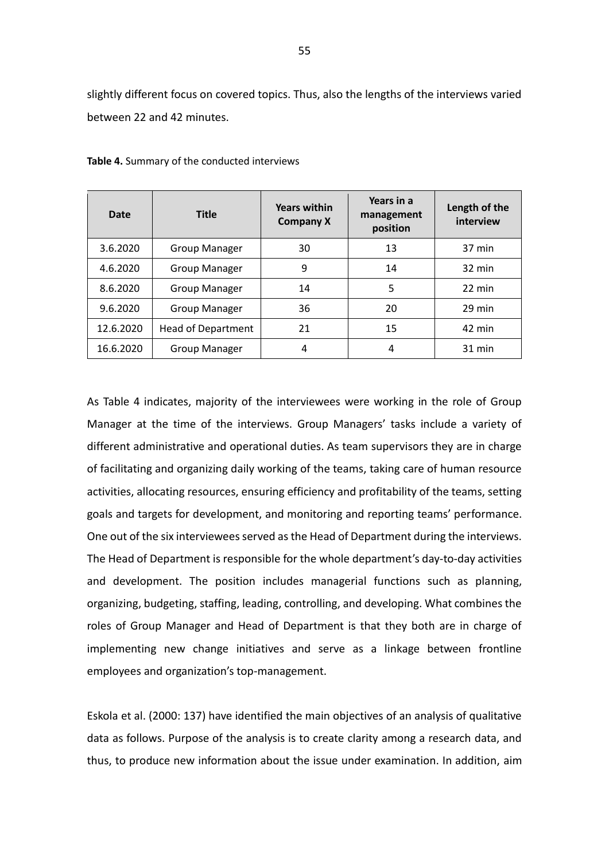slightly different focus on covered topics. Thus, also the lengths of the interviews varied between 22 and 42 minutes.

| Date      | <b>Title</b>              | <b>Years within</b><br><b>Company X</b> | Years in a<br>management<br>position | Length of the<br>interview |
|-----------|---------------------------|-----------------------------------------|--------------------------------------|----------------------------|
| 3.6.2020  | <b>Group Manager</b>      | 30                                      | 13                                   | 37 min                     |
| 4.6.2020  | <b>Group Manager</b>      | 9                                       | 14                                   | $32 \text{ min}$           |
| 8.6.2020  | <b>Group Manager</b>      | 14                                      | 5                                    | 22 min                     |
| 9.6.2020  | <b>Group Manager</b>      | 36                                      | 20                                   | 29 min                     |
| 12.6.2020 | <b>Head of Department</b> | 21                                      | 15                                   | 42 min                     |
| 16.6.2020 | <b>Group Manager</b>      | 4                                       | 4                                    | $31$ min                   |

**Table 4.** Summary of the conducted interviews

As Table 4 indicates, majority of the interviewees were working in the role of Group Manager at the time of the interviews. Group Managers' tasks include a variety of different administrative and operational duties. As team supervisors they are in charge of facilitating and organizing daily working of the teams, taking care of human resource activities, allocating resources, ensuring efficiency and profitability of the teams, setting goals and targets for development, and monitoring and reporting teams' performance. One out of the six interviewees served as the Head of Department during the interviews. The Head of Department is responsible for the whole department's day-to-day activities and development. The position includes managerial functions such as planning, organizing, budgeting, staffing, leading, controlling, and developing. What combines the roles of Group Manager and Head of Department is that they both are in charge of implementing new change initiatives and serve as a linkage between frontline employees and organization's top-management.

Eskola et al. (2000: 137) have identified the main objectives of an analysis of qualitative data as follows. Purpose of the analysis is to create clarity among a research data, and thus, to produce new information about the issue under examination. In addition, aim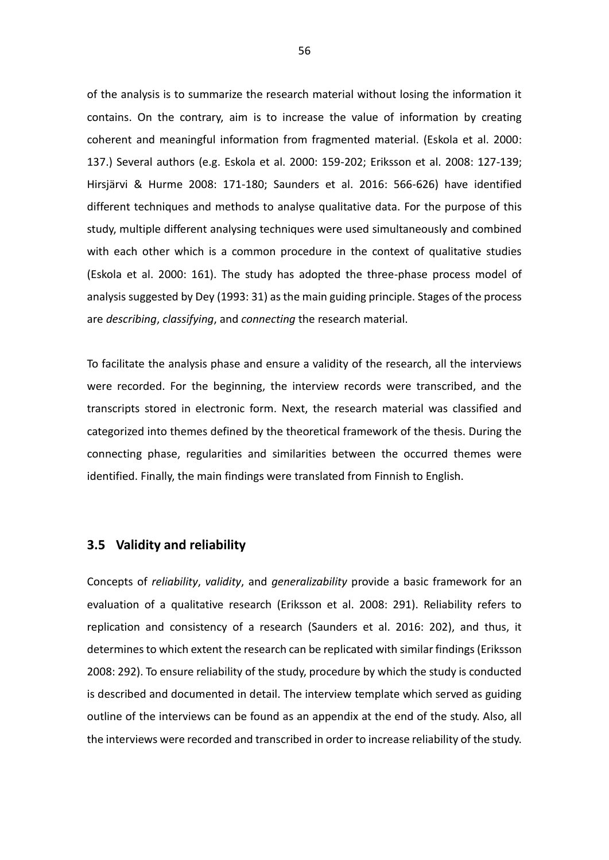of the analysis is to summarize the research material without losing the information it contains. On the contrary, aim is to increase the value of information by creating coherent and meaningful information from fragmented material. (Eskola et al. 2000: 137.) Several authors (e.g. Eskola et al. 2000: 159-202; Eriksson et al. 2008: 127-139; Hirsjärvi & Hurme 2008: 171-180; Saunders et al. 2016: 566-626) have identified different techniques and methods to analyse qualitative data. For the purpose of this study, multiple different analysing techniques were used simultaneously and combined with each other which is a common procedure in the context of qualitative studies (Eskola et al. 2000: 161). The study has adopted the three-phase process model of analysis suggested by Dey (1993: 31) as the main guiding principle. Stages of the process are *describing*, *classifying*, and *connecting* the research material.

To facilitate the analysis phase and ensure a validity of the research, all the interviews were recorded. For the beginning, the interview records were transcribed, and the transcripts stored in electronic form. Next, the research material was classified and categorized into themes defined by the theoretical framework of the thesis. During the connecting phase, regularities and similarities between the occurred themes were identified. Finally, the main findings were translated from Finnish to English.

## **3.5 Validity and reliability**

Concepts of *reliability*, *validity*, and *generalizability* provide a basic framework for an evaluation of a qualitative research (Eriksson et al. 2008: 291). Reliability refers to replication and consistency of a research (Saunders et al. 2016: 202), and thus, it determines to which extent the research can be replicated with similar findings (Eriksson 2008: 292). To ensure reliability of the study, procedure by which the study is conducted is described and documented in detail. The interview template which served as guiding outline of the interviews can be found as an appendix at the end of the study. Also, all the interviews were recorded and transcribed in order to increase reliability of the study.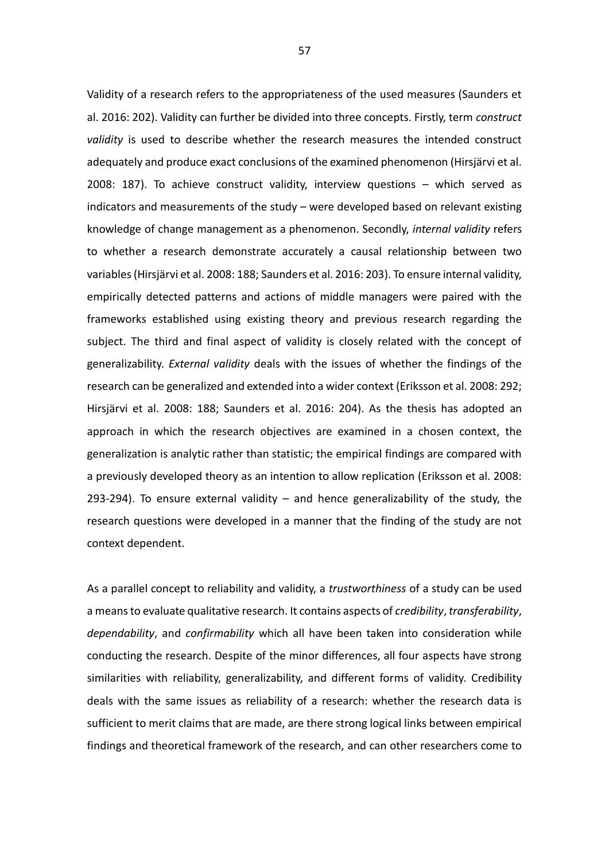Validity of a research refers to the appropriateness of the used measures (Saunders et al. 2016: 202). Validity can further be divided into three concepts. Firstly, term *construct validity* is used to describe whether the research measures the intended construct adequately and produce exact conclusions of the examined phenomenon (Hirsjärvi et al. 2008: 187). To achieve construct validity, interview questions – which served as indicators and measurements of the study – were developed based on relevant existing knowledge of change management as a phenomenon. Secondly, *internal validity* refers to whether a research demonstrate accurately a causal relationship between two variables (Hirsjärvi et al. 2008: 188; Saunders et al. 2016: 203). To ensure internal validity, empirically detected patterns and actions of middle managers were paired with the frameworks established using existing theory and previous research regarding the subject. The third and final aspect of validity is closely related with the concept of generalizability. *External validity* deals with the issues of whether the findings of the research can be generalized and extended into a wider context (Eriksson et al. 2008: 292; Hirsjärvi et al. 2008: 188; Saunders et al. 2016: 204). As the thesis has adopted an approach in which the research objectives are examined in a chosen context, the generalization is analytic rather than statistic; the empirical findings are compared with a previously developed theory as an intention to allow replication (Eriksson et al. 2008: 293-294). To ensure external validity  $-$  and hence generalizability of the study, the research questions were developed in a manner that the finding of the study are not context dependent.

As a parallel concept to reliability and validity, a *trustworthiness* of a study can be used a means to evaluate qualitative research. It contains aspects of *credibility*, *transferability*, *dependability*, and *confirmability* which all have been taken into consideration while conducting the research. Despite of the minor differences, all four aspects have strong similarities with reliability, generalizability, and different forms of validity. Credibility deals with the same issues as reliability of a research: whether the research data is sufficient to merit claims that are made, are there strong logical links between empirical findings and theoretical framework of the research, and can other researchers come to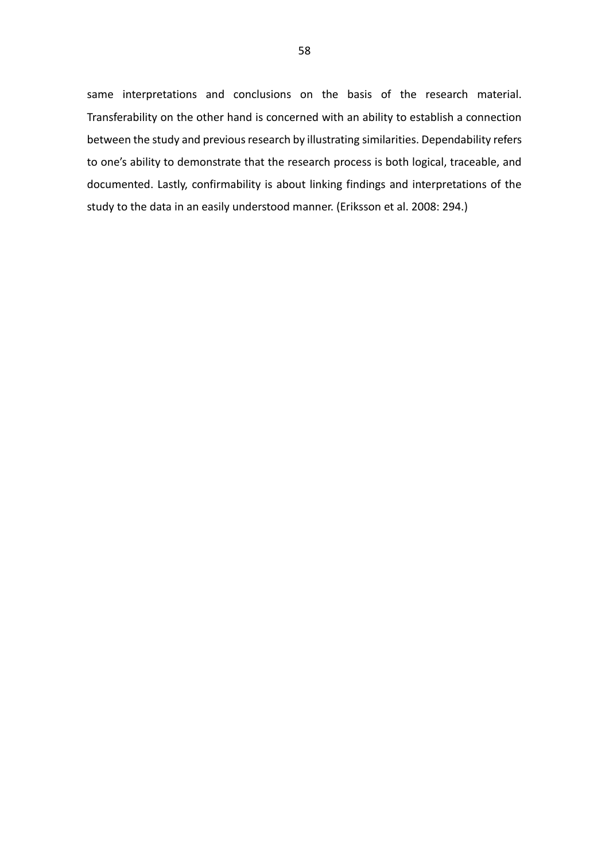same interpretations and conclusions on the basis of the research material. Transferability on the other hand is concerned with an ability to establish a connection between the study and previous research by illustrating similarities. Dependability refers to one's ability to demonstrate that the research process is both logical, traceable, and documented. Lastly, confirmability is about linking findings and interpretations of the study to the data in an easily understood manner. (Eriksson et al. 2008: 294.)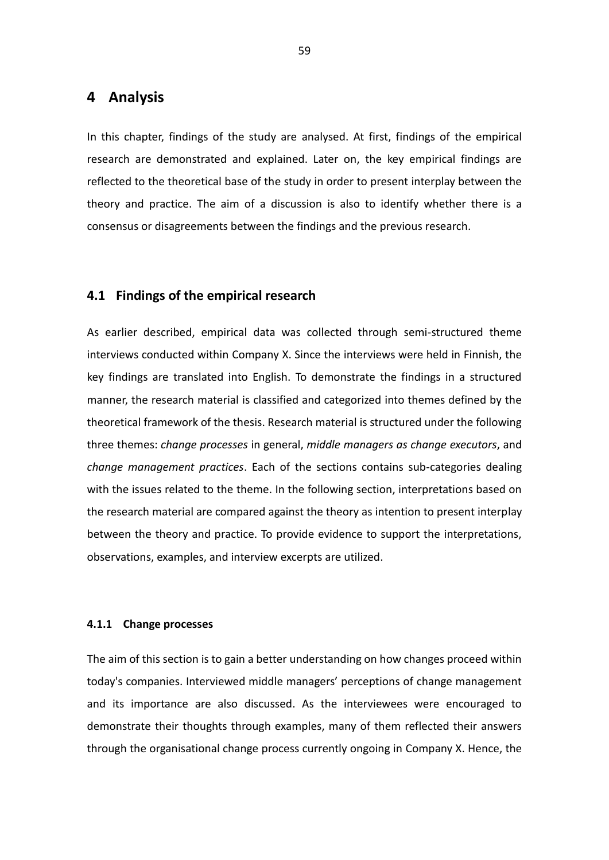# **4 Analysis**

In this chapter, findings of the study are analysed. At first, findings of the empirical research are demonstrated and explained. Later on, the key empirical findings are reflected to the theoretical base of the study in order to present interplay between the theory and practice. The aim of a discussion is also to identify whether there is a consensus or disagreements between the findings and the previous research.

## **4.1 Findings of the empirical research**

As earlier described, empirical data was collected through semi-structured theme interviews conducted within Company X. Since the interviews were held in Finnish, the key findings are translated into English. To demonstrate the findings in a structured manner, the research material is classified and categorized into themes defined by the theoretical framework of the thesis. Research material is structured under the following three themes: *change processes* in general, *middle managers as change executors*, and *change management practices*. Each of the sections contains sub-categories dealing with the issues related to the theme. In the following section, interpretations based on the research material are compared against the theory as intention to present interplay between the theory and practice. To provide evidence to support the interpretations, observations, examples, and interview excerpts are utilized.

### **4.1.1 Change processes**

The aim of this section is to gain a better understanding on how changes proceed within today's companies. Interviewed middle managers' perceptions of change management and its importance are also discussed. As the interviewees were encouraged to demonstrate their thoughts through examples, many of them reflected their answers through the organisational change process currently ongoing in Company X. Hence, the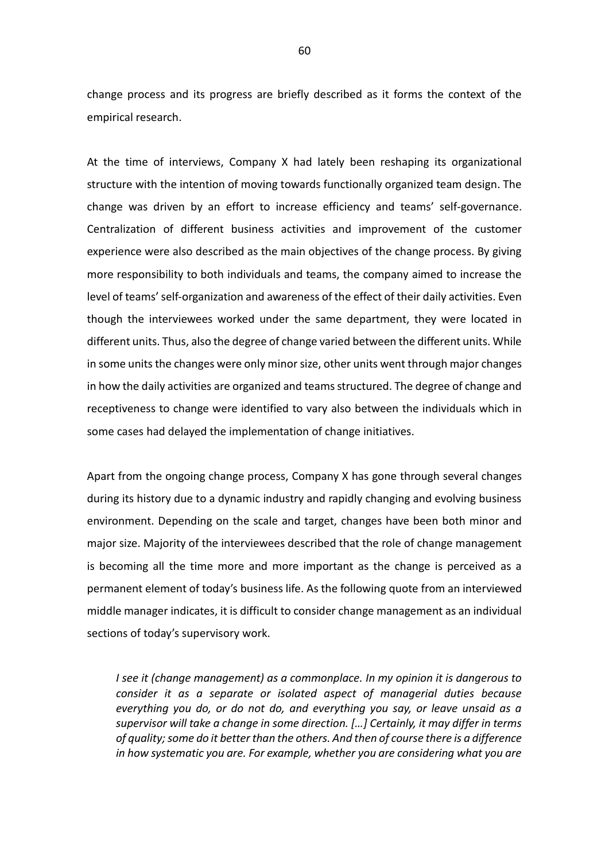change process and its progress are briefly described as it forms the context of the empirical research.

At the time of interviews, Company X had lately been reshaping its organizational structure with the intention of moving towards functionally organized team design. The change was driven by an effort to increase efficiency and teams' self-governance. Centralization of different business activities and improvement of the customer experience were also described as the main objectives of the change process. By giving more responsibility to both individuals and teams, the company aimed to increase the level of teams' self-organization and awareness of the effect of their daily activities. Even though the interviewees worked under the same department, they were located in different units. Thus, also the degree of change varied between the different units. While in some units the changes were only minor size, other units went through major changes in how the daily activities are organized and teams structured. The degree of change and receptiveness to change were identified to vary also between the individuals which in some cases had delayed the implementation of change initiatives.

Apart from the ongoing change process, Company X has gone through several changes during its history due to a dynamic industry and rapidly changing and evolving business environment. Depending on the scale and target, changes have been both minor and major size. Majority of the interviewees described that the role of change management is becoming all the time more and more important as the change is perceived as a permanent element of today's business life. As the following quote from an interviewed middle manager indicates, it is difficult to consider change management as an individual sections of today's supervisory work.

*I see it (change management) as a commonplace. In my opinion it is dangerous to consider it as a separate or isolated aspect of managerial duties because everything you do, or do not do, and everything you say, or leave unsaid as a supervisor will take a change in some direction. […] Certainly, it may differ in terms of quality; some do it better than the others. And then of course there is a difference in how systematic you are. For example, whether you are considering what you are*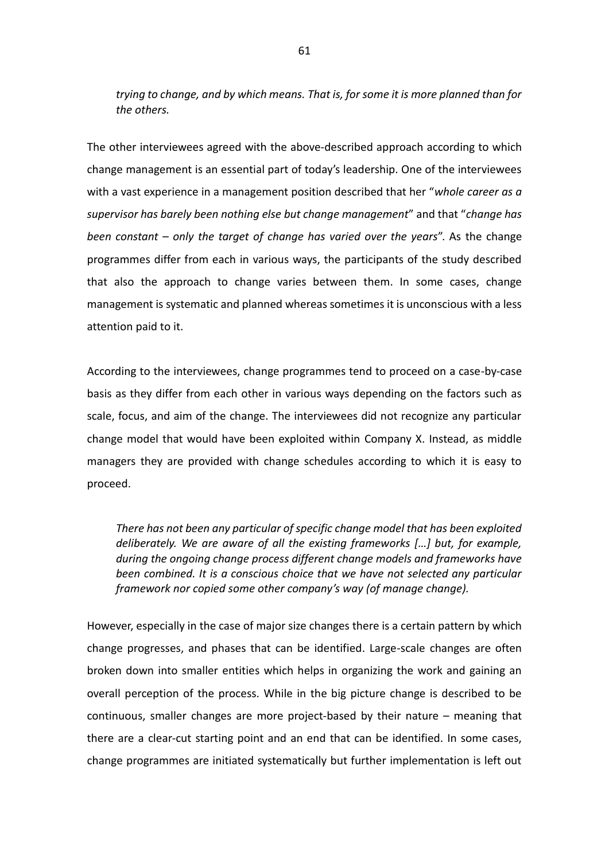*trying to change, and by which means. That is, for some it is more planned than for the others.*

The other interviewees agreed with the above-described approach according to which change management is an essential part of today's leadership. One of the interviewees with a vast experience in a management position described that her "*whole career as a supervisor has barely been nothing else but change management*" and that "*change has been constant – only the target of change has varied over the years*". As the change programmes differ from each in various ways, the participants of the study described that also the approach to change varies between them. In some cases, change management is systematic and planned whereas sometimes it is unconscious with a less attention paid to it.

According to the interviewees, change programmes tend to proceed on a case-by-case basis as they differ from each other in various ways depending on the factors such as scale, focus, and aim of the change. The interviewees did not recognize any particular change model that would have been exploited within Company X. Instead, as middle managers they are provided with change schedules according to which it is easy to proceed.

*There has not been any particular of specific change model that has been exploited deliberately. We are aware of all the existing frameworks […] but, for example, during the ongoing change process different change models and frameworks have been combined. It is a conscious choice that we have not selected any particular framework nor copied some other company's way (of manage change).*

However, especially in the case of major size changes there is a certain pattern by which change progresses, and phases that can be identified. Large-scale changes are often broken down into smaller entities which helps in organizing the work and gaining an overall perception of the process. While in the big picture change is described to be continuous, smaller changes are more project-based by their nature – meaning that there are a clear-cut starting point and an end that can be identified. In some cases, change programmes are initiated systematically but further implementation is left out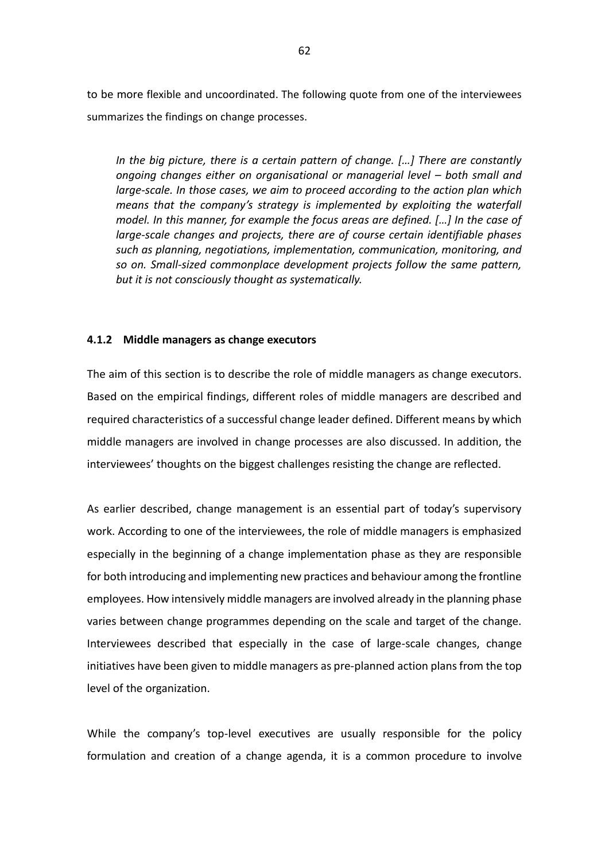to be more flexible and uncoordinated. The following quote from one of the interviewees summarizes the findings on change processes.

*In the big picture, there is a certain pattern of change. […] There are constantly ongoing changes either on organisational or managerial level – both small and large-scale. In those cases, we aim to proceed according to the action plan which means that the company's strategy is implemented by exploiting the waterfall model. In this manner, for example the focus areas are defined. […] In the case of large-scale changes and projects, there are of course certain identifiable phases such as planning, negotiations, implementation, communication, monitoring, and so on. Small-sized commonplace development projects follow the same pattern, but it is not consciously thought as systematically.*

## **4.1.2 Middle managers as change executors**

The aim of this section is to describe the role of middle managers as change executors. Based on the empirical findings, different roles of middle managers are described and required characteristics of a successful change leader defined. Different means by which middle managers are involved in change processes are also discussed. In addition, the interviewees' thoughts on the biggest challenges resisting the change are reflected.

As earlier described, change management is an essential part of today's supervisory work. According to one of the interviewees, the role of middle managers is emphasized especially in the beginning of a change implementation phase as they are responsible for both introducing and implementing new practices and behaviour among the frontline employees. How intensively middle managers are involved already in the planning phase varies between change programmes depending on the scale and target of the change. Interviewees described that especially in the case of large-scale changes, change initiatives have been given to middle managers as pre-planned action plans from the top level of the organization.

While the company's top-level executives are usually responsible for the policy formulation and creation of a change agenda, it is a common procedure to involve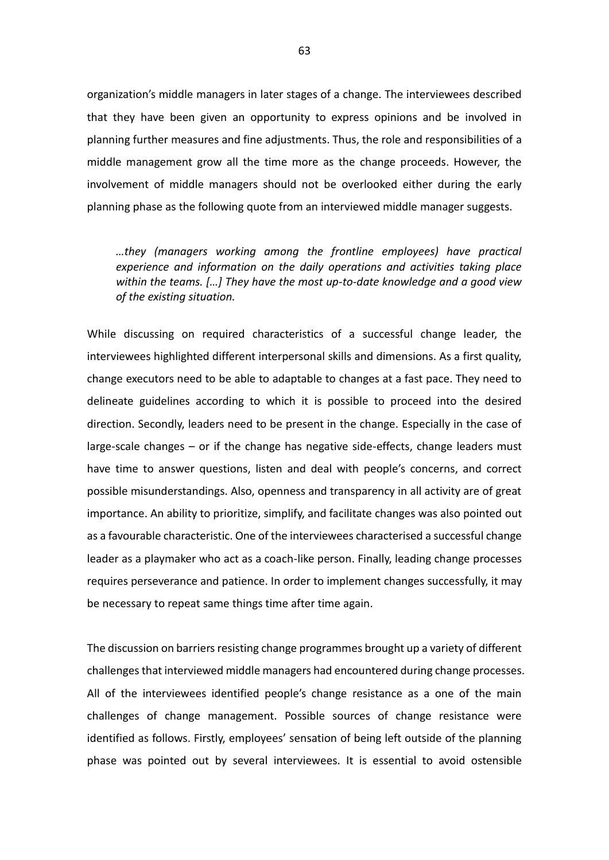organization's middle managers in later stages of a change. The interviewees described that they have been given an opportunity to express opinions and be involved in planning further measures and fine adjustments. Thus, the role and responsibilities of a middle management grow all the time more as the change proceeds. However, the involvement of middle managers should not be overlooked either during the early planning phase as the following quote from an interviewed middle manager suggests.

*…they (managers working among the frontline employees) have practical experience and information on the daily operations and activities taking place within the teams. […] They have the most up-to-date knowledge and a good view of the existing situation.*

While discussing on required characteristics of a successful change leader, the interviewees highlighted different interpersonal skills and dimensions. As a first quality, change executors need to be able to adaptable to changes at a fast pace. They need to delineate guidelines according to which it is possible to proceed into the desired direction. Secondly, leaders need to be present in the change. Especially in the case of large-scale changes – or if the change has negative side-effects, change leaders must have time to answer questions, listen and deal with people's concerns, and correct possible misunderstandings. Also, openness and transparency in all activity are of great importance. An ability to prioritize, simplify, and facilitate changes was also pointed out as a favourable characteristic. One of the interviewees characterised a successful change leader as a playmaker who act as a coach-like person. Finally, leading change processes requires perseverance and patience. In order to implement changes successfully, it may be necessary to repeat same things time after time again.

The discussion on barriers resisting change programmes brought up a variety of different challenges that interviewed middle managers had encountered during change processes. All of the interviewees identified people's change resistance as a one of the main challenges of change management. Possible sources of change resistance were identified as follows. Firstly, employees' sensation of being left outside of the planning phase was pointed out by several interviewees. It is essential to avoid ostensible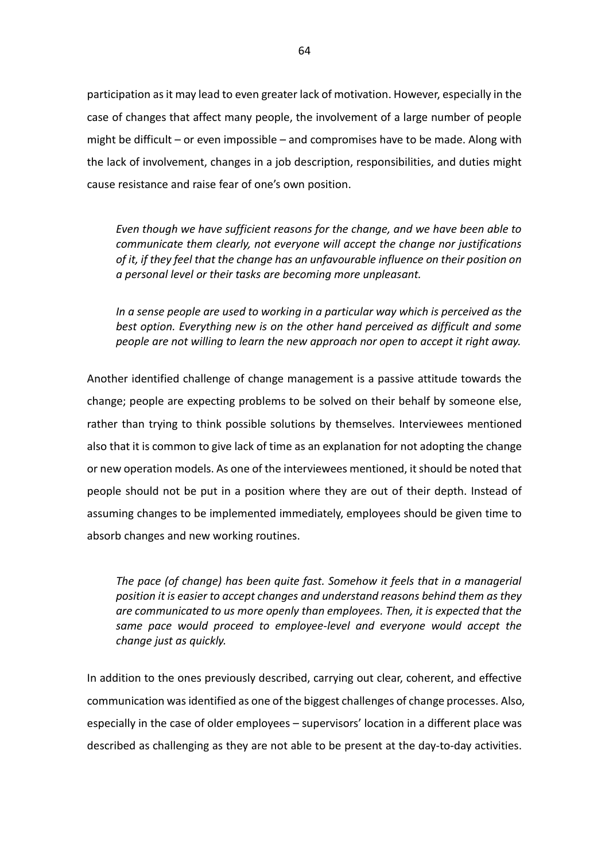participation as it may lead to even greater lack of motivation. However, especially in the case of changes that affect many people, the involvement of a large number of people might be difficult – or even impossible – and compromises have to be made. Along with the lack of involvement, changes in a job description, responsibilities, and duties might cause resistance and raise fear of one's own position.

*Even though we have sufficient reasons for the change, and we have been able to communicate them clearly, not everyone will accept the change nor justifications of it, if they feel that the change has an unfavourable influence on their position on a personal level or their tasks are becoming more unpleasant.*

*In a sense people are used to working in a particular way which is perceived as the best option. Everything new is on the other hand perceived as difficult and some people are not willing to learn the new approach nor open to accept it right away.*

Another identified challenge of change management is a passive attitude towards the change; people are expecting problems to be solved on their behalf by someone else, rather than trying to think possible solutions by themselves. Interviewees mentioned also that it is common to give lack of time as an explanation for not adopting the change or new operation models. As one of the interviewees mentioned, it should be noted that people should not be put in a position where they are out of their depth. Instead of assuming changes to be implemented immediately, employees should be given time to absorb changes and new working routines.

*The pace (of change) has been quite fast. Somehow it feels that in a managerial position it is easier to accept changes and understand reasons behind them as they are communicated to us more openly than employees. Then, it is expected that the same pace would proceed to employee-level and everyone would accept the change just as quickly.*

In addition to the ones previously described, carrying out clear, coherent, and effective communication was identified as one of the biggest challenges of change processes. Also, especially in the case of older employees – supervisors' location in a different place was described as challenging as they are not able to be present at the day-to-day activities.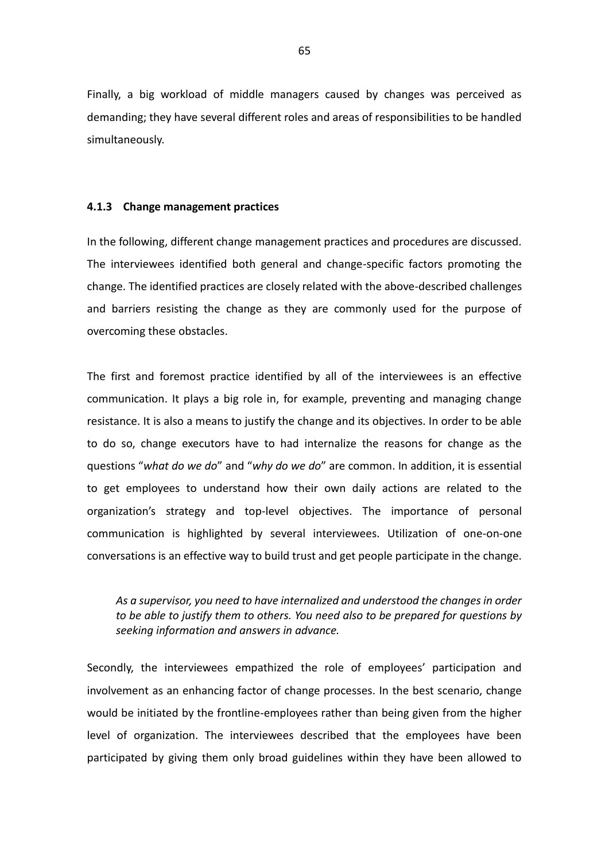Finally, a big workload of middle managers caused by changes was perceived as demanding; they have several different roles and areas of responsibilities to be handled simultaneously.

### **4.1.3 Change management practices**

In the following, different change management practices and procedures are discussed. The interviewees identified both general and change-specific factors promoting the change. The identified practices are closely related with the above-described challenges and barriers resisting the change as they are commonly used for the purpose of overcoming these obstacles.

The first and foremost practice identified by all of the interviewees is an effective communication. It plays a big role in, for example, preventing and managing change resistance. It is also a means to justify the change and its objectives. In order to be able to do so, change executors have to had internalize the reasons for change as the questions "*what do we do*" and "*why do we do*" are common. In addition, it is essential to get employees to understand how their own daily actions are related to the organization's strategy and top-level objectives. The importance of personal communication is highlighted by several interviewees. Utilization of one-on-one conversations is an effective way to build trust and get people participate in the change.

*As a supervisor, you need to have internalized and understood the changes in order to be able to justify them to others. You need also to be prepared for questions by seeking information and answers in advance.*

Secondly, the interviewees empathized the role of employees' participation and involvement as an enhancing factor of change processes. In the best scenario, change would be initiated by the frontline-employees rather than being given from the higher level of organization. The interviewees described that the employees have been participated by giving them only broad guidelines within they have been allowed to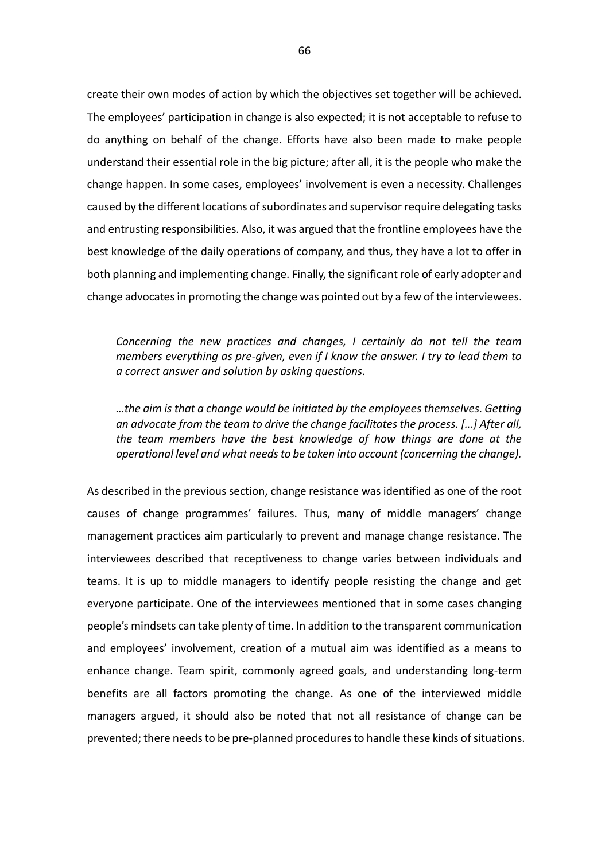create their own modes of action by which the objectives set together will be achieved. The employees' participation in change is also expected; it is not acceptable to refuse to do anything on behalf of the change. Efforts have also been made to make people understand their essential role in the big picture; after all, it is the people who make the change happen. In some cases, employees' involvement is even a necessity. Challenges caused by the different locations of subordinates and supervisor require delegating tasks and entrusting responsibilities. Also, it was argued that the frontline employees have the best knowledge of the daily operations of company, and thus, they have a lot to offer in both planning and implementing change. Finally, the significant role of early adopter and change advocates in promoting the change was pointed out by a few of the interviewees.

*Concerning the new practices and changes, I certainly do not tell the team members everything as pre-given, even if I know the answer. I try to lead them to a correct answer and solution by asking questions.*

*…the aim is that a change would be initiated by the employees themselves. Getting an advocate from the team to drive the change facilitates the process. […] After all, the team members have the best knowledge of how things are done at the operational level and what needs to be taken into account (concerning the change).*

As described in the previous section, change resistance was identified as one of the root causes of change programmes' failures. Thus, many of middle managers' change management practices aim particularly to prevent and manage change resistance. The interviewees described that receptiveness to change varies between individuals and teams. It is up to middle managers to identify people resisting the change and get everyone participate. One of the interviewees mentioned that in some cases changing people's mindsets can take plenty of time. In addition to the transparent communication and employees' involvement, creation of a mutual aim was identified as a means to enhance change. Team spirit, commonly agreed goals, and understanding long-term benefits are all factors promoting the change. As one of the interviewed middle managers argued, it should also be noted that not all resistance of change can be prevented; there needs to be pre-planned procedures to handle these kinds of situations.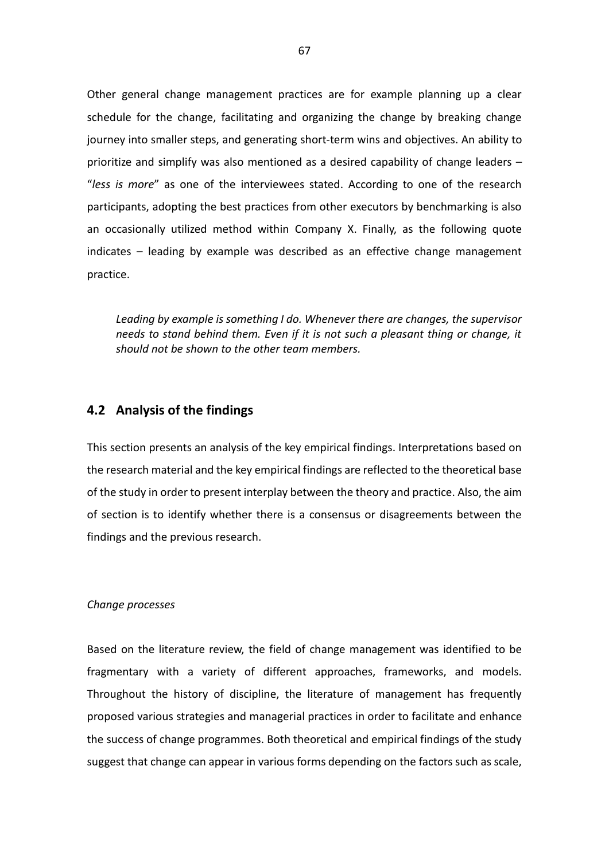Other general change management practices are for example planning up a clear schedule for the change, facilitating and organizing the change by breaking change journey into smaller steps, and generating short-term wins and objectives. An ability to prioritize and simplify was also mentioned as a desired capability of change leaders – "*less is more*" as one of the interviewees stated. According to one of the research participants, adopting the best practices from other executors by benchmarking is also an occasionally utilized method within Company X. Finally, as the following quote indicates – leading by example was described as an effective change management practice.

*Leading by example is something I do. Whenever there are changes, the supervisor needs to stand behind them. Even if it is not such a pleasant thing or change, it should not be shown to the other team members.*

# **4.2 Analysis of the findings**

This section presents an analysis of the key empirical findings. Interpretations based on the research material and the key empirical findings are reflected to the theoretical base of the study in order to present interplay between the theory and practice. Also, the aim of section is to identify whether there is a consensus or disagreements between the findings and the previous research.

#### *Change processes*

Based on the literature review, the field of change management was identified to be fragmentary with a variety of different approaches, frameworks, and models. Throughout the history of discipline, the literature of management has frequently proposed various strategies and managerial practices in order to facilitate and enhance the success of change programmes. Both theoretical and empirical findings of the study suggest that change can appear in various forms depending on the factors such as scale,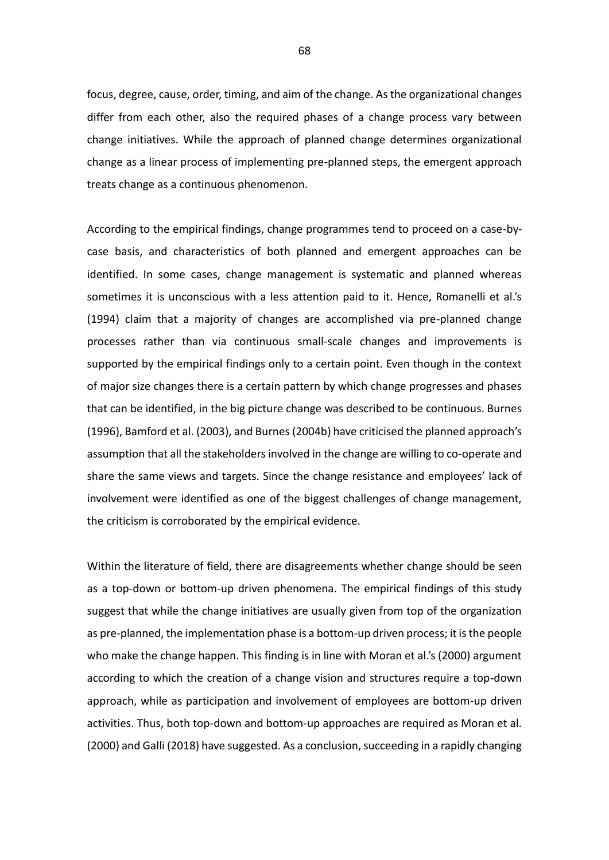focus, degree, cause, order, timing, and aim of the change. As the organizational changes differ from each other, also the required phases of a change process vary between change initiatives. While the approach of planned change determines organizational change as a linear process of implementing pre-planned steps, the emergent approach treats change as a continuous phenomenon.

According to the empirical findings, change programmes tend to proceed on a case-bycase basis, and characteristics of both planned and emergent approaches can be identified. In some cases, change management is systematic and planned whereas sometimes it is unconscious with a less attention paid to it. Hence, Romanelli et al.'s (1994) claim that a majority of changes are accomplished via pre-planned change processes rather than via continuous small-scale changes and improvements is supported by the empirical findings only to a certain point. Even though in the context of major size changes there is a certain pattern by which change progresses and phases that can be identified, in the big picture change was described to be continuous. Burnes (1996), Bamford et al. (2003), and Burnes (2004b) have criticised the planned approach's assumption that all the stakeholders involved in the change are willing to co-operate and share the same views and targets. Since the change resistance and employees' lack of involvement were identified as one of the biggest challenges of change management, the criticism is corroborated by the empirical evidence.

Within the literature of field, there are disagreements whether change should be seen as a top-down or bottom-up driven phenomena. The empirical findings of this study suggest that while the change initiatives are usually given from top of the organization as pre-planned, the implementation phase is a bottom-up driven process; it is the people who make the change happen. This finding is in line with Moran et al.'s (2000) argument according to which the creation of a change vision and structures require a top-down approach, while as participation and involvement of employees are bottom-up driven activities. Thus, both top-down and bottom-up approaches are required as Moran et al. (2000) and Galli (2018) have suggested. As a conclusion, succeeding in a rapidly changing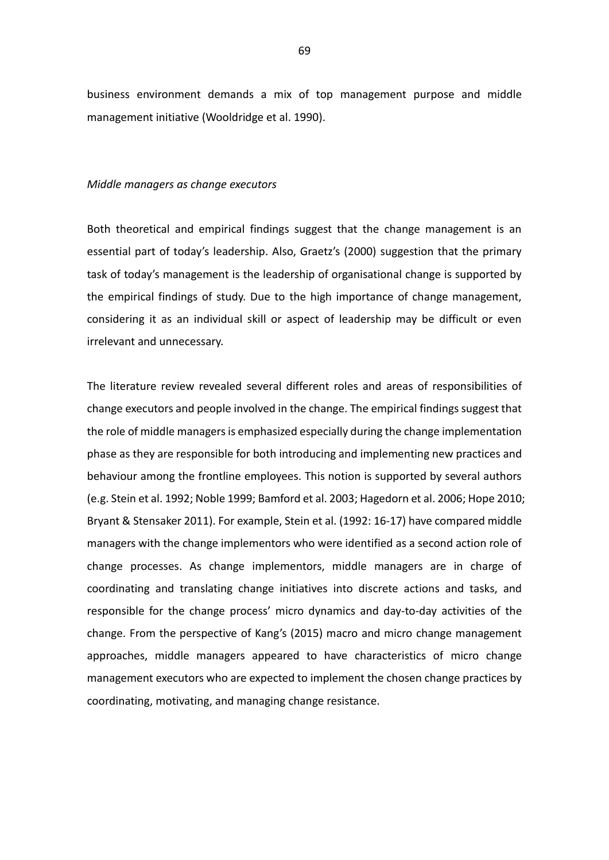business environment demands a mix of top management purpose and middle management initiative (Wooldridge et al. 1990).

#### *Middle managers as change executors*

Both theoretical and empirical findings suggest that the change management is an essential part of today's leadership. Also, Graetz's (2000) suggestion that the primary task of today's management is the leadership of organisational change is supported by the empirical findings of study. Due to the high importance of change management, considering it as an individual skill or aspect of leadership may be difficult or even irrelevant and unnecessary.

The literature review revealed several different roles and areas of responsibilities of change executors and people involved in the change. The empirical findings suggest that the role of middle managers is emphasized especially during the change implementation phase as they are responsible for both introducing and implementing new practices and behaviour among the frontline employees. This notion is supported by several authors (e.g. Stein et al. 1992; Noble 1999; Bamford et al. 2003; Hagedorn et al. 2006; Hope 2010; Bryant & Stensaker 2011). For example, Stein et al. (1992: 16-17) have compared middle managers with the change implementors who were identified as a second action role of change processes. As change implementors, middle managers are in charge of coordinating and translating change initiatives into discrete actions and tasks, and responsible for the change process' micro dynamics and day-to-day activities of the change. From the perspective of Kang's (2015) macro and micro change management approaches, middle managers appeared to have characteristics of micro change management executors who are expected to implement the chosen change practices by coordinating, motivating, and managing change resistance.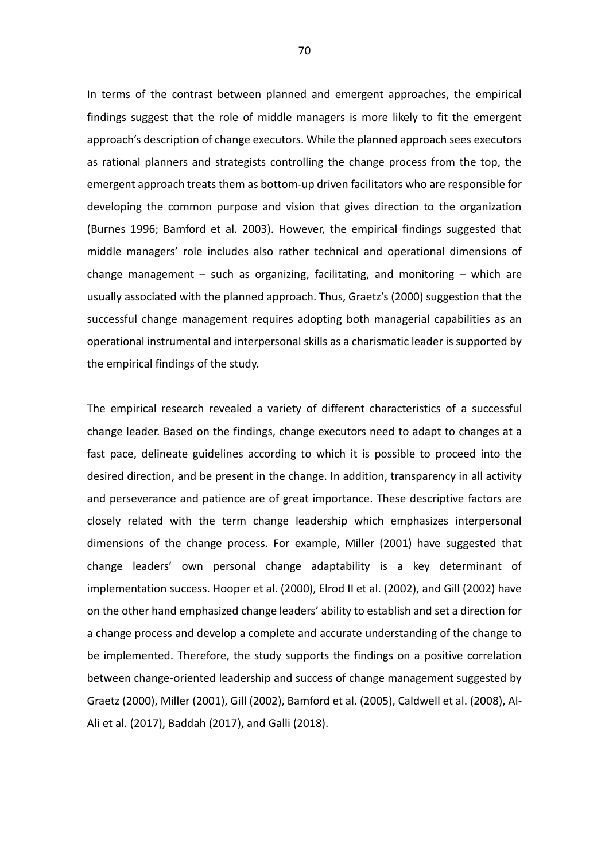In terms of the contrast between planned and emergent approaches, the empirical findings suggest that the role of middle managers is more likely to fit the emergent approach's description of change executors. While the planned approach sees executors as rational planners and strategists controlling the change process from the top, the emergent approach treats them as bottom-up driven facilitators who are responsible for developing the common purpose and vision that gives direction to the organization (Burnes 1996; Bamford et al. 2003). However, the empirical findings suggested that middle managers' role includes also rather technical and operational dimensions of change management  $-$  such as organizing, facilitating, and monitoring  $-$  which are usually associated with the planned approach. Thus, Graetz's (2000) suggestion that the successful change management requires adopting both managerial capabilities as an operational instrumental and interpersonal skills as a charismatic leader is supported by the empirical findings of the study.

The empirical research revealed a variety of different characteristics of a successful change leader. Based on the findings, change executors need to adapt to changes at a fast pace, delineate guidelines according to which it is possible to proceed into the desired direction, and be present in the change. In addition, transparency in all activity and perseverance and patience are of great importance. These descriptive factors are closely related with the term change leadership which emphasizes interpersonal dimensions of the change process. For example, Miller (2001) have suggested that change leaders' own personal change adaptability is a key determinant of implementation success. Hooper et al. (2000), Elrod II et al. (2002), and Gill (2002) have on the other hand emphasized change leaders' ability to establish and set a direction for a change process and develop a complete and accurate understanding of the change to be implemented. Therefore, the study supports the findings on a positive correlation between change-oriented leadership and success of change management suggested by Graetz (2000), Miller (2001), Gill (2002), Bamford et al. (2005), Caldwell et al. (2008), Al-Ali et al. (2017), Baddah (2017), and Galli (2018).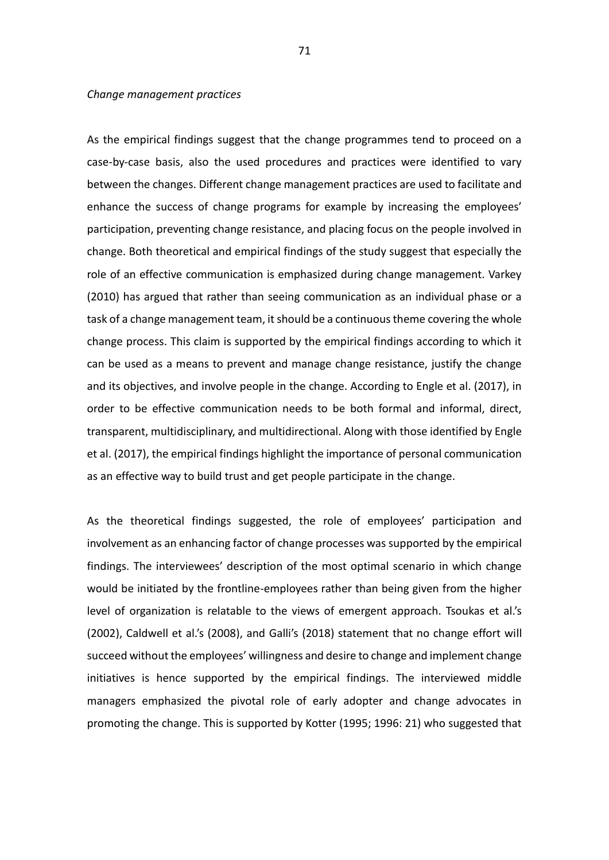#### *Change management practices*

As the empirical findings suggest that the change programmes tend to proceed on a case-by-case basis, also the used procedures and practices were identified to vary between the changes. Different change management practices are used to facilitate and enhance the success of change programs for example by increasing the employees' participation, preventing change resistance, and placing focus on the people involved in change. Both theoretical and empirical findings of the study suggest that especially the role of an effective communication is emphasized during change management. Varkey (2010) has argued that rather than seeing communication as an individual phase or a task of a change management team, it should be a continuous theme covering the whole change process. This claim is supported by the empirical findings according to which it can be used as a means to prevent and manage change resistance, justify the change and its objectives, and involve people in the change. According to Engle et al. (2017), in order to be effective communication needs to be both formal and informal, direct, transparent, multidisciplinary, and multidirectional. Along with those identified by Engle et al. (2017), the empirical findings highlight the importance of personal communication as an effective way to build trust and get people participate in the change.

As the theoretical findings suggested, the role of employees' participation and involvement as an enhancing factor of change processes was supported by the empirical findings. The interviewees' description of the most optimal scenario in which change would be initiated by the frontline-employees rather than being given from the higher level of organization is relatable to the views of emergent approach. Tsoukas et al.'s (2002), Caldwell et al.'s (2008), and Galli's (2018) statement that no change effort will succeed without the employees' willingness and desire to change and implement change initiatives is hence supported by the empirical findings. The interviewed middle managers emphasized the pivotal role of early adopter and change advocates in promoting the change. This is supported by Kotter (1995; 1996: 21) who suggested that

71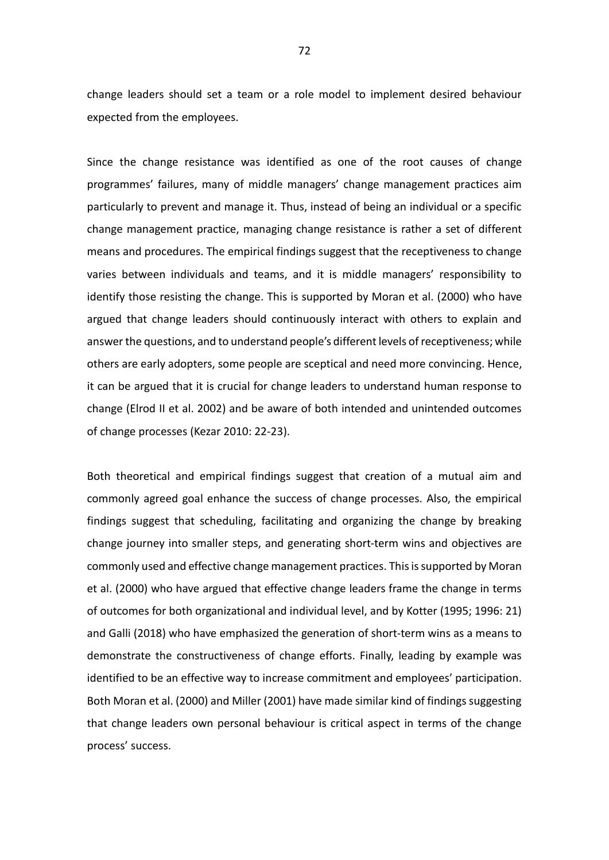change leaders should set a team or a role model to implement desired behaviour expected from the employees.

Since the change resistance was identified as one of the root causes of change programmes' failures, many of middle managers' change management practices aim particularly to prevent and manage it. Thus, instead of being an individual or a specific change management practice, managing change resistance is rather a set of different means and procedures. The empirical findings suggest that the receptiveness to change varies between individuals and teams, and it is middle managers' responsibility to identify those resisting the change. This is supported by Moran et al. (2000) who have argued that change leaders should continuously interact with others to explain and answer the questions, and to understand people's different levels of receptiveness; while others are early adopters, some people are sceptical and need more convincing. Hence, it can be argued that it is crucial for change leaders to understand human response to change (Elrod II et al. 2002) and be aware of both intended and unintended outcomes of change processes (Kezar 2010: 22-23).

Both theoretical and empirical findings suggest that creation of a mutual aim and commonly agreed goal enhance the success of change processes. Also, the empirical findings suggest that scheduling, facilitating and organizing the change by breaking change journey into smaller steps, and generating short-term wins and objectives are commonly used and effective change management practices. This is supported by Moran et al. (2000) who have argued that effective change leaders frame the change in terms of outcomes for both organizational and individual level, and by Kotter (1995; 1996: 21) and Galli (2018) who have emphasized the generation of short-term wins as a means to demonstrate the constructiveness of change efforts. Finally, leading by example was identified to be an effective way to increase commitment and employees' participation. Both Moran et al. (2000) and Miller (2001) have made similar kind of findings suggesting that change leaders own personal behaviour is critical aspect in terms of the change process' success.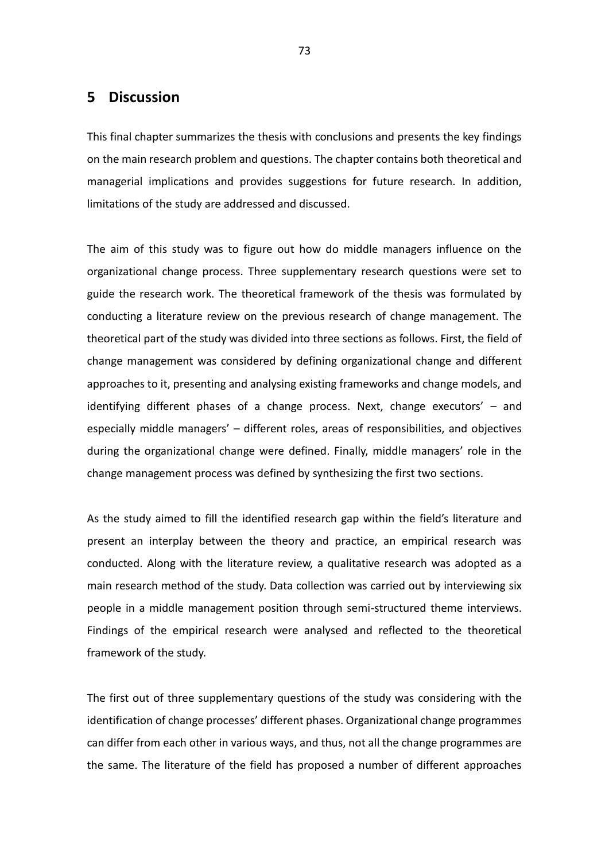# **5 Discussion**

This final chapter summarizes the thesis with conclusions and presents the key findings on the main research problem and questions. The chapter contains both theoretical and managerial implications and provides suggestions for future research. In addition, limitations of the study are addressed and discussed.

The aim of this study was to figure out how do middle managers influence on the organizational change process. Three supplementary research questions were set to guide the research work. The theoretical framework of the thesis was formulated by conducting a literature review on the previous research of change management. The theoretical part of the study was divided into three sections as follows. First, the field of change management was considered by defining organizational change and different approaches to it, presenting and analysing existing frameworks and change models, and identifying different phases of a change process. Next, change executors' – and especially middle managers' – different roles, areas of responsibilities, and objectives during the organizational change were defined. Finally, middle managers' role in the change management process was defined by synthesizing the first two sections.

As the study aimed to fill the identified research gap within the field's literature and present an interplay between the theory and practice, an empirical research was conducted. Along with the literature review, a qualitative research was adopted as a main research method of the study. Data collection was carried out by interviewing six people in a middle management position through semi-structured theme interviews. Findings of the empirical research were analysed and reflected to the theoretical framework of the study.

The first out of three supplementary questions of the study was considering with the identification of change processes' different phases. Organizational change programmes can differ from each other in various ways, and thus, not all the change programmes are the same. The literature of the field has proposed a number of different approaches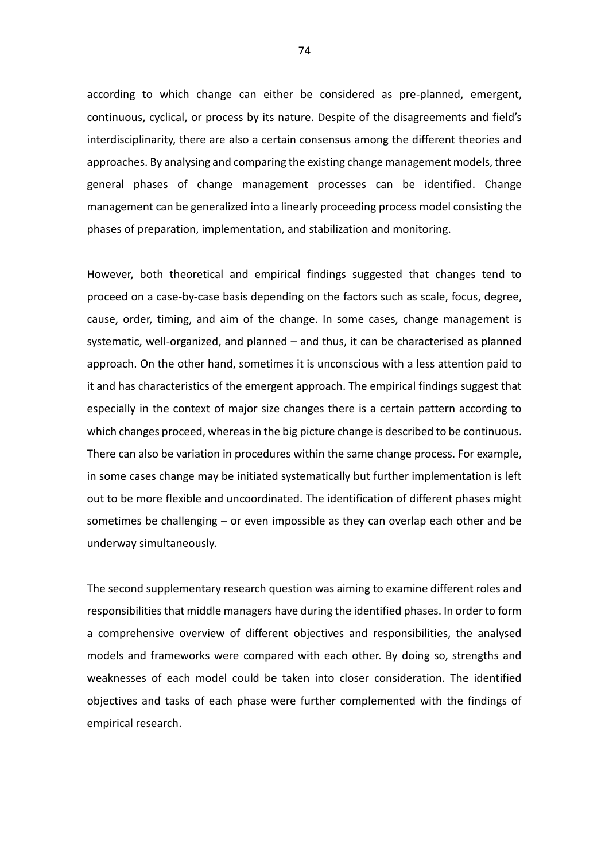according to which change can either be considered as pre-planned, emergent, continuous, cyclical, or process by its nature. Despite of the disagreements and field's interdisciplinarity, there are also a certain consensus among the different theories and approaches. By analysing and comparing the existing change management models, three general phases of change management processes can be identified. Change management can be generalized into a linearly proceeding process model consisting the phases of preparation, implementation, and stabilization and monitoring.

However, both theoretical and empirical findings suggested that changes tend to proceed on a case-by-case basis depending on the factors such as scale, focus, degree, cause, order, timing, and aim of the change. In some cases, change management is systematic, well-organized, and planned – and thus, it can be characterised as planned approach. On the other hand, sometimes it is unconscious with a less attention paid to it and has characteristics of the emergent approach. The empirical findings suggest that especially in the context of major size changes there is a certain pattern according to which changes proceed, whereas in the big picture change is described to be continuous. There can also be variation in procedures within the same change process. For example, in some cases change may be initiated systematically but further implementation is left out to be more flexible and uncoordinated. The identification of different phases might sometimes be challenging – or even impossible as they can overlap each other and be underway simultaneously.

The second supplementary research question was aiming to examine different roles and responsibilities that middle managers have during the identified phases. In order to form a comprehensive overview of different objectives and responsibilities, the analysed models and frameworks were compared with each other. By doing so, strengths and weaknesses of each model could be taken into closer consideration. The identified objectives and tasks of each phase were further complemented with the findings of empirical research.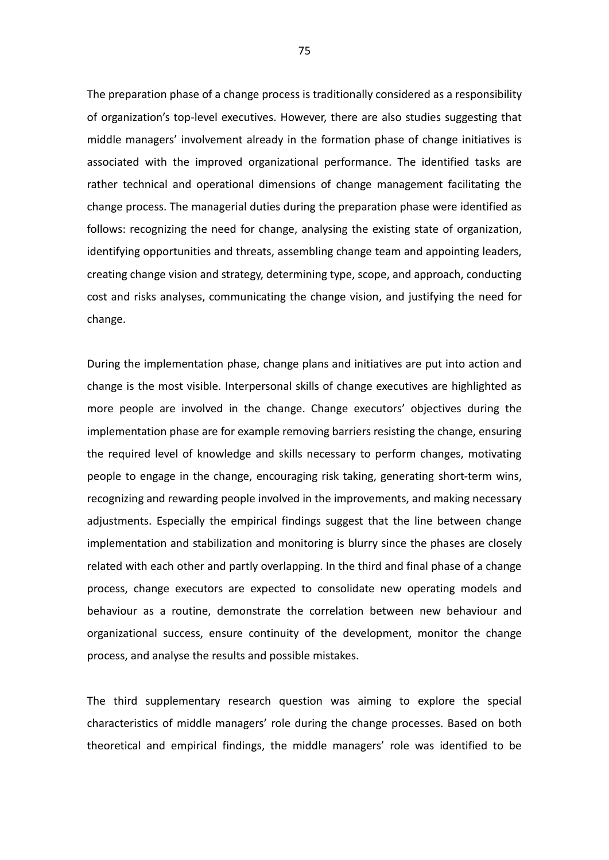The preparation phase of a change process is traditionally considered as a responsibility of organization's top-level executives. However, there are also studies suggesting that middle managers' involvement already in the formation phase of change initiatives is associated with the improved organizational performance. The identified tasks are rather technical and operational dimensions of change management facilitating the change process. The managerial duties during the preparation phase were identified as follows: recognizing the need for change, analysing the existing state of organization, identifying opportunities and threats, assembling change team and appointing leaders, creating change vision and strategy, determining type, scope, and approach, conducting cost and risks analyses, communicating the change vision, and justifying the need for change.

During the implementation phase, change plans and initiatives are put into action and change is the most visible. Interpersonal skills of change executives are highlighted as more people are involved in the change. Change executors' objectives during the implementation phase are for example removing barriers resisting the change, ensuring the required level of knowledge and skills necessary to perform changes, motivating people to engage in the change, encouraging risk taking, generating short-term wins, recognizing and rewarding people involved in the improvements, and making necessary adjustments. Especially the empirical findings suggest that the line between change implementation and stabilization and monitoring is blurry since the phases are closely related with each other and partly overlapping. In the third and final phase of a change process, change executors are expected to consolidate new operating models and behaviour as a routine, demonstrate the correlation between new behaviour and organizational success, ensure continuity of the development, monitor the change process, and analyse the results and possible mistakes.

The third supplementary research question was aiming to explore the special characteristics of middle managers' role during the change processes. Based on both theoretical and empirical findings, the middle managers' role was identified to be

75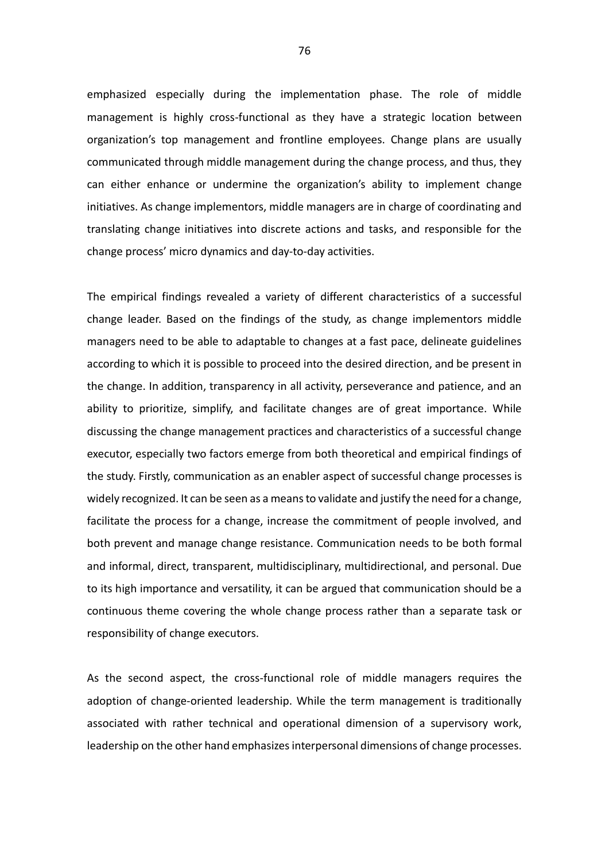emphasized especially during the implementation phase. The role of middle management is highly cross-functional as they have a strategic location between organization's top management and frontline employees. Change plans are usually communicated through middle management during the change process, and thus, they can either enhance or undermine the organization's ability to implement change initiatives. As change implementors, middle managers are in charge of coordinating and translating change initiatives into discrete actions and tasks, and responsible for the change process' micro dynamics and day-to-day activities.

The empirical findings revealed a variety of different characteristics of a successful change leader. Based on the findings of the study, as change implementors middle managers need to be able to adaptable to changes at a fast pace, delineate guidelines according to which it is possible to proceed into the desired direction, and be present in the change. In addition, transparency in all activity, perseverance and patience, and an ability to prioritize, simplify, and facilitate changes are of great importance. While discussing the change management practices and characteristics of a successful change executor, especially two factors emerge from both theoretical and empirical findings of the study. Firstly, communication as an enabler aspect of successful change processes is widely recognized. It can be seen as a means to validate and justify the need for a change, facilitate the process for a change, increase the commitment of people involved, and both prevent and manage change resistance. Communication needs to be both formal and informal, direct, transparent, multidisciplinary, multidirectional, and personal. Due to its high importance and versatility, it can be argued that communication should be a continuous theme covering the whole change process rather than a separate task or responsibility of change executors.

As the second aspect, the cross-functional role of middle managers requires the adoption of change-oriented leadership. While the term management is traditionally associated with rather technical and operational dimension of a supervisory work, leadership on the other hand emphasizes interpersonal dimensions of change processes.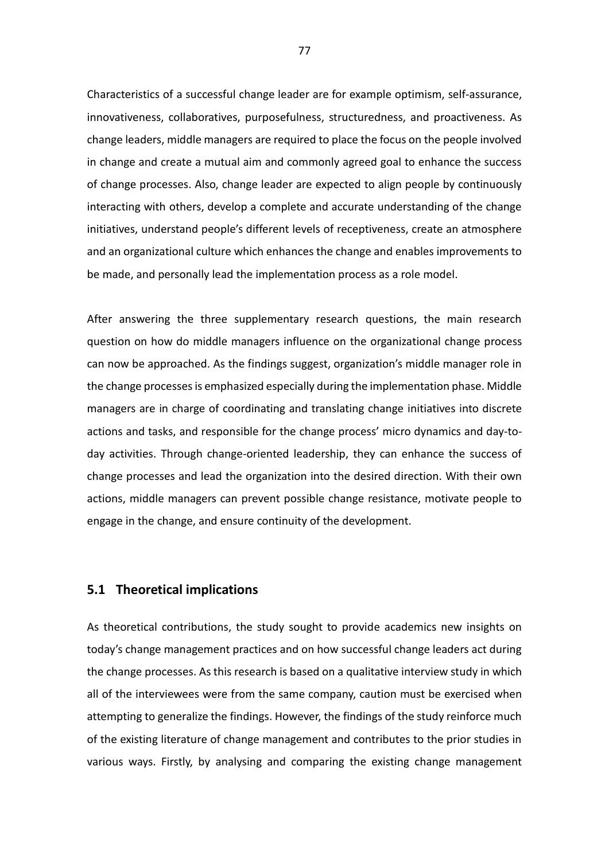Characteristics of a successful change leader are for example optimism, self-assurance, innovativeness, collaboratives, purposefulness, structuredness, and proactiveness. As change leaders, middle managers are required to place the focus on the people involved in change and create a mutual aim and commonly agreed goal to enhance the success of change processes. Also, change leader are expected to align people by continuously interacting with others, develop a complete and accurate understanding of the change initiatives, understand people's different levels of receptiveness, create an atmosphere and an organizational culture which enhances the change and enables improvements to be made, and personally lead the implementation process as a role model.

After answering the three supplementary research questions, the main research question on how do middle managers influence on the organizational change process can now be approached. As the findings suggest, organization's middle manager role in the change processes is emphasized especially during the implementation phase. Middle managers are in charge of coordinating and translating change initiatives into discrete actions and tasks, and responsible for the change process' micro dynamics and day-today activities. Through change-oriented leadership, they can enhance the success of change processes and lead the organization into the desired direction. With their own actions, middle managers can prevent possible change resistance, motivate people to engage in the change, and ensure continuity of the development.

### **5.1 Theoretical implications**

As theoretical contributions, the study sought to provide academics new insights on today's change management practices and on how successful change leaders act during the change processes. As this research is based on a qualitative interview study in which all of the interviewees were from the same company, caution must be exercised when attempting to generalize the findings. However, the findings of the study reinforce much of the existing literature of change management and contributes to the prior studies in various ways. Firstly, by analysing and comparing the existing change management

77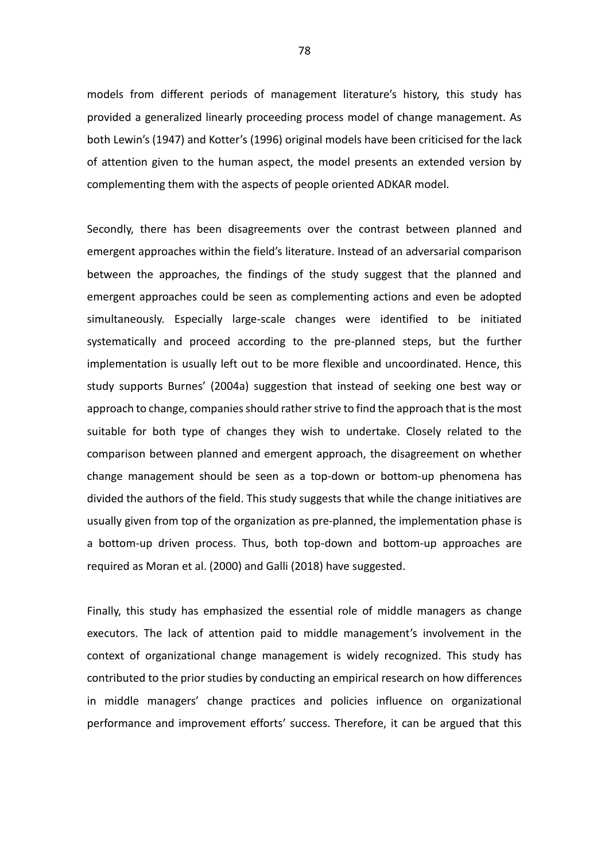models from different periods of management literature's history, this study has provided a generalized linearly proceeding process model of change management. As both Lewin's (1947) and Kotter's (1996) original models have been criticised for the lack of attention given to the human aspect, the model presents an extended version by complementing them with the aspects of people oriented ADKAR model.

Secondly, there has been disagreements over the contrast between planned and emergent approaches within the field's literature. Instead of an adversarial comparison between the approaches, the findings of the study suggest that the planned and emergent approaches could be seen as complementing actions and even be adopted simultaneously. Especially large-scale changes were identified to be initiated systematically and proceed according to the pre-planned steps, but the further implementation is usually left out to be more flexible and uncoordinated. Hence, this study supports Burnes' (2004a) suggestion that instead of seeking one best way or approach to change, companies should rather strive to find the approach that is the most suitable for both type of changes they wish to undertake. Closely related to the comparison between planned and emergent approach, the disagreement on whether change management should be seen as a top-down or bottom-up phenomena has divided the authors of the field. This study suggests that while the change initiatives are usually given from top of the organization as pre-planned, the implementation phase is a bottom-up driven process. Thus, both top-down and bottom-up approaches are required as Moran et al. (2000) and Galli (2018) have suggested.

Finally, this study has emphasized the essential role of middle managers as change executors. The lack of attention paid to middle management's involvement in the context of organizational change management is widely recognized. This study has contributed to the prior studies by conducting an empirical research on how differences in middle managers' change practices and policies influence on organizational performance and improvement efforts' success. Therefore, it can be argued that this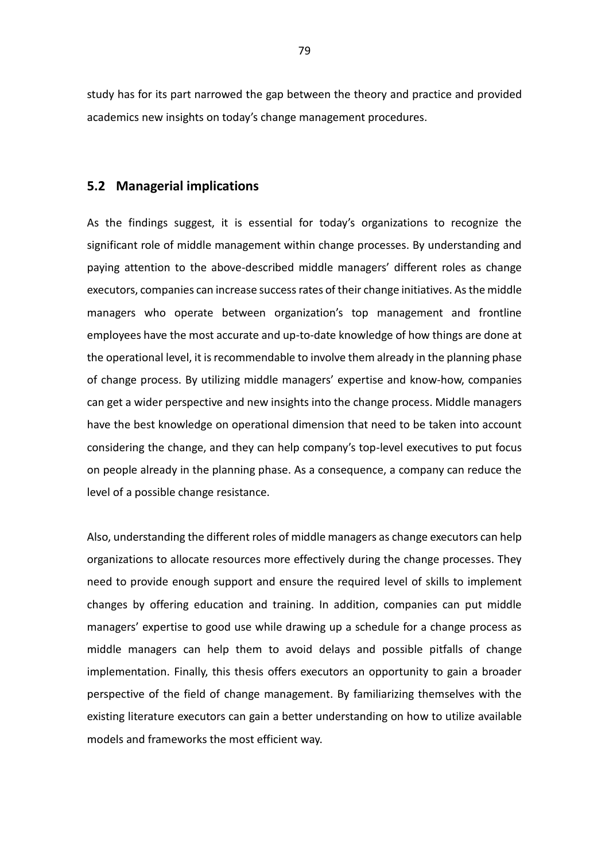study has for its part narrowed the gap between the theory and practice and provided academics new insights on today's change management procedures.

## **5.2 Managerial implications**

As the findings suggest, it is essential for today's organizations to recognize the significant role of middle management within change processes. By understanding and paying attention to the above-described middle managers' different roles as change executors, companies can increase success rates of their change initiatives. As the middle managers who operate between organization's top management and frontline employees have the most accurate and up-to-date knowledge of how things are done at the operational level, it is recommendable to involve them already in the planning phase of change process. By utilizing middle managers' expertise and know-how, companies can get a wider perspective and new insights into the change process. Middle managers have the best knowledge on operational dimension that need to be taken into account considering the change, and they can help company's top-level executives to put focus on people already in the planning phase. As a consequence, a company can reduce the level of a possible change resistance.

Also, understanding the different roles of middle managers as change executors can help organizations to allocate resources more effectively during the change processes. They need to provide enough support and ensure the required level of skills to implement changes by offering education and training. In addition, companies can put middle managers' expertise to good use while drawing up a schedule for a change process as middle managers can help them to avoid delays and possible pitfalls of change implementation. Finally, this thesis offers executors an opportunity to gain a broader perspective of the field of change management. By familiarizing themselves with the existing literature executors can gain a better understanding on how to utilize available models and frameworks the most efficient way.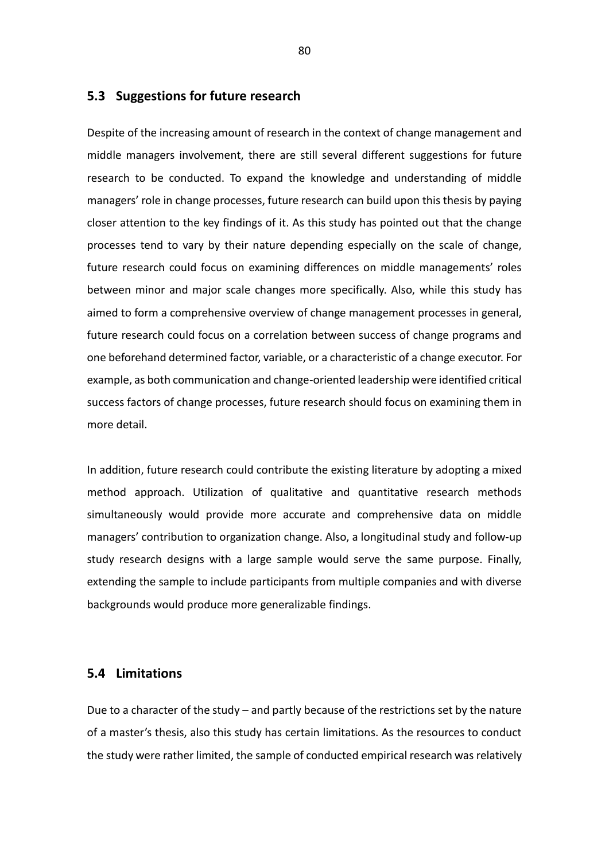## **5.3 Suggestions for future research**

Despite of the increasing amount of research in the context of change management and middle managers involvement, there are still several different suggestions for future research to be conducted. To expand the knowledge and understanding of middle managers' role in change processes, future research can build upon this thesis by paying closer attention to the key findings of it. As this study has pointed out that the change processes tend to vary by their nature depending especially on the scale of change, future research could focus on examining differences on middle managements' roles between minor and major scale changes more specifically. Also, while this study has aimed to form a comprehensive overview of change management processes in general, future research could focus on a correlation between success of change programs and one beforehand determined factor, variable, or a characteristic of a change executor. For example, as both communication and change-oriented leadership were identified critical success factors of change processes, future research should focus on examining them in more detail.

In addition, future research could contribute the existing literature by adopting a mixed method approach. Utilization of qualitative and quantitative research methods simultaneously would provide more accurate and comprehensive data on middle managers' contribution to organization change. Also, a longitudinal study and follow-up study research designs with a large sample would serve the same purpose. Finally, extending the sample to include participants from multiple companies and with diverse backgrounds would produce more generalizable findings.

## **5.4 Limitations**

Due to a character of the study – and partly because of the restrictions set by the nature of a master's thesis, also this study has certain limitations. As the resources to conduct the study were rather limited, the sample of conducted empirical research was relatively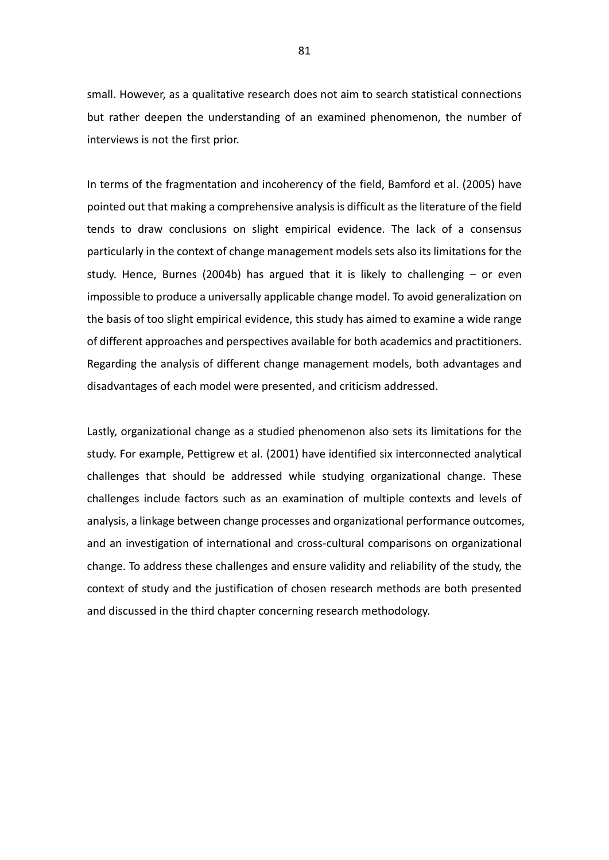small. However, as a qualitative research does not aim to search statistical connections but rather deepen the understanding of an examined phenomenon, the number of interviews is not the first prior.

In terms of the fragmentation and incoherency of the field, Bamford et al. (2005) have pointed out that making a comprehensive analysis is difficult as the literature of the field tends to draw conclusions on slight empirical evidence. The lack of a consensus particularly in the context of change management models sets also its limitations for the study. Hence, Burnes (2004b) has argued that it is likely to challenging – or even impossible to produce a universally applicable change model. To avoid generalization on the basis of too slight empirical evidence, this study has aimed to examine a wide range of different approaches and perspectives available for both academics and practitioners. Regarding the analysis of different change management models, both advantages and disadvantages of each model were presented, and criticism addressed.

Lastly, organizational change as a studied phenomenon also sets its limitations for the study. For example, Pettigrew et al. (2001) have identified six interconnected analytical challenges that should be addressed while studying organizational change. These challenges include factors such as an examination of multiple contexts and levels of analysis, a linkage between change processes and organizational performance outcomes, and an investigation of international and cross-cultural comparisons on organizational change. To address these challenges and ensure validity and reliability of the study, the context of study and the justification of chosen research methods are both presented and discussed in the third chapter concerning research methodology.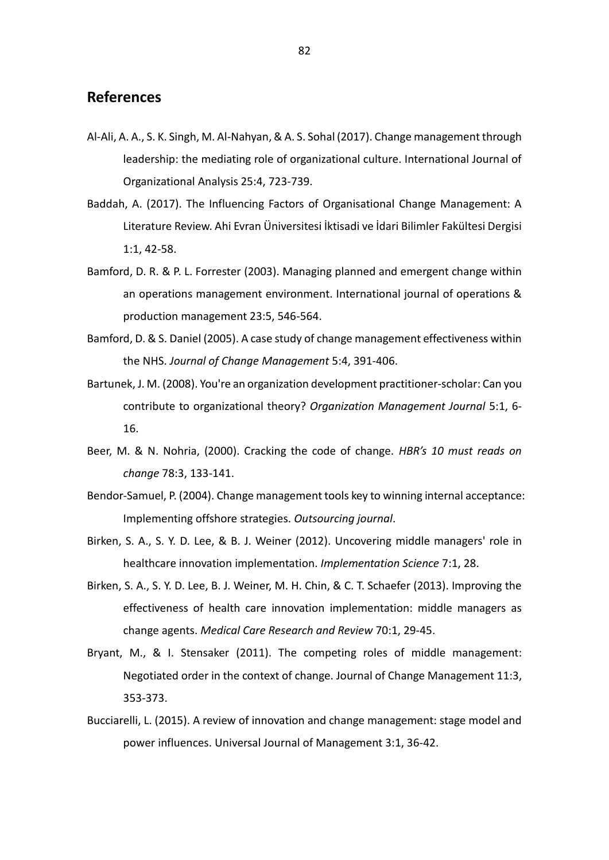# **References**

- Al-Ali, A. A., S. K. Singh, M. Al-Nahyan, & A. S. Sohal (2017). Change management through leadership: the mediating role of organizational culture. International Journal of Organizational Analysis 25:4, 723-739.
- Baddah, A. (2017). The Influencing Factors of Organisational Change Management: A Literature Review. Ahi Evran Üniversitesi İktisadi ve İdari Bilimler Fakültesi Dergisi 1:1, 42-58.
- Bamford, D. R. & P. L. Forrester (2003). Managing planned and emergent change within an operations management environment. International journal of operations & production management 23:5, 546-564.
- Bamford, D. & S. Daniel (2005). A case study of change management effectiveness within the NHS. *Journal of Change Management* 5:4, 391-406.
- Bartunek, J. M. (2008). You're an organization development practitioner-scholar: Can you contribute to organizational theory? *Organization Management Journal* 5:1, 6- 16.
- Beer, M. & N. Nohria, (2000). Cracking the code of change. *HBR's 10 must reads on change* 78:3, 133-141.
- Bendor-Samuel, P. (2004). Change management tools key to winning internal acceptance: Implementing offshore strategies. *Outsourcing journal*.
- Birken, S. A., S. Y. D. Lee, & B. J. Weiner (2012). Uncovering middle managers' role in healthcare innovation implementation. *Implementation Science* 7:1, 28.
- Birken, S. A., S. Y. D. Lee, B. J. Weiner, M. H. Chin, & C. T. Schaefer (2013). Improving the effectiveness of health care innovation implementation: middle managers as change agents. *Medical Care Research and Review* 70:1, 29-45.
- Bryant, M., & I. Stensaker (2011). The competing roles of middle management: Negotiated order in the context of change. Journal of Change Management 11:3, 353-373.
- Bucciarelli, L. (2015). A review of innovation and change management: stage model and power influences. Universal Journal of Management 3:1, 36-42.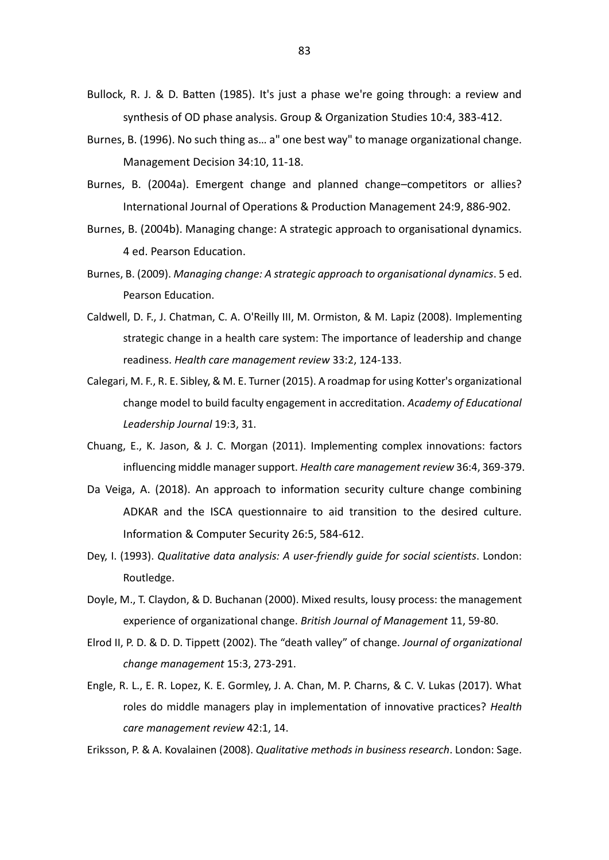- Bullock, R. J. & D. Batten (1985). It's just a phase we're going through: a review and synthesis of OD phase analysis. Group & Organization Studies 10:4, 383-412.
- Burnes, B. (1996). No such thing as… a" one best way" to manage organizational change. Management Decision 34:10, 11-18.
- Burnes, B. (2004a). Emergent change and planned change–competitors or allies? International Journal of Operations & Production Management 24:9, 886-902.
- Burnes, B. (2004b). Managing change: A strategic approach to organisational dynamics. 4 ed. Pearson Education.
- Burnes, B. (2009). *Managing change: A strategic approach to organisational dynamics*. 5 ed. Pearson Education.
- Caldwell, D. F., J. Chatman, C. A. O'Reilly III, M. Ormiston, & M. Lapiz (2008). Implementing strategic change in a health care system: The importance of leadership and change readiness. *Health care management review* 33:2, 124-133.
- Calegari, M. F., R. E. Sibley, & M. E. Turner (2015). A roadmap for using Kotter's organizational change model to build faculty engagement in accreditation. *Academy of Educational Leadership Journal* 19:3, 31.
- Chuang, E., K. Jason, & J. C. Morgan (2011). Implementing complex innovations: factors influencing middle manager support. *Health care management review* 36:4, 369-379.
- Da Veiga, A. (2018). An approach to information security culture change combining ADKAR and the ISCA questionnaire to aid transition to the desired culture. Information & Computer Security 26:5, 584-612.
- Dey, I. (1993). *Qualitative data analysis: A user-friendly guide for social scientists*. London: Routledge.
- Doyle, M., T. Claydon, & D. Buchanan (2000). Mixed results, lousy process: the management experience of organizational change. *British Journal of Management* 11, 59-80.
- Elrod II, P. D. & D. D. Tippett (2002). The "death valley" of change. *Journal of organizational change management* 15:3, 273-291.
- Engle, R. L., E. R. Lopez, K. E. Gormley, J. A. Chan, M. P. Charns, & C. V. Lukas (2017). What roles do middle managers play in implementation of innovative practices? *Health care management review* 42:1, 14.

Eriksson, P. & A. Kovalainen (2008). *Qualitative methods in business research*. London: Sage.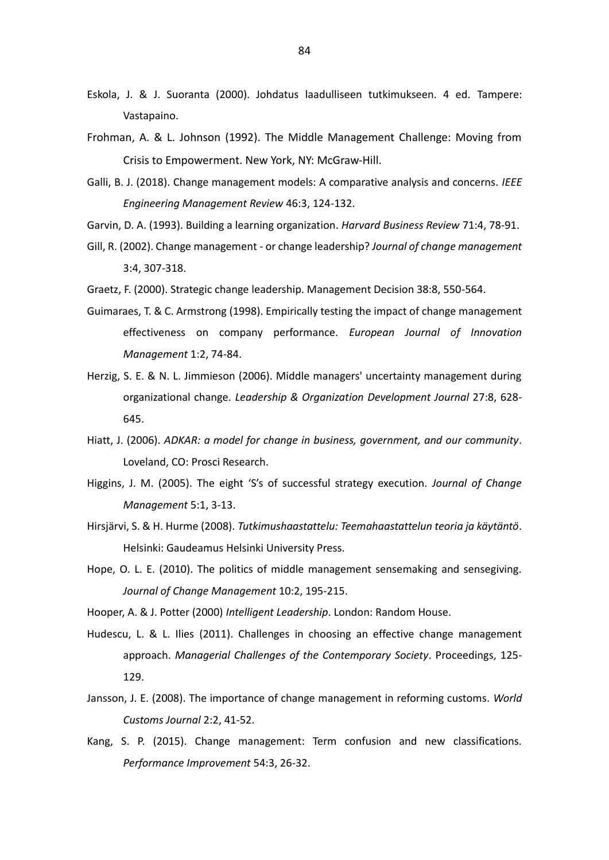- Eskola, J. & J. Suoranta (2000). Johdatus laadulliseen tutkimukseen. 4 ed. Tampere: Vastapaino.
- Frohman, A. & L. Johnson (1992). The Middle Management Challenge: Moving from Crisis to Empowerment. New York, NY: McGraw-Hill.
- Galli, B. J. (2018). Change management models: A comparative analysis and concerns. *IEEE Engineering Management Review* 46:3, 124-132.
- Garvin, D. A. (1993). Building a learning organization. *Harvard Business Review* 71:4, 78-91.
- Gill, R. (2002). Change management or change leadership? *Journal of change management*  3:4, 307-318.
- Graetz, F. (2000). Strategic change leadership. Management Decision 38:8, 550-564.
- Guimaraes, T. & C. Armstrong (1998). Empirically testing the impact of change management effectiveness on company performance. *European Journal of Innovation Management* 1:2, 74-84.
- Herzig, S. E. & N. L. Jimmieson (2006). Middle managers' uncertainty management during organizational change. *Leadership & Organization Development Journal* 27:8, 628- 645.
- Hiatt, J. (2006). *ADKAR: a model for change in business, government, and our community*. Loveland, CO: Prosci Research.
- Higgins, J. M. (2005). The eight 'S's of successful strategy execution. *Journal of Change Management* 5:1, 3-13.
- Hirsjärvi, S. & H. Hurme (2008). *Tutkimushaastattelu: Teemahaastattelun teoria ja käytäntö*. Helsinki: Gaudeamus Helsinki University Press.
- Hope, O. L. E. (2010). The politics of middle management sensemaking and sensegiving. *Journal of Change Management* 10:2, 195-215.
- Hooper, A. & J. Potter (2000) *Intelligent Leadership*. London: Random House.
- Hudescu, L. & L. Ilies (2011). Challenges in choosing an effective change management approach. *Managerial Challenges of the Contemporary Society*. Proceedings, 125- 129.
- Jansson, J. E. (2008). The importance of change management in reforming customs. *World Customs Journal* 2:2, 41-52.
- Kang, S. P. (2015). Change management: Term confusion and new classifications. *Performance Improvement* 54:3, 26-32.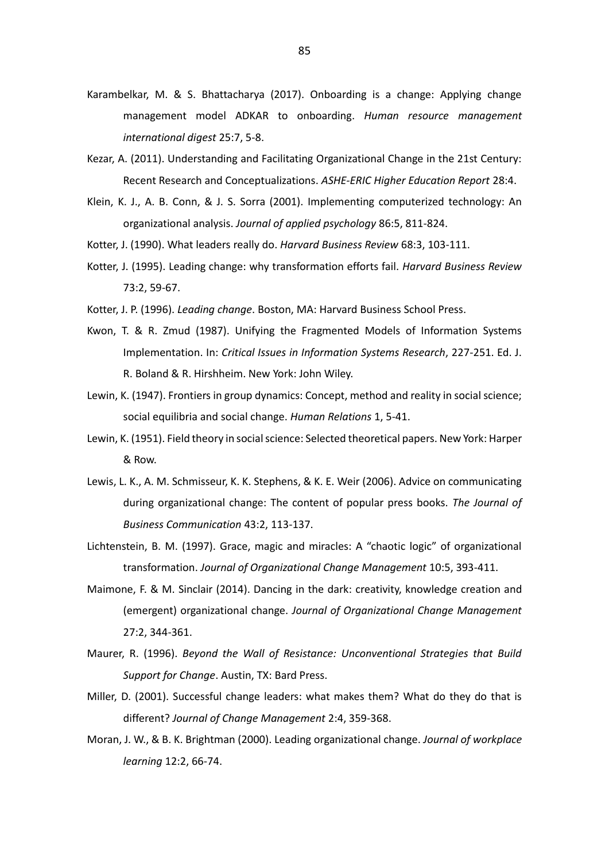- Karambelkar, M. & S. Bhattacharya (2017). Onboarding is a change: Applying change management model ADKAR to onboarding. *Human resource management international digest* 25:7, 5-8.
- Kezar, A. (2011). Understanding and Facilitating Organizational Change in the 21st Century: Recent Research and Conceptualizations. *ASHE-ERIC Higher Education Report* 28:4.
- Klein, K. J., A. B. Conn, & J. S. Sorra (2001). Implementing computerized technology: An organizational analysis. *Journal of applied psychology* 86:5, 811-824.
- Kotter, J. (1990). What leaders really do. *Harvard Business Review* 68:3, 103-111.
- Kotter, J. (1995). Leading change: why transformation efforts fail. *Harvard Business Review*  73:2, 59-67.
- Kotter, J. P. (1996). *Leading change*. Boston, MA: Harvard Business School Press.
- Kwon, T. & R. Zmud (1987). Unifying the Fragmented Models of Information Systems Implementation. In: *Critical Issues in Information Systems Research*, 227-251. Ed. J. R. Boland & R. Hirshheim. New York: John Wiley.
- Lewin, K. (1947). Frontiers in group dynamics: Concept, method and reality in social science; social equilibria and social change. *Human Relations* 1, 5-41.
- Lewin, K. (1951). Field theory in social science: Selected theoretical papers. New York: Harper & Row.
- Lewis, L. K., A. M. Schmisseur, K. K. Stephens, & K. E. Weir (2006). Advice on communicating during organizational change: The content of popular press books. *The Journal of Business Communication* 43:2, 113-137.
- Lichtenstein, B. M. (1997). Grace, magic and miracles: A "chaotic logic" of organizational transformation. *Journal of Organizational Change Management* 10:5, 393-411.
- Maimone, F. & M. Sinclair (2014). Dancing in the dark: creativity, knowledge creation and (emergent) organizational change. *Journal of Organizational Change Management*  27:2, 344-361.
- Maurer, R. (1996). *Beyond the Wall of Resistance: Unconventional Strategies that Build Support for Change*. Austin, TX: Bard Press.
- Miller, D. (2001). Successful change leaders: what makes them? What do they do that is different? *Journal of Change Management* 2:4, 359-368.
- Moran, J. W., & B. K. Brightman (2000). Leading organizational change. *Journal of workplace learning* 12:2, 66-74.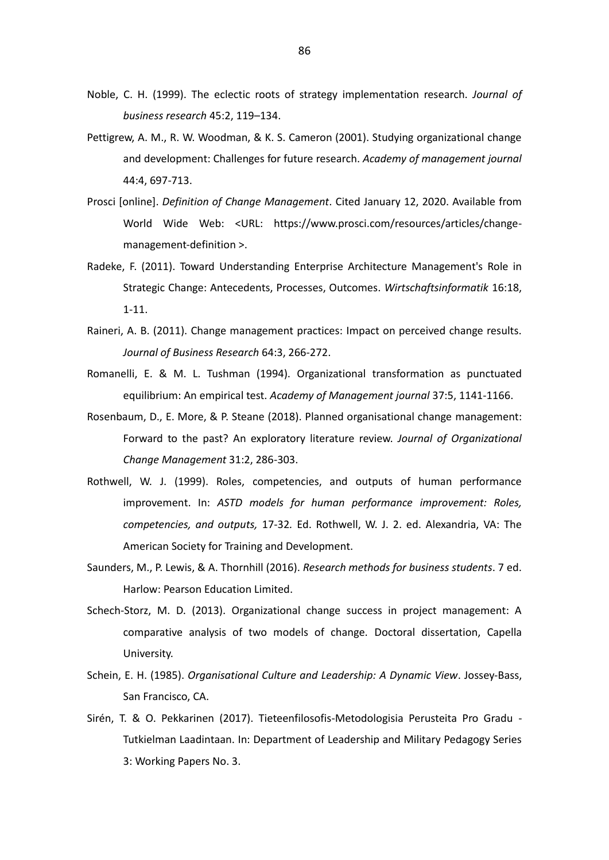- Noble, C. H. (1999). The eclectic roots of strategy implementation research. *Journal of business research* 45:2, 119–134.
- Pettigrew, A. M., R. W. Woodman, & K. S. Cameron (2001). Studying organizational change and development: Challenges for future research. *Academy of management journal*  44:4, 697-713.
- Prosci [online]. *Definition of Change Management*. Cited January 12, 2020. Available from World Wide Web: <URL: https://www.prosci.com/resources/articles/changemanagement-definition >.
- Radeke, F. (2011). Toward Understanding Enterprise Architecture Management's Role in Strategic Change: Antecedents, Processes, Outcomes. *Wirtschaftsinformatik* 16:18, 1-11.
- Raineri, A. B. (2011). Change management practices: Impact on perceived change results. *Journal of Business Research* 64:3, 266-272.
- Romanelli, E. & M. L. Tushman (1994). Organizational transformation as punctuated equilibrium: An empirical test. *Academy of Management journal* 37:5, 1141-1166.
- Rosenbaum, D., E. More, & P. Steane (2018). Planned organisational change management: Forward to the past? An exploratory literature review. *Journal of Organizational Change Management* 31:2, 286-303.
- Rothwell, W. J. (1999). Roles, competencies, and outputs of human performance improvement. In: *ASTD models for human performance improvement: Roles, competencies, and outputs,* 17-32*.* Ed. Rothwell, W. J. 2. ed. Alexandria, VA: The American Society for Training and Development.
- Saunders, M., P. Lewis, & A. Thornhill (2016). *Research methods for business students*. 7 ed. Harlow: Pearson Education Limited.
- Schech-Storz, M. D. (2013). Organizational change success in project management: A comparative analysis of two models of change. Doctoral dissertation, Capella University.
- Schein, E. H. (1985). *Organisational Culture and Leadership: A Dynamic View*. Jossey-Bass, San Francisco, CA.
- Sirén, T. & O. Pekkarinen (2017). Tieteenfilosofis-Metodologisia Perusteita Pro Gradu Tutkielman Laadintaan. In: Department of Leadership and Military Pedagogy Series 3: Working Papers No. 3.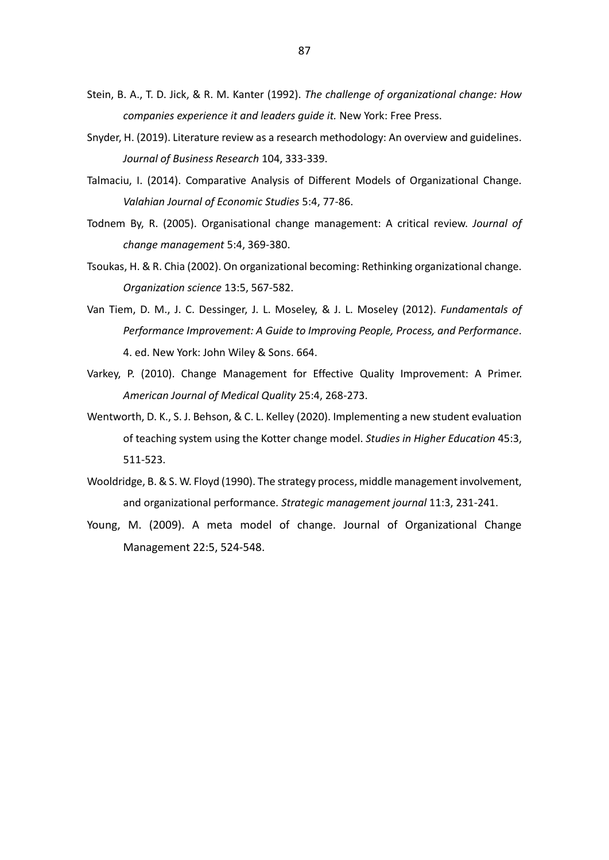- Stein, B. A., T. D. Jick, & R. M. Kanter (1992). *The challenge of organizational change: How companies experience it and leaders guide it.* New York: Free Press.
- Snyder, H. (2019). Literature review as a research methodology: An overview and guidelines. *Journal of Business Research* 104, 333-339.
- Talmaciu, I. (2014). Comparative Analysis of Different Models of Organizational Change. *Valahian Journal of Economic Studies* 5:4, 77-86.
- Todnem By, R. (2005). Organisational change management: A critical review. *Journal of change management* 5:4, 369-380.
- Tsoukas, H. & R. Chia (2002). On organizational becoming: Rethinking organizational change. *Organization science* 13:5, 567-582.
- Van Tiem, D. M., J. C. Dessinger, J. L. Moseley, & J. L. Moseley (2012). *Fundamentals of Performance Improvement: A Guide to Improving People, Process, and Performance*. 4. ed. New York: John Wiley & Sons. 664.
- Varkey, P. (2010). Change Management for Effective Quality Improvement: A Primer. *American Journal of Medical Quality* 25:4, 268-273.
- Wentworth, D. K., S. J. Behson, & C. L. Kelley (2020). Implementing a new student evaluation of teaching system using the Kotter change model. *Studies in Higher Education* 45:3, 511-523.
- Wooldridge, B. & S. W. Floyd (1990). The strategy process, middle management involvement, and organizational performance. *Strategic management journal* 11:3, 231-241.
- Young, M. (2009). A meta model of change. Journal of Organizational Change Management 22:5, 524-548.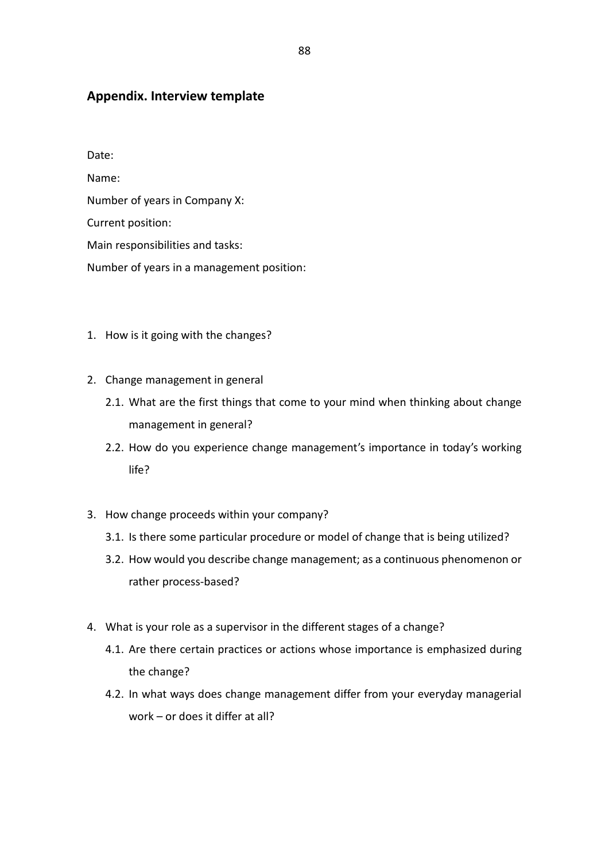# **Appendix. Interview template**

Date: Name: Number of years in Company X: Current position: Main responsibilities and tasks: Number of years in a management position:

- 1. How is it going with the changes?
- 2. Change management in general
	- 2.1. What are the first things that come to your mind when thinking about change management in general?
	- 2.2. How do you experience change management's importance in today's working life?
- 3. How change proceeds within your company?
	- 3.1. Is there some particular procedure or model of change that is being utilized?
	- 3.2. How would you describe change management; as a continuous phenomenon or rather process-based?
- 4. What is your role as a supervisor in the different stages of a change?
	- 4.1. Are there certain practices or actions whose importance is emphasized during the change?
	- 4.2. In what ways does change management differ from your everyday managerial work – or does it differ at all?